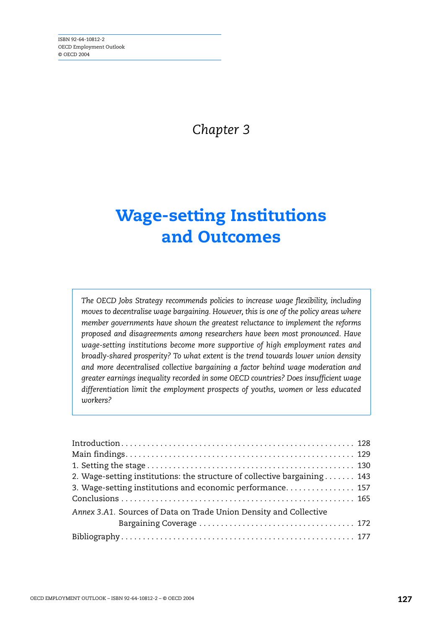*Chapter 3* 

# **Wage-setting Institutions and Outcomes**

*The OECD Jobs Strategy recommends policies to increase wage flexibility, including moves to decentralise wage bargaining. However, this is one of the policy areas where member governments have shown the greatest reluctance to implement the reforms proposed and disagreements among researchers have been most pronounced. Have wage-setting institutions become more supportive of high employment rates and broadly-shared prosperity? To what extent is the trend towards lower union density and more decentralised collective bargaining a factor behind wage moderation and greater earnings inequality recorded in some OECD countries? Does insufficient wage differentiation limit the employment prospects of youths, women or less educated workers?*

| 2. Wage-setting institutions: the structure of collective bargaining 143 |  |
|--------------------------------------------------------------------------|--|
| 3. Wage-setting institutions and economic performance 157                |  |
|                                                                          |  |
| Annex 3.A1. Sources of Data on Trade Union Density and Collective        |  |
|                                                                          |  |
|                                                                          |  |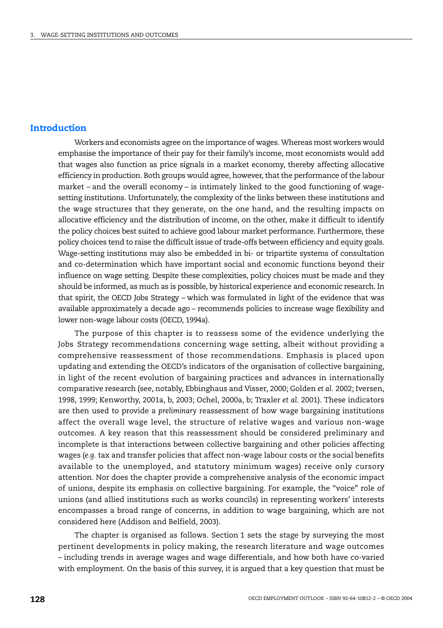# **Introduction**

Workers and economists agree on the importance of wages. Whereas most workers would emphasise the importance of their pay for their family's income, most economists would add that wages also function as price signals in a market economy, thereby affecting allocative efficiency in production. Both groups would agree, however, that the performance of the labour market – and the overall economy – is intimately linked to the good functioning of wagesetting institutions. Unfortunately, the complexity of the links between these institutions and the wage structures that they generate, on the one hand, and the resulting impacts on allocative efficiency and the distribution of income, on the other, make it difficult to identify the policy choices best suited to achieve good labour market performance. Furthermore, these policy choices tend to raise the difficult issue of trade-offs between efficiency and equity goals. Wage-setting institutions may also be embedded in bi- or tripartite systems of consultation and co-determination which have important social and economic functions beyond their influence on wage setting. Despite these complexities, policy choices must be made and they should be informed, as much as is possible, by historical experience and economic research. In that spirit, the OECD Jobs Strategy – which was formulated in light of the evidence that was available approximately a decade ago – recommends policies to increase wage flexibility and lower non-wage labour costs (OECD, 1994a).

The purpose of this chapter is to reassess some of the evidence underlying the Jobs Strategy recommendations concerning wage setting, albeit without providing a comprehensive reassessment of those recommendations. Emphasis is placed upon updating and extending the OECD's indicators of the organisation of collective bargaining, in light of the recent evolution of bargaining practices and advances in internationally comparative research (see, notably, Ebbinghaus and Visser, 2000; Golden *et al.* 2002; Iversen, 1998, 1999; Kenworthy, 2001a, b, 2003; Ochel, 2000a, b; Traxler *et al.* 2001). These indicators are then used to provide a *preliminary* reassessment of how wage bargaining institutions affect the overall wage level, the structure of relative wages and various non-wage outcomes. A key reason that this reassessment should be considered preliminary and incomplete is that interactions between collective bargaining and other policies affecting wages (*e.g.* tax and transfer policies that affect non-wage labour costs or the social benefits available to the unemployed, and statutory minimum wages) receive only cursory attention. Nor does the chapter provide a comprehensive analysis of the economic impact of unions, despite its emphasis on collective bargaining. For example, the "voice" role of unions (and allied institutions such as works councils) in representing workers' interests encompasses a broad range of concerns, in addition to wage bargaining, which are not considered here (Addison and Belfield, 2003).

The chapter is organised as follows. Section 1 sets the stage by surveying the most pertinent developments in policy making, the research literature and wage outcomes – including trends in average wages and wage differentials, and how both have co-varied with employment. On the basis of this survey, it is argued that a key question that must be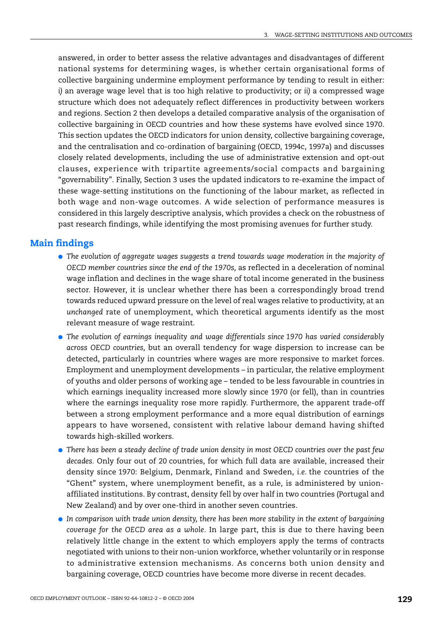answered, in order to better assess the relative advantages and disadvantages of different national systems for determining wages, is whether certain organisational forms of collective bargaining undermine employment performance by tending to result in either: *i)* an average wage level that is too high relative to productivity; or *ii)* a compressed wage structure which does not adequately reflect differences in productivity between workers and regions. Section 2 then develops a detailed comparative analysis of the organisation of collective bargaining in OECD countries and how these systems have evolved since 1970. This section updates the OECD indicators for union density, collective bargaining coverage, and the centralisation and co-ordination of bargaining (OECD, 1994c, 1997a) and discusses closely related developments, including the use of administrative extension and opt-out clauses, experience with tripartite agreements/social compacts and bargaining "governability". Finally, Section 3 uses the updated indicators to re-examine the impact of these wage-setting institutions on the functioning of the labour market, as reflected in both wage and non-wage outcomes. A wide selection of performance measures is considered in this largely descriptive analysis, which provides a check on the robustness of past research findings, while identifying the most promising avenues for further study.

# **Main findings**

- *The evolution of aggregate wages suggests a trend towards wage moderation in the majority of OECD member countries since the end of the 1970s,* as reflected in a deceleration of nominal wage inflation and declines in the wage share of total income generated in the business sector. However, it is unclear whether there has been a correspondingly broad trend towards reduced upward pressure on the level of real wages relative to productivity, at an *unchanged* rate of unemployment, which theoretical arguments identify as the most relevant measure of wage restraint.
- *The evolution of earnings inequality and wage differentials since 1970 has varied considerably across OECD countries,* but an overall tendency for wage dispersion to increase can be detected, particularly in countries where wages are more responsive to market forces. Employment and unemployment developments – in particular, the relative employment of youths and older persons of working age – tended to be less favourable in countries in which earnings inequality increased more slowly since 1970 (or fell), than in countries where the earnings inequality rose more rapidly. Furthermore, the apparent trade-off between a strong employment performance and a more equal distribution of earnings appears to have worsened, consistent with relative labour demand having shifted towards high-skilled workers.
- *There has been a steady decline of trade union density in most OECD countries over the past few decades.* Only four out of 20 countries, for which full data are available, increased their density since 1970: Belgium, Denmark, Finland and Sweden, *i.e.* the countries of the "Ghent" system, where unemployment benefit, as a rule, is administered by unionaffiliated institutions. By contrast, density fell by over half in two countries (Portugal and New Zealand) and by over one-third in another seven countries.
- *In comparison with trade union density, there has been more stability in the extent of bargaining coverage for the OECD area as a whole.* In large part, this is due to there having been relatively little change in the extent to which employers apply the terms of contracts negotiated with unions to their non-union workforce, whether voluntarily or in response to administrative extension mechanisms. As concerns both union density and bargaining coverage, OECD countries have become more diverse in recent decades.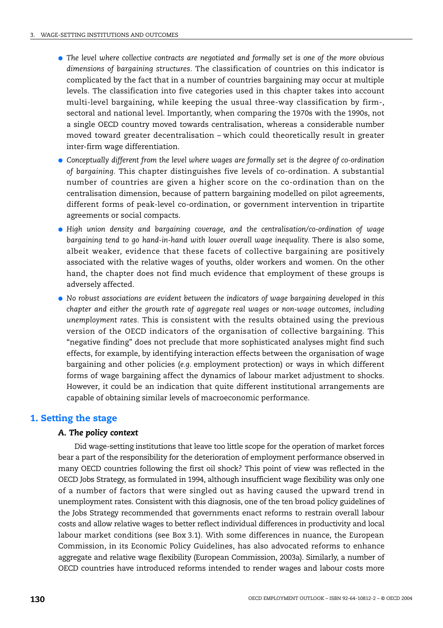- *The level where collective contracts are negotiated and formally set is one of the more obvious dimensions of bargaining structures.* The classification of countries on this indicator is complicated by the fact that in a number of countries bargaining may occur at multiple levels. The classification into five categories used in this chapter takes into account multi-level bargaining, while keeping the usual three-way classification by firm-, sectoral and national level. Importantly, when comparing the 1970s with the 1990s, not a single OECD country moved towards centralisation, whereas a considerable number moved toward greater decentralisation – which could theoretically result in greater inter-firm wage differentiation.
- *Conceptually different from the level where wages are formally set is the degree of co-ordination of bargaining.* This chapter distinguishes five levels of co-ordination. A substantial number of countries are given a higher score on the co-ordination than on the centralisation dimension, because of pattern bargaining modelled on pilot agreements, different forms of peak-level co-ordination, or government intervention in tripartite agreements or social compacts.
- *High union density and bargaining coverage, and the centralisation/co-ordination of wage bargaining tend to go hand-in-hand with lower overall wage inequality.* There is also some, albeit weaker, evidence that these facets of collective bargaining are positively associated with the relative wages of youths, older workers and women. On the other hand, the chapter does not find much evidence that employment of these groups is adversely affected.
- *No robust associations are evident between the indicators of wage bargaining developed in this chapter and either the growth rate of aggregate real wages or non-wage outcomes, including unemployment rates.* This is consistent with the results obtained using the previous version of the OECD indicators of the organisation of collective bargaining. This "negative finding" does not preclude that more sophisticated analyses might find such effects, for example, by identifying interaction effects between the organisation of wage bargaining and other policies (*e.g.* employment protection) or ways in which different forms of wage bargaining affect the dynamics of labour market adjustment to shocks. However, it could be an indication that quite different institutional arrangements are capable of obtaining similar levels of macroeconomic performance.

# **1. Setting the stage**

# *A. The policy context*

Did wage-setting institutions that leave too little scope for the operation of market forces bear a part of the responsibility for the deterioration of employment performance observed in many OECD countries following the first oil shock? This point of view was reflected in the OECD Jobs Strategy, as formulated in 1994, although insufficient wage flexibility was only one of a number of factors that were singled out as having caused the upward trend in unemployment rates. Consistent with this diagnosis, one of the ten broad policy guidelines of the Jobs Strategy recommended that governments enact reforms to restrain overall labour costs and allow relative wages to better reflect individual differences in productivity and local labour market conditions (see Box 3.1). With some differences in nuance, the European Commission, in its Economic Policy Guidelines, has also advocated reforms to enhance aggregate and relative wage flexibility (European Commission, 2003a). Similarly, a number of OECD countries have introduced reforms intended to render wages and labour costs more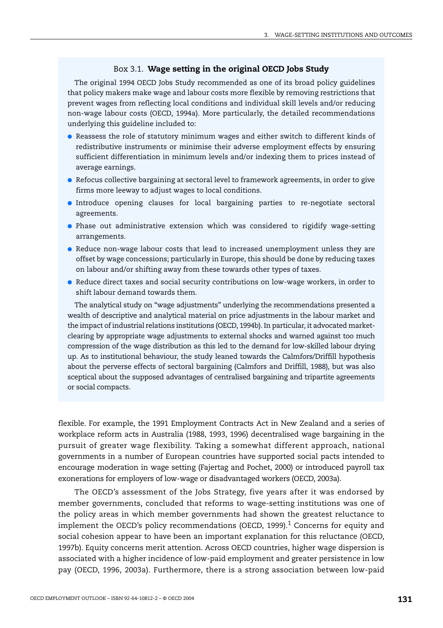### Box 3.1. **Wage setting in the original OECD Jobs Study**

The original 1994 OECD Jobs Study recommended as one of its broad policy guidelines that policy makers make wage and labour costs more flexible by removing restrictions that prevent wages from reflecting local conditions and individual skill levels and/or reducing non-wage labour costs (OECD, 1994a). More particularly, the detailed recommendations underlying this guideline included to:

- Reassess the role of statutory minimum wages and either switch to different kinds of redistributive instruments or minimise their adverse employment effects by ensuring sufficient differentiation in minimum levels and/or indexing them to prices instead of average earnings.
- Refocus collective bargaining at sectoral level to framework agreements, in order to give firms more leeway to adjust wages to local conditions.
- Introduce opening clauses for local bargaining parties to re-negotiate sectoral agreements.
- Phase out administrative extension which was considered to rigidify wage-setting arrangements.
- Reduce non-wage labour costs that lead to increased unemployment unless they are offset by wage concessions; particularly in Europe, this should be done by reducing taxes on labour and/or shifting away from these towards other types of taxes.
- Reduce direct taxes and social security contributions on low-wage workers, in order to shift labour demand towards them.

The analytical study on "wage adjustments" underlying the recommendations presented a wealth of descriptive and analytical material on price adjustments in the labour market and the impact of industrial relations institutions (OECD, 1994b). In particular, it advocated marketclearing by appropriate wage adjustments to external shocks and warned against too much compression of the wage distribution as this led to the demand for low-skilled labour drying up. As to institutional behaviour, the study leaned towards the Calmfors/Driffill hypothesis about the perverse effects of sectoral bargaining (Calmfors and Driffill, 1988), but was also sceptical about the supposed advantages of centralised bargaining and tripartite agreements or social compacts.

flexible. For example, the 1991 Employment Contracts Act in New Zealand and a series of workplace reform acts in Australia (1988, 1993, 1996) decentralised wage bargaining in the pursuit of greater wage flexibility. Taking a somewhat different approach, national governments in a number of European countries have supported social pacts intended to encourage moderation in wage setting (Fajertag and Pochet, 2000) or introduced payroll tax exonerations for employers of low-wage or disadvantaged workers (OECD, 2003a).

The OECD's assessment of the Jobs Strategy, five years after it was endorsed by member governments, concluded that reforms to wage-setting institutions was one of the policy areas in which member governments had shown the greatest reluctance to implement the OECD's policy recommendations (OECD, 1999).<sup>1</sup> Concerns for equity and social cohesion appear to have been an important explanation for this reluctance (OECD, 1997b). Equity concerns merit attention. Across OECD countries, higher wage dispersion is associated with a higher incidence of low-paid employment and greater persistence in low pay (OECD, 1996, 2003a). Furthermore, there is a strong association between low-paid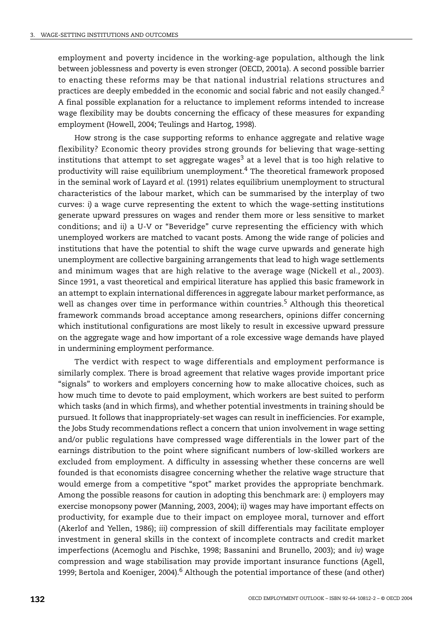employment and poverty incidence in the working-age population, although the link between joblessness and poverty is even stronger (OECD, 2001a). A second possible barrier to enacting these reforms may be that national industrial relations structures and practices are deeply embedded in the economic and social fabric and not easily changed. $2$ A final possible explanation for a reluctance to implement reforms intended to increase wage flexibility may be doubts concerning the efficacy of these measures for expanding employment (Howell, 2004; Teulings and Hartog, 1998).

How strong is the case supporting reforms to enhance aggregate and relative wage flexibility? Economic theory provides strong grounds for believing that wage-setting institutions that attempt to set aggregate wages<sup>3</sup> at a level that is too high relative to productivity will raise equilibrium unemployment.4 The theoretical framework proposed in the seminal work of Layard *et al.* (1991) relates equilibrium unemployment to structural characteristics of the labour market, which can be summarised by the interplay of two curves: *i)* a wage curve representing the extent to which the wage-setting institutions generate upward pressures on wages and render them more or less sensitive to market conditions; and *ii)* a U-V or "Beveridge" curve representing the efficiency with which unemployed workers are matched to vacant posts. Among the wide range of policies and institutions that have the potential to shift the wage curve upwards and generate high unemployment are collective bargaining arrangements that lead to high wage settlements and minimum wages that are high relative to the average wage (Nickell *et al.*, 2003). Since 1991, a vast theoretical and empirical literature has applied this basic framework in an attempt to explain international differences in aggregate labour market performance, as well as changes over time in performance within countries.<sup>5</sup> Although this theoretical framework commands broad acceptance among researchers, opinions differ concerning which institutional configurations are most likely to result in excessive upward pressure on the aggregate wage and how important of a role excessive wage demands have played in undermining employment performance.

The verdict with respect to wage differentials and employment performance is similarly complex. There is broad agreement that relative wages provide important price "signals" to workers and employers concerning how to make allocative choices, such as how much time to devote to paid employment, which workers are best suited to perform which tasks (and in which firms), and whether potential investments in training should be pursued. It follows that inappropriately-set wages can result in inefficiencies. For example, the Jobs Study recommendations reflect a concern that union involvement in wage setting and/or public regulations have compressed wage differentials in the lower part of the earnings distribution to the point where significant numbers of low-skilled workers are excluded from employment. A difficulty in assessing whether these concerns are well founded is that economists disagree concerning whether the relative wage structure that would emerge from a competitive "spot" market provides the appropriate benchmark. Among the possible reasons for caution in adopting this benchmark are: *i)* employers may exercise monopsony power (Manning, 2003, 2004); *ii)* wages may have important effects on productivity, for example due to their impact on employee moral, turnover and effort (Akerlof and Yellen, 1986); *iii)* compression of skill differentials may facilitate employer investment in general skills in the context of incomplete contracts and credit market imperfections (Acemoglu and Pischke, 1998; Bassanini and Brunello, 2003); and *iv)* wage compression and wage stabilisation may provide important insurance functions (Agell, 1999; Bertola and Koeniger, 2004).<sup>6</sup> Although the potential importance of these (and other)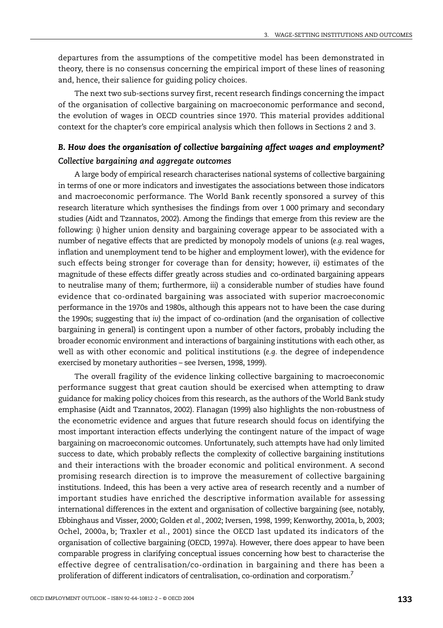departures from the assumptions of the competitive model has been demonstrated in theory, there is no consensus concerning the empirical import of these lines of reasoning and, hence, their salience for guiding policy choices.

The next two sub-sections survey first, recent research findings concerning the impact of the organisation of collective bargaining on macroeconomic performance and second, the evolution of wages in OECD countries since 1970. This material provides additional context for the chapter's core empirical analysis which then follows in Sections 2 and 3.

# *B. How does the organisation of collective bargaining affect wages and employment? Collective bargaining and aggregate outcomes*

A large body of empirical research characterises national systems of collective bargaining in terms of one or more indicators and investigates the associations between those indicators and macroeconomic performance. The World Bank recently sponsored a survey of this research literature which synthesises the findings from over 1 000 primary and secondary studies (Aidt and Tzannatos, 2002). Among the findings that emerge from this review are the following: *i)* higher union density and bargaining coverage appear to be associated with a number of negative effects that are predicted by monopoly models of unions (*e.g.* real wages, inflation and unemployment tend to be higher and employment lower), with the evidence for such effects being stronger for coverage than for density; however, *ii)* estimates of the magnitude of these effects differ greatly across studies and co-ordinated bargaining appears to neutralise many of them; furthermore, *iii)* a considerable number of studies have found evidence that co-ordinated bargaining was associated with superior macroeconomic performance in the 1970s and 1980s, although this appears not to have been the case during the 1990s; suggesting that *iv)* the impact of co-ordination (and the organisation of collective bargaining in general) is contingent upon a number of other factors, probably including the broader economic environment and interactions of bargaining institutions with each other, as well as with other economic and political institutions (*e.g.* the degree of independence exercised by monetary authorities – see Iversen, 1998, 1999).

The overall fragility of the evidence linking collective bargaining to macroeconomic performance suggest that great caution should be exercised when attempting to draw guidance for making policy choices from this research, as the authors of the World Bank study emphasise (Aidt and Tzannatos, 2002). Flanagan (1999) also highlights the non-robustness of the econometric evidence and argues that future research should focus on identifying the most important interaction effects underlying the contingent nature of the impact of wage bargaining on macroeconomic outcomes. Unfortunately, such attempts have had only limited success to date, which probably reflects the complexity of collective bargaining institutions and their interactions with the broader economic and political environment. A second promising research direction is to improve the measurement of collective bargaining institutions. Indeed, this has been a very active area of research recently and a number of important studies have enriched the descriptive information available for assessing international differences in the extent and organisation of collective bargaining (see, notably, Ebbinghaus and Visser, 2000; Golden *et al.*, 2002; Iversen, 1998, 1999; Kenworthy, 2001a, b, 2003; Ochel, 2000a, b; Traxler *et al.*, 2001) since the OECD last updated its indicators of the organisation of collective bargaining (OECD, 1997a). However, there does appear to have been comparable progress in clarifying conceptual issues concerning how best to characterise the effective degree of centralisation/co-ordination in bargaining and there has been a proliferation of different indicators of centralisation, co-ordination and corporatism.7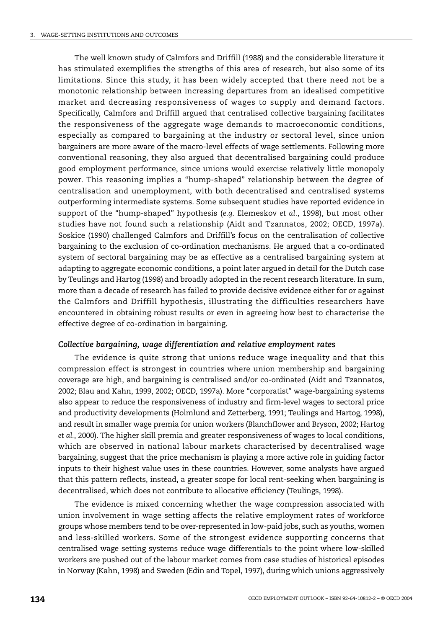The well known study of Calmfors and Driffill (1988) and the considerable literature it has stimulated exemplifies the strengths of this area of research, but also some of its limitations. Since this study, it has been widely accepted that there need not be a monotonic relationship between increasing departures from an idealised competitive market and decreasing responsiveness of wages to supply and demand factors. Specifically, Calmfors and Driffill argued that centralised collective bargaining facilitates the responsiveness of the aggregate wage demands to macroeconomic conditions, especially as compared to bargaining at the industry or sectoral level, since union bargainers are more aware of the macro-level effects of wage settlements. Following more conventional reasoning, they also argued that decentralised bargaining could produce good employment performance, since unions would exercise relatively little monopoly power. This reasoning implies a "hump-shaped" relationship between the degree of centralisation and unemployment, with both decentralised and centralised systems outperforming intermediate systems. Some subsequent studies have reported evidence in support of the "hump-shaped" hypothesis (*e.g.* Elemeskov *et al.*, 1998), but most other studies have not found such a relationship (Aidt and Tzannatos, 2002; OECD, 1997a). Soskice (1990) challenged Calmfors and Driffill's focus on the centralisation of collective bargaining to the exclusion of co-ordination mechanisms. He argued that a co-ordinated system of sectoral bargaining may be as effective as a centralised bargaining system at adapting to aggregate economic conditions, a point later argued in detail for the Dutch case by Teulings and Hartog (1998) and broadly adopted in the recent research literature. In sum, more than a decade of research has failed to provide decisive evidence either for or against the Calmfors and Driffill hypothesis, illustrating the difficulties researchers have encountered in obtaining robust results or even in agreeing how best to characterise the effective degree of co-ordination in bargaining.

### *Collective bargaining, wage differentiation and relative employment rates*

The evidence is quite strong that unions reduce wage inequality and that this compression effect is strongest in countries where union membership and bargaining coverage are high, and bargaining is centralised and/or co-ordinated (Aidt and Tzannatos, 2002; Blau and Kahn, 1999, 2002; OECD, 1997a). More "corporatist" wage-bargaining systems also appear to reduce the responsiveness of industry and firm-level wages to sectoral price and productivity developments (Holmlund and Zetterberg, 1991; Teulings and Hartog, 1998), and result in smaller wage premia for union workers (Blanchflower and Bryson, 2002; Hartog *et al.*, 2000). The higher skill premia and greater responsiveness of wages to local conditions, which are observed in national labour markets characterised by decentralised wage bargaining, suggest that the price mechanism is playing a more active role in guiding factor inputs to their highest value uses in these countries. However, some analysts have argued that this pattern reflects, instead, a greater scope for local rent-seeking when bargaining is decentralised, which does not contribute to allocative efficiency (Teulings, 1998).

The evidence is mixed concerning whether the wage compression associated with union involvement in wage setting affects the relative employment rates of workforce groups whose members tend to be over-represented in low-paid jobs, such as youths, women and less-skilled workers. Some of the strongest evidence supporting concerns that centralised wage setting systems reduce wage differentials to the point where low-skilled workers are pushed out of the labour market comes from case studies of historical episodes in Norway (Kahn, 1998) and Sweden (Edin and Topel, 1997), during which unions aggressively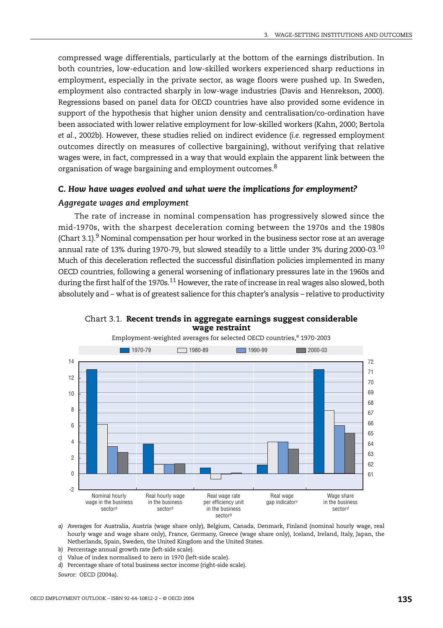compressed wage differentials, particularly at the bottom of the earnings distribution. In both countries, low-education and low-skilled workers experienced sharp reductions in employment, especially in the private sector, as wage floors were pushed up. In Sweden, employment also contracted sharply in low-wage industries (Davis and Henrekson, 2000). Regressions based on panel data for OECD countries have also provided some evidence in support of the hypothesis that higher union density and centralisation/co-ordination have been associated with lower relative employment for low-skilled workers (Kahn, 2000; Bertola *et al.*, 2002b). However, these studies relied on indirect evidence (*i.e.* regressed employment outcomes directly on measures of collective bargaining), without verifying that relative wages were, in fact, compressed in a way that would explain the apparent link between the organisation of wage bargaining and employment outcomes.8

# *C. How have wages evolved and what were the implications for employment?*

# *Aggregate wages and employment*

The rate of increase in nominal compensation has progressively slowed since the mid-1970s, with the sharpest deceleration coming between the 1970s and the 1980s (Chart 3.1).<sup>9</sup> Nominal compensation per hour worked in the business sector rose at an average annual rate of 13% during 1970-79, but slowed steadily to a little under 3% during 2000-03.<sup>10</sup> Much of this deceleration reflected the successful disinflation policies implemented in many OECD countries, following a general worsening of inflationary pressures late in the 1960s and during the first half of the 1970s.<sup>11</sup> However, the rate of increase in real wages also slowed, both absolutely and – what is of greatest salience for this chapter's analysis – relative to productivity



Chart 3.1. **Recent trends in aggregate earnings suggest considerable wage restraint**

- *a)* Averages for Australia, Austria (wage share only), Belgium, Canada, Denmark, Finland (nominal hourly wage, real hourly wage and wage share only), France, Germany, Greece (wage share only), Iceland, Ireland, Italy, Japan, the Netherlands, Spain, Sweden, the United Kingdom and the United States.
- *b)* Percentage annual growth rate (left-side scale).
- *c)* Value of index normalised to zero in 1970 (left-side scale).
- *d)* Percentage share of total business sector income (right-side scale).
- *Source:* OECD (2004a).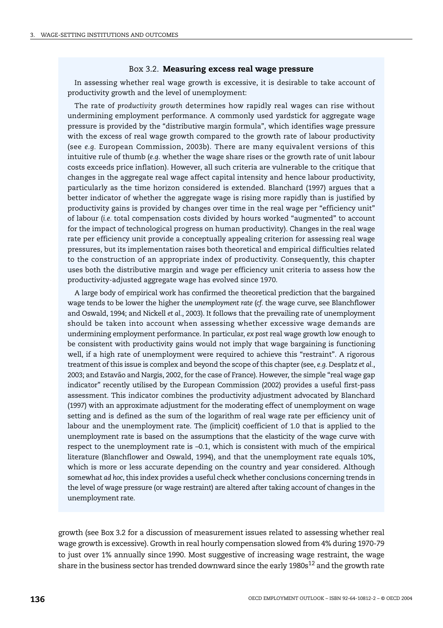### Box 3.2. **Measuring excess real wage pressure**

In assessing whether real wage growth is excessive, it is desirable to take account of productivity growth and the level of unemployment:

The rate of *productivity growth* determines how rapidly real wages can rise without undermining employment performance. A commonly used yardstick for aggregate wage pressure is provided by the "distributive margin formula", which identifies wage pressure with the excess of real wage growth compared to the growth rate of labour productivity (see *e.g.* European Commission, 2003b). There are many equivalent versions of this intuitive rule of thumb (*e.g.* whether the wage share rises or the growth rate of unit labour costs exceeds price inflation). However, all such criteria are vulnerable to the critique that changes in the aggregate real wage affect capital intensity and hence labour productivity, particularly as the time horizon considered is extended. Blanchard (1997) argues that a better indicator of whether the aggregate wage is rising more rapidly than is justified by productivity gains is provided by changes over time in the real wage per "efficiency unit" of labour (*i.e.* total compensation costs divided by hours worked "augmented" to account for the impact of technological progress on human productivity). Changes in the real wage rate per efficiency unit provide a conceptually appealing criterion for assessing real wage pressures, but its implementation raises both theoretical and empirical difficulties related to the construction of an appropriate index of productivity. Consequently, this chapter uses both the distributive margin and wage per efficiency unit criteria to assess how the productivity-adjusted aggregate wage has evolved since 1970.

A large body of empirical work has confirmed the theoretical prediction that the bargained wage tends to be lower the higher the *unemployment rate* (*cf.* the wage curve, see Blanchflower and Oswald, 1994; and Nickell *et al.*, 2003). It follows that the prevailing rate of unemployment should be taken into account when assessing whether excessive wage demands are undermining employment performance. In particular, *ex post* real wage growth low enough to be consistent with productivity gains would not imply that wage bargaining is functioning well, if a high rate of unemployment were required to achieve this "restraint". A rigorous treatment of this issue is complex and beyond the scope of this chapter (see, *e.g.* Desplatz *et al.*, 2003; and Estavão and Nargis, 2002, for the case of France). However, the simple "real wage gap indicator" recently utilised by the European Commission (2002) provides a useful first-pass assessment. This indicator combines the productivity adjustment advocated by Blanchard (1997) with an approximate adjustment for the moderating effect of unemployment on wage setting and is defined as the sum of the logarithm of real wage rate per efficiency unit of labour and the unemployment rate. The (implicit) coefficient of 1.0 that is applied to the unemployment rate is based on the assumptions that the elasticity of the wage curve with respect to the unemployment rate is –0.1, which is consistent with much of the empirical literature (Blanchflower and Oswald, 1994), and that the unemployment rate equals 10%, which is more or less accurate depending on the country and year considered. Although somewhat *ad hoc*, this index provides a useful check whether conclusions concerning trends in the level of wage pressure (or wage restraint) are altered after taking account of changes in the unemployment rate.

growth (see Box 3.2 for a discussion of measurement issues related to assessing whether real wage growth is excessive). Growth in real hourly compensation slowed from 4% during 1970-79 to just over 1% annually since 1990. Most suggestive of increasing wage restraint, the wage share in the business sector has trended downward since the early  $1980s^{12}$  and the growth rate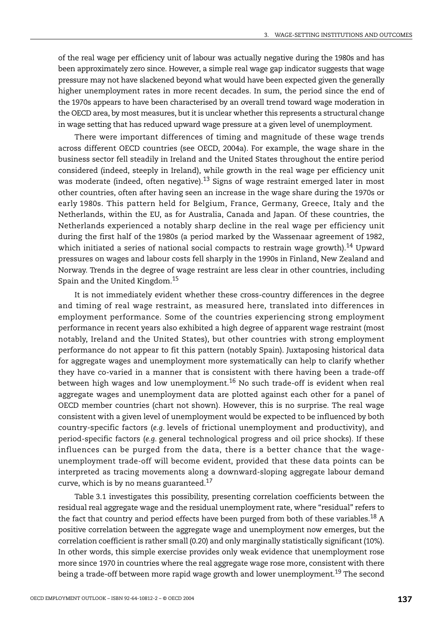of the real wage per efficiency unit of labour was actually negative during the 1980s and has been approximately zero since. However, a simple real wage gap indicator suggests that wage pressure may not have slackened beyond what would have been expected given the generally higher unemployment rates in more recent decades. In sum, the period since the end of the 1970s appears to have been characterised by an overall trend toward wage moderation in the OECD area, by most measures, but it is unclear whether this represents a structural change in wage setting that has reduced upward wage pressure at a given level of unemployment.

There were important differences of timing and magnitude of these wage trends across different OECD countries (see OECD, 2004a). For example, the wage share in the business sector fell steadily in Ireland and the United States throughout the entire period considered (indeed, steeply in Ireland), while growth in the real wage per efficiency unit was moderate (indeed, often negative).<sup>13</sup> Signs of wage restraint emerged later in most other countries, often after having seen an increase in the wage share during the 1970s or early 1980s. This pattern held for Belgium, France, Germany, Greece, Italy and the Netherlands, within the EU, as for Australia, Canada and Japan. Of these countries, the Netherlands experienced a notably sharp decline in the real wage per efficiency unit during the first half of the 1980s (a period marked by the Wassenaar agreement of 1982, which initiated a series of national social compacts to restrain wage growth).<sup>14</sup> Upward pressures on wages and labour costs fell sharply in the 1990s in Finland, New Zealand and Norway. Trends in the degree of wage restraint are less clear in other countries, including Spain and the United Kingdom.15

It is not immediately evident whether these cross-country differences in the degree and timing of real wage restraint, as measured here, translated into differences in employment performance. Some of the countries experiencing strong employment performance in recent years also exhibited a high degree of apparent wage restraint (most notably, Ireland and the United States), but other countries with strong employment performance do not appear to fit this pattern (notably Spain). Juxtaposing historical data for aggregate wages and unemployment more systematically can help to clarify whether they have co-varied in a manner that is consistent with there having been a trade-off between high wages and low unemployment.<sup>16</sup> No such trade-off is evident when real aggregate wages and unemployment data are plotted against each other for a panel of OECD member countries (chart not shown). However, this is no surprise. The real wage consistent with a given level of unemployment would be expected to be influenced by both country-specific factors (*e.g.* levels of frictional unemployment and productivity), and period-specific factors (*e.g.* general technological progress and oil price shocks). If these influences can be purged from the data, there is a better chance that the wageunemployment trade-off will become evident, provided that these data points can be interpreted as tracing movements along a downward-sloping aggregate labour demand curve, which is by no means guaranteed. $17$ 

Table 3.1 investigates this possibility, presenting correlation coefficients between the residual real aggregate wage and the residual unemployment rate, where "residual" refers to the fact that country and period effects have been purged from both of these variables.<sup>18</sup> A positive correlation between the aggregate wage and unemployment now emerges, but the correlation coefficient is rather small (0.20) and only marginally statistically significant (10%). In other words, this simple exercise provides only weak evidence that unemployment rose more since 1970 in countries where the real aggregate wage rose more, consistent with there being a trade-off between more rapid wage growth and lower unemployment.<sup>19</sup> The second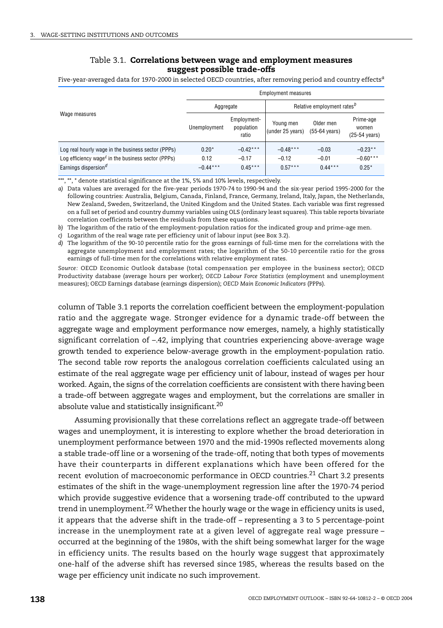### Table 3.1. **Correlations between wage and employment measures suggest possible trade-offs**

Five-year-averaged data for 1970-2000 in selected OECD countries, after removing period and country effects*<sup>a</sup>*

|                                                                             |              |                                    | <b>Employment measures</b>    |                                        |                                               |
|-----------------------------------------------------------------------------|--------------|------------------------------------|-------------------------------|----------------------------------------|-----------------------------------------------|
|                                                                             | Aggregate    |                                    |                               | Relative employment rates <sup>b</sup> |                                               |
| Wage measures                                                               | Unemployment | Employment-<br>population<br>ratio | Young men<br>(under 25 years) | Older men<br>$(55-64 \text{ years})$   | Prime-age<br>women<br>$(25-54 \text{ years})$ |
| Log real hourly wage in the business sector (PPPs)                          | $0.20*$      | $-0.42***$                         | $-0.48***$                    | $-0.03$                                | $-0.23**$                                     |
| Log efficiency wage <sup><math>c</math></sup> in the business sector (PPPs) | 0.12         | $-0.17$                            | $-0.12$                       | $-0.01$                                | $-0.60***$                                    |
| Earnings dispersion <sup><math>d</math></sup>                               | $-0.44***$   | $0.45***$                          | $0.57***$                     | $0.44***$                              | $0.25*$                                       |

\*\*\*, \*\*, \* denote statistical significance at the 1%, 5% and 10% levels, respectively.

*a)* Data values are averaged for the five-year periods 1970-74 to 1990-94 and the six-year period 1995-2000 for the following countries: Australia, Belgium, Canada, Finland, France, Germany, Ireland, Italy, Japan, the Netherlands, New Zealand, Sweden, Switzerland, the United Kingdom and the United States. Each variable was first regressed on a full set of period and country dummy variables using OLS (ordinary least squares). This table reports bivariate correlation coefficients between the residuals from these equations.

*b)* The logarithm of the ratio of the employment-population ratios for the indicated group and prime-age men.

*c)* Logarithm of the real wage rate per efficiency unit of labour input (see Box 3.2).

*d)* The logarithm of the 90-10 percentile ratio for the gross earnings of full-time men for the correlations with the aggregate unemployment and employment rates; the logarithm of the 50-10 percentile ratio for the gross earnings of full-time men for the correlations with relative employment rates.

*Source:* OECD Economic Outlook database (total compensation per employee in the business sector); OECD Productivity database (average hours per worker); *OECD Labour Force Statistics* (employment and unemployment measures); OECD Earnings database (earnings dispersion); *OECD Main Economic Indicators* (PPPs).

column of Table 3.1 reports the correlation coefficient between the employment-population ratio and the aggregate wage. Stronger evidence for a dynamic trade-off between the aggregate wage and employment performance now emerges, namely, a highly statistically significant correlation of –.42, implying that countries experiencing above-average wage growth tended to experience below-average growth in the employment-population ratio. The second table row reports the analogous correlation coefficients calculated using an estimate of the real aggregate wage per efficiency unit of labour, instead of wages per hour worked. Again, the signs of the correlation coefficients are consistent with there having been a trade-off between aggregate wages and employment, but the correlations are smaller in absolute value and statistically insignificant.<sup>20</sup>

Assuming provisionally that these correlations reflect an aggregate trade-off between wages and unemployment, it is interesting to explore whether the broad deterioration in unemployment performance between 1970 and the mid-1990s reflected movements along a stable trade-off line or a worsening of the trade-off, noting that both types of movements have their counterparts in different explanations which have been offered for the recent evolution of macroeconomic performance in OECD countries.<sup>21</sup> Chart 3.2 presents estimates of the shift in the wage-unemployment regression line after the 1970-74 period which provide suggestive evidence that a worsening trade-off contributed to the upward trend in unemployment.<sup>22</sup> Whether the hourly wage or the wage in efficiency units is used, it appears that the adverse shift in the trade-off – representing a 3 to 5 percentage-point increase in the unemployment rate at a given level of aggregate real wage pressure – occurred at the beginning of the 1980s, with the shift being somewhat larger for the wage in efficiency units. The results based on the hourly wage suggest that approximately one-half of the adverse shift has reversed since 1985, whereas the results based on the wage per efficiency unit indicate no such improvement.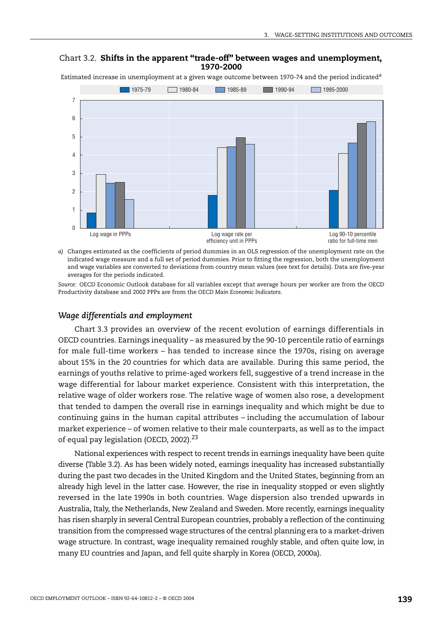# Chart 3.2. **Shifts in the apparent "trade-off" between wages and unemployment, 1970-2000**

Estimated increase in unemployment at a given wage outcome between 1970-74 and the period indicated*<sup>a</sup>*



*a)* Changes estimated as the coefficients of period dummies in an OLS regression of the unemployment rate on the indicated wage measure and a full set of period dummies. Prior to fitting the regression, both the unemployment and wage variables are converted to deviations from country mean values (see text for details). Data are five-year averages for the periods indicated.

*Source:* OECD Economic Outlook database for all variables except that average hours per worker are from the OECD Productivity database and 2002 PPPs are from the *OECD Main Economic Indicators*.

### *Wage differentials and employment*

Chart 3.3 provides an overview of the recent evolution of earnings differentials in OECD countries. Earnings inequality – as measured by the 90-10 percentile ratio of earnings for male full-time workers – has tended to increase since the 1970s, rising on average about 15% in the 20 countries for which data are available. During this same period, the earnings of youths relative to prime-aged workers fell, suggestive of a trend increase in the wage differential for labour market experience. Consistent with this interpretation, the relative wage of older workers rose. The relative wage of women also rose, a development that tended to dampen the overall rise in earnings inequality and which might be due to continuing gains in the human capital attributes – including the accumulation of labour market experience – of women relative to their male counterparts, as well as to the impact of equal pay legislation (OECD, 2002).<sup>23</sup>

National experiences with respect to recent trends in earnings inequality have been quite diverse (Table 3.2). As has been widely noted, earnings inequality has increased substantially during the past two decades in the United Kingdom and the United States, beginning from an already high level in the latter case. However, the rise in inequality stopped or even slightly reversed in the late 1990s in both countries. Wage dispersion also trended upwards in Australia, Italy, the Netherlands, New Zealand and Sweden. More recently, earnings inequality has risen sharply in several Central European countries, probably a reflection of the continuing transition from the compressed wage structures of the central planning era to a market-driven wage structure. In contrast, wage inequality remained roughly stable, and often quite low, in many EU countries and Japan, and fell quite sharply in Korea (OECD, 2000a).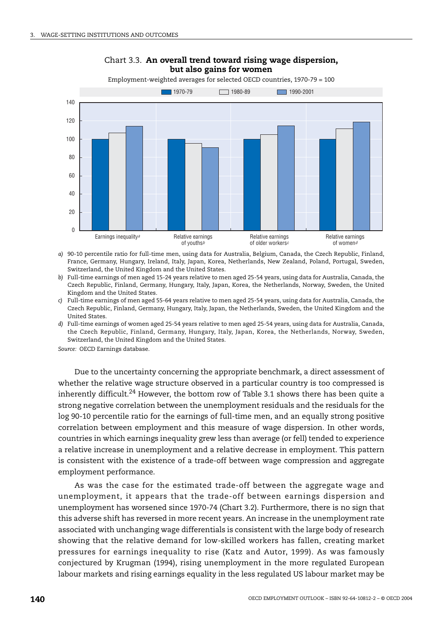

### Chart 3.3. **An overall trend toward rising wage dispersion, but also gains for women**

Employment-weighted averages for selected OECD countries, 1970-79 = 100

- *a)* 90-10 percentile ratio for full-time men, using data for Australia, Belgium, Canada, the Czech Republic, Finland, France, Germany, Hungary, Ireland, Italy, Japan, Korea, Netherlands, New Zealand, Poland, Portugal, Sweden, Switzerland, the United Kingdom and the United States.
- *b)* Full-time earnings of men aged 15-24 years relative to men aged 25-54 years, using data for Australia, Canada, the Czech Republic, Finland, Germany, Hungary, Italy, Japan, Korea, the Netherlands, Norway, Sweden, the United Kingdom and the United States.
- *c)* Full-time earnings of men aged 55-64 years relative to men aged 25-54 years, using data for Australia, Canada, the Czech Republic, Finland, Germany, Hungary, Italy, Japan, the Netherlands, Sweden, the United Kingdom and the United States.
- *d)* Full-time earnings of women aged 25-54 years relative to men aged 25-54 years, using data for Australia, Canada, the Czech Republic, Finland, Germany, Hungary, Italy, Japan, Korea, the Netherlands, Norway, Sweden, Switzerland, the United Kingdom and the United States.

*Source:* OECD Earnings database.

Due to the uncertainty concerning the appropriate benchmark, a direct assessment of whether the relative wage structure observed in a particular country is too compressed is inherently difficult.<sup>24</sup> However, the bottom row of Table 3.1 shows there has been quite a strong negative correlation between the unemployment residuals and the residuals for the log 90-10 percentile ratio for the earnings of full-time men, and an equally strong positive correlation between employment and this measure of wage dispersion. In other words, countries in which earnings inequality grew less than average (or fell) tended to experience a relative increase in unemployment and a relative decrease in employment. This pattern is consistent with the existence of a trade-off between wage compression and aggregate employment performance.

As was the case for the estimated trade-off between the aggregate wage and unemployment, it appears that the trade-off between earnings dispersion and unemployment has worsened since 1970-74 (Chart 3.2). Furthermore, there is no sign that this adverse shift has reversed in more recent years. An increase in the unemployment rate associated with unchanging wage differentials is consistent with the large body of research showing that the relative demand for low-skilled workers has fallen, creating market pressures for earnings inequality to rise (Katz and Autor, 1999). As was famously conjectured by Krugman (1994), rising unemployment in the more regulated European labour markets and rising earnings equality in the less regulated US labour market may be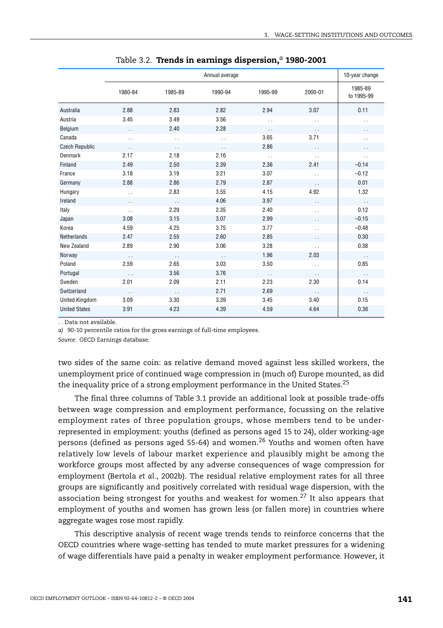|                       |                      |                        | Annual average         |                      |                      | 10-year change        |
|-----------------------|----------------------|------------------------|------------------------|----------------------|----------------------|-----------------------|
|                       | 1980-84              | 1985-89                | 1990-94                | 1995-99              | 2000-01              | 1985-89<br>to 1995-99 |
| Australia             | 2.88                 | 2.83                   | 2.82                   | 2.94                 | 3.07                 | 0.11                  |
| Austria               | 3.45                 | 3.49                   | 3.56                   | $\bar{\mathbf{r}}$ . | . .                  | $\ddotsc$             |
| Belgium               | У.                   | 2.40                   | 2.28                   | $\ddotsc$            | $\ddot{\phantom{0}}$ | $\ddotsc$             |
| Canada                | $\ddotsc$            | . .                    | $\ddot{\phantom{a}}$ . | 3.65                 | 3.71                 | $\ddotsc$             |
| <b>Czech Republic</b> | $\ddot{\phantom{a}}$ | $\ddot{\phantom{0}}$   | $\sim$ $\sim$          | 2.86                 | $\ddot{\phantom{a}}$ | $\sim$ .              |
| Denmark               | 2.17                 | 2.18                   | 2.16                   | $\sim$               | $\ddotsc$            | $\ddotsc$             |
| Finland               | 2.49                 | 2.50                   | 2.39                   | 2.36                 | 2.41                 | $-0.14$               |
| France                | 3.18                 | 3.19                   | 3.21                   | 3.07                 | $\ddot{\phantom{0}}$ | $-0.12$               |
| Germany               | 2.88                 | 2.86                   | 2.79                   | 2.87                 | $\ddotsc$            | 0.01                  |
| Hungary               | $\ddot{\phantom{a}}$ | 2.83                   | 3.55                   | 4.15                 | 4.92                 | 1.32                  |
| Ireland               | $\sim$               | $\sim$ $\sim$          | 4.06                   | 3.97                 | г.                   | $\sim$ .              |
| Italy                 | v,                   | 2.29                   | 2.35                   | 2.40                 | . .                  | 0.12                  |
| Japan                 | 3.08                 | 3.15                   | 3.07                   | 2.99                 | г.                   | $-0.15$               |
| Korea                 | 4.59                 | 4.25                   | 3.75                   | 3.77                 | . .                  | $-0.48$               |
| Netherlands           | 2.47                 | 2.55                   | 2.60                   | 2.85                 | $\ddotsc$            | 0.30                  |
| New Zealand           | 2.89                 | 2.90                   | 3.06                   | 3.28                 | $\ddotsc$            | 0.38                  |
| Norway                | $\bar{a}$ .          | $\ddot{\phantom{a}}$ . | $\sim$ .               | 1.96                 | 2.03                 | $\sim$ $\sim$         |
| Poland                | 2.59                 | 2.65                   | 3.03                   | 3.50                 | $\ddot{\phantom{0}}$ | 0.85                  |
| Portugal              | $\ddot{\phantom{a}}$ | 3.56                   | 3.76                   | $\sim$ $\sim$        | $\ddot{\phantom{a}}$ | $\sim$ $\sim$         |
| Sweden                | 2.01                 | 2.09                   | 2.11                   | 2.23                 | 2.30                 | 0.14                  |
| Switzerland           | $\sim$ .             | $\sim$ $\sim$          | 2.71                   | 2.69                 | $\sim$ .             | $\sim$ $\sim$         |
| <b>United Kingdom</b> | 3.09                 | 3.30                   | 3.39                   | 3.45                 | 3.40                 | 0.15                  |
| <b>United States</b>  | 3.91                 | 4.23                   | 4.39                   | 4.59                 | 4.64                 | 0.36                  |

|  |  |  |  | Table 3.2. $\,$ Trends in earnings dispersion, $^a$ 1980-2001 $\,$ |
|--|--|--|--|--------------------------------------------------------------------|
|--|--|--|--|--------------------------------------------------------------------|

. . Data not available.

*a)* 90-10 percentile ratios for the gross earnings of full-time employees.

*Source:* OECD Earnings database.

two sides of the same coin: as relative demand moved against less skilled workers, the unemployment price of continued wage compression in (much of) Europe mounted, as did the inequality price of a strong employment performance in the United States.<sup>25</sup>

The final three columns of Table 3.1 provide an additional look at possible trade-offs between wage compression and employment performance, focussing on the relative employment rates of three population groups, whose members tend to be underrepresented in employment: youths (defined as persons aged 15 to 24), older working-age persons (defined as persons aged 55-64) and women.<sup>26</sup> Youths and women often have relatively low levels of labour market experience and plausibly might be among the workforce groups most affected by any adverse consequences of wage compression for employment (Bertola *et al.*, 2002b). The residual relative employment rates for all three groups are significantly and positively correlated with residual wage dispersion, with the association being strongest for youths and weakest for women.<sup>27</sup> It also appears that employment of youths and women has grown less (or fallen more) in countries where aggregate wages rose most rapidly.

This descriptive analysis of recent wage trends tends to reinforce concerns that the OECD countries where wage-setting has tended to mute market pressures for a widening of wage differentials have paid a penalty in weaker employment performance. However, it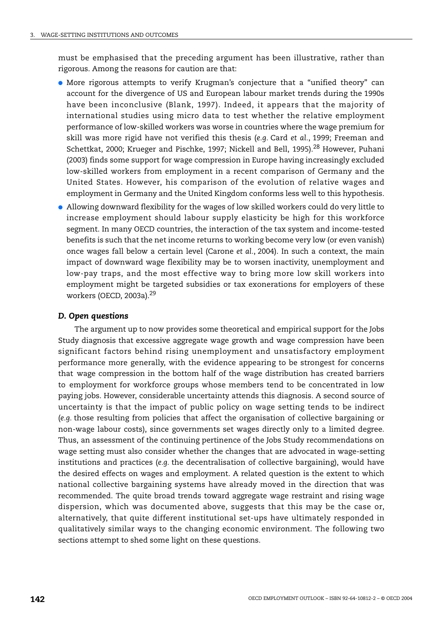must be emphasised that the preceding argument has been illustrative, rather than rigorous. Among the reasons for caution are that:

- More rigorous attempts to verify Krugman's conjecture that a "unified theory" can account for the divergence of US and European labour market trends during the 1990s have been inconclusive (Blank, 1997). Indeed, it appears that the majority of international studies using micro data to test whether the relative employment performance of low-skilled workers was worse in countries where the wage premium for skill was more rigid have not verified this thesis (*e.g.* Card *et al.*, 1999; Freeman and Schettkat, 2000; Krueger and Pischke, 1997; Nickell and Bell, 1995).28 However, Puhani (2003) finds some support for wage compression in Europe having increasingly excluded low-skilled workers from employment in a recent comparison of Germany and the United States. However, his comparison of the evolution of relative wages and employment in Germany and the United Kingdom conforms less well to this hypothesis.
- Allowing downward flexibility for the wages of low skilled workers could do very little to increase employment should labour supply elasticity be high for this workforce segment. In many OECD countries, the interaction of the tax system and income-tested benefits is such that the net income returns to working become very low (or even vanish) once wages fall below a certain level (Carone *et al.*, 2004). In such a context, the main impact of downward wage flexibility may be to worsen inactivity, unemployment and low-pay traps, and the most effective way to bring more low skill workers into employment might be targeted subsidies or tax exonerations for employers of these workers (OECD, 2003a).29

### *D. Open questions*

The argument up to now provides some theoretical and empirical support for the Jobs Study diagnosis that excessive aggregate wage growth and wage compression have been significant factors behind rising unemployment and unsatisfactory employment performance more generally, with the evidence appearing to be strongest for concerns that wage compression in the bottom half of the wage distribution has created barriers to employment for workforce groups whose members tend to be concentrated in low paying jobs. However, considerable uncertainty attends this diagnosis. A second source of uncertainty is that the impact of public policy on wage setting tends to be indirect (*e.g.* those resulting from policies that affect the organisation of collective bargaining or non-wage labour costs), since governments set wages directly only to a limited degree. Thus, an assessment of the continuing pertinence of the Jobs Study recommendations on wage setting must also consider whether the changes that are advocated in wage-setting institutions and practices (*e.g.* the decentralisation of collective bargaining), would have the desired effects on wages and employment. A related question is the extent to which national collective bargaining systems have already moved in the direction that was recommended. The quite broad trends toward aggregate wage restraint and rising wage dispersion, which was documented above, suggests that this may be the case or, alternatively, that quite different institutional set-ups have ultimately responded in qualitatively similar ways to the changing economic environment. The following two sections attempt to shed some light on these questions.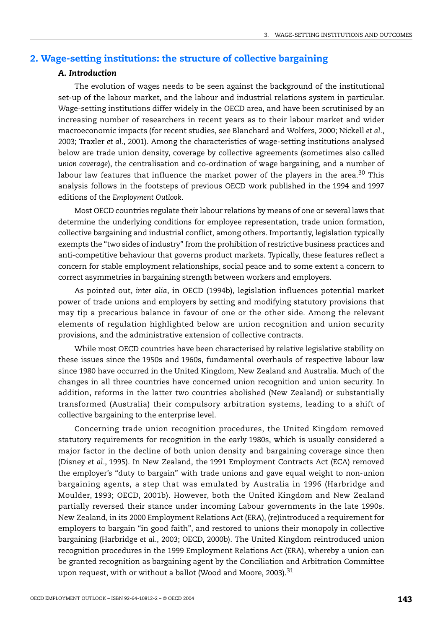# **2. Wage-setting institutions: the structure of collective bargaining**

# *A. Introduction*

The evolution of wages needs to be seen against the background of the institutional set-up of the labour market, and the labour and industrial relations system in particular. Wage-setting institutions differ widely in the OECD area, and have been scrutinised by an increasing number of researchers in recent years as to their labour market and wider macroeconomic impacts (for recent studies, see Blanchard and Wolfers, 2000; Nickell *et al.*, 2003; Traxler *et al.*, 2001). Among the characteristics of wage-setting institutions analysed below are trade union density, coverage by collective agreements (sometimes also called *union coverage*), the centralisation and co-ordination of wage bargaining, and a number of labour law features that influence the market power of the players in the area.<sup>30</sup> This analysis follows in the footsteps of previous OECD work published in the 1994 and 1997 editions of the *Employment Outlook*.

Most OECD countries regulate their labour relations by means of one or several laws that determine the underlying conditions for employee representation, trade union formation, collective bargaining and industrial conflict, among others. Importantly, legislation typically exempts the "two sides of industry" from the prohibition of restrictive business practices and anti-competitive behaviour that governs product markets. Typically, these features reflect a concern for stable employment relationships, social peace and to some extent a concern to correct asymmetries in bargaining strength between workers and employers.

As pointed out, *inter alia*, in OECD (1994b), legislation influences potential market power of trade unions and employers by setting and modifying statutory provisions that may tip a precarious balance in favour of one or the other side. Among the relevant elements of regulation highlighted below are union recognition and union security provisions, and the administrative extension of collective contracts.

While most OECD countries have been characterised by relative legislative stability on these issues since the 1950s and 1960s, fundamental overhauls of respective labour law since 1980 have occurred in the United Kingdom, New Zealand and Australia. Much of the changes in all three countries have concerned union recognition and union security. In addition, reforms in the latter two countries abolished (New Zealand) or substantially transformed (Australia) their compulsory arbitration systems, leading to a shift of collective bargaining to the enterprise level.

Concerning trade union recognition procedures, the United Kingdom removed statutory requirements for recognition in the early 1980s, which is usually considered a major factor in the decline of both union density and bargaining coverage since then (Disney *et al.*, 1995). In New Zealand, the 1991 Employment Contracts Act (ECA) removed the employer's "duty to bargain" with trade unions and gave equal weight to non-union bargaining agents, a step that was emulated by Australia in 1996 (Harbridge and Moulder, 1993; OECD, 2001b). However, both the United Kingdom and New Zealand partially reversed their stance under incoming Labour governments in the late 1990s. New Zealand, in its 2000 Employment Relations Act (ERA), (re)introduced a requirement for employers to bargain "in good faith", and restored to unions their monopoly in collective bargaining (Harbridge *et al.*, 2003; OECD, 2000b). The United Kingdom reintroduced union recognition procedures in the 1999 Employment Relations Act (ERA), whereby a union can be granted recognition as bargaining agent by the Conciliation and Arbitration Committee upon request, with or without a ballot (Wood and Moore, 2003).<sup>31</sup>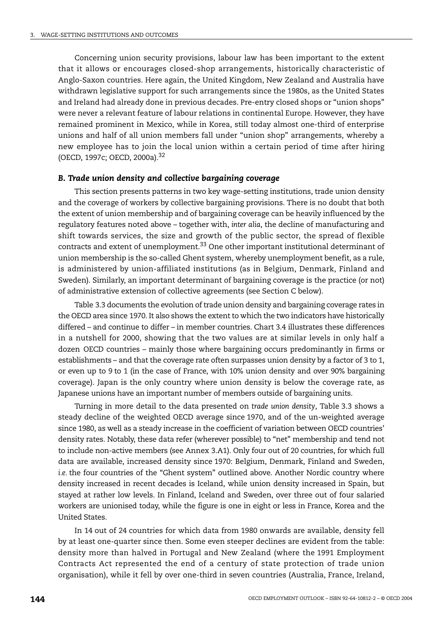Concerning union security provisions, labour law has been important to the extent that it allows or encourages closed-shop arrangements, historically characteristic of Anglo-Saxon countries. Here again, the United Kingdom, New Zealand and Australia have withdrawn legislative support for such arrangements since the 1980s, as the United States and Ireland had already done in previous decades. Pre-entry closed shops or "union shops" were never a relevant feature of labour relations in continental Europe. However, they have remained prominent in Mexico, while in Korea, still today almost one-third of enterprise unions and half of all union members fall under "union shop" arrangements, whereby a new employee has to join the local union within a certain period of time after hiring (OECD, 1997c; OECD, 2000a).32

### *B. Trade union density and collective bargaining coverage*

This section presents patterns in two key wage-setting institutions, trade union density and the coverage of workers by collective bargaining provisions. There is no doubt that both the extent of union membership and of bargaining coverage can be heavily influenced by the regulatory features noted above – together with, *inter alia*, the decline of manufacturing and shift towards services, the size and growth of the public sector, the spread of flexible contracts and extent of unemployment.<sup>33</sup> One other important institutional determinant of union membership is the so-called Ghent system, whereby unemployment benefit, as a rule, is administered by union-affiliated institutions (as in Belgium, Denmark, Finland and Sweden). Similarly, an important determinant of bargaining coverage is the practice (or not) of administrative extension of collective agreements (see Section C below).

Table 3.3 documents the evolution of trade union density and bargaining coverage rates in the OECD area since 1970. It also shows the extent to which the two indicators have historically differed – and continue to differ – in member countries. Chart 3.4 illustrates these differences in a nutshell for 2000, showing that the two values are at similar levels in only half a dozen OECD countries – mainly those where bargaining occurs predominantly in firms or establishments – and that the coverage rate often surpasses union density by a factor of 3 to 1, or even up to 9 to 1 (in the case of France, with 10% union density and over 90% bargaining coverage). Japan is the only country where union density is below the coverage rate, as Japanese unions have an important number of members outside of bargaining units.

Turning in more detail to the data presented on *trade union density*, Table 3.3 shows a steady decline of the weighted OECD average since 1970, and of the un-weighted average since 1980, as well as a steady increase in the coefficient of variation between OECD countries' density rates. Notably, these data refer (wherever possible) to "net" membership and tend not to include non-active members (see Annex 3.A1). Only four out of 20 countries, for which full data are available, increased density since 1970: Belgium, Denmark, Finland and Sweden, *i.e.* the four countries of the "Ghent system" outlined above. Another Nordic country where density increased in recent decades is Iceland, while union density increased in Spain, but stayed at rather low levels. In Finland, Iceland and Sweden, over three out of four salaried workers are unionised today, while the figure is one in eight or less in France, Korea and the United States.

In 14 out of 24 countries for which data from 1980 onwards are available, density fell by at least one-quarter since then. Some even steeper declines are evident from the table: density more than halved in Portugal and New Zealand (where the 1991 Employment Contracts Act represented the end of a century of state protection of trade union organisation), while it fell by over one-third in seven countries (Australia, France, Ireland,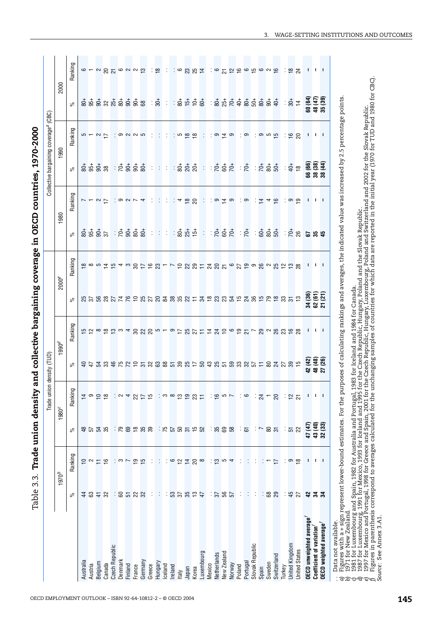| くくくり                                 |
|--------------------------------------|
|                                      |
|                                      |
|                                      |
|                                      |
| <b>OFCD countrie</b><br>inson dha Ti |
|                                      |
|                                      |
|                                      |
|                                      |
|                                      |
|                                      |
|                                      |
|                                      |
|                                      |
|                                      |
| ות בתח המורשת המורחות המורחות ב      |
|                                      |
|                                      |
|                                      |
|                                      |
|                                      |
| ;                                    |
|                                      |
|                                      |
|                                      |
|                                      |
|                                      |
|                                      |
| Î                                    |
|                                      |
|                                      |

| 60 (64)<br>$\frac{1}{8}$ $\frac{1}{8}$ $\frac{1}{8}$ $\frac{1}{8}$ $\frac{1}{9}$ $\frac{1}{8}$ $\frac{1}{8}$ $\frac{1}{8}$ $\frac{1}{8}$ $\frac{1}{8}$ $\frac{1}{8}$ $\frac{1}{8}$ $\frac{1}{9}$ $\frac{1}{8}$<br>$30+$<br>$\frac{1}{9}$ $\frac{1}{8}$ $\frac{1}{8}$ $\frac{1}{8}$ $\frac{1}{9}$ $\frac{1}{8}$ $\frac{1}{8}$ $\frac{1}{8}$ $\frac{1}{8}$ $\frac{1}{8}$<br>$: 8 + 2 + 8$<br>းခွံ<br>$95+$<br>ន្លឺ<br>$\ddot{\phantom{a}}$<br>$\frac{4}{5}$<br>వ్<br>Ranking<br>$5 - 9$<br>$\frac{1}{2}$ o $\alpha$ $\alpha$ $\alpha$<br>÷<br><u>ှစ =</u> စ<br><u>ှ တ</u><br><u>့ ဓာ က က</u><br>: ≌ ສ<br><u>့ က ထ ထ</u><br>1990<br>$\frac{1}{2}$ $\frac{1}{2}$ $\frac{1}{2}$<br>$\frac{1}{8}$ $\frac{1}{8}$ $\frac{1}{8}$<br>$:$ $:$ $\overline{5}$ $\overline{5}$ $\overline{5}$<br>: ಕ್ಲೆ ಹೈ ಕ್ಲೆ<br>$40+$<br>$-06$<br>$\frac{1}{6}$ $\frac{1}{6}$<br>: ई<br>$95 +$<br>క్షే<br>÷<br>$\mathbb{Z}^n$<br>$\ddot{\cdot}$<br>$\ddot{\cdot}$<br>$\frac{8}{10}$<br>$\frac{8}{20}$<br>వ్<br>Ranking<br>$\frac{8}{18}$<br>÷<br>$\sim$ $ \sim$ $\sim$<br>700074<br>÷<br><u>: ၈ ± ၈</u><br><u>း ဓ</u><br>$\vec{a}$ $\vec{a}$ $\vec{a}$<br>ာ ၅<br>$\frac{1}{4}$<br>1980<br>$rac{4}{37}$<br>$rac{+}{6}$<br>$-06$<br>$60+$<br>$60+$<br>$25 +$<br>15+<br>$\frac{1}{200}$ $\frac{1}{200}$<br>$70+$<br>$70 + 28$<br>$\overline{R}$<br>$60+$<br>$-05$<br>$95 +$<br>$\dot{5}$<br>$\ddot{\phantom{a}}$<br>÷.<br>di su<br>$\vdots$<br>$\ddot{\phantom{a}}$<br>÷<br>57<br>న<br>Ranking<br>12895はちょ335123752321123256223223<br>$2000^e$<br><b>あず 5 8 2 7 2 5 2 5 2 5 3 8 8 9 2 1 3 2 8 9 3 4 5 4 5 8 5 9 5 9 5 5 6 7 5 8 5 7 8 9 5 6 7 8 5 7 8 9 8 9 8 5 7 </b><br>వి<br>Ranking<br>$\frac{6}{28}$<br>ပ္ ေထာင္း လူ <i>႕</i><br>$1990^d$<br>వి<br>Ranking<br>$\sharp \circ \in \mathfrak{S}$<br>$: \alpha \neq \emptyset \succeq \overline{\omega}$<br>ုက္စ္တက္ တက္ဆိုင္ရာ<br><u>ှစ</u> ဟ $\sim$<br><u>း ဖ</u><br>$\overline{5}$<br>∶ ≈ ಸ<br>∶ న ⊤<br>$980^{\rm c}$<br>47 (47)<br>÷<br>់ ក្នុង ក្នុង អ្ន<br>: 88 8<br>$\frac{1}{2}$<br>85<br>$\therefore$ ဥ ္က တ္က တ္က တ<br>் க<br><b>805</b><br>$5 \frac{2}{2}$<br>$5\frac{1}{2}$<br>వ్<br>Ranking<br>$\frac{6}{1}$<br>$\frac{5}{10}$<br>÷<br>$\mathbf{c}$<br>2720<br>$\infty$<br>$\frac{10}{2}$ in $\frac{4}{3}$<br>e<br>$\approx$<br>$\mathbf{I}$<br>$\frac{1}{2}$ $\alpha$<br>Ξ<br>္ က<br>$\overline{17}$<br>q0261<br>$\frac{25}{56}$<br>$\cdot$<br>29<br>45<br>57<br>22<br>3582<br>÷<br>68<br>42<br>$\overline{4}$<br>32<br>G <sub>0</sub><br>÷<br>÷<br>47<br>÷<br>ස<br>$\overline{2}$<br>さ<br>÷<br>న్<br>$0$ ECD unweighted average $^\prime$<br>United Kingdom<br>Slovak Republic<br>Czech Republic<br><b>United States</b><br>Luxembourg<br>New Zealand<br><b>Netherlands</b><br>Switzerland<br>Denmark<br>Australia<br>Germany<br>Hungary<br>Belgium<br>Portugal<br>Sweden<br>Canada<br>Mexico<br>Austria<br>Norway<br>Finland<br>Iceland<br>Greece<br>Ireland<br>Poland<br>France<br>Turkey<br>Spain<br>Japan<br>Korea<br>Italy | 48 (47)<br>35(39)<br><b>The Contract</b><br>66 (66)<br>38 (38)<br>38 (44)<br>$1 \quad 1 \quad 1$<br>45<br>品<br>$1 \quad 1 \quad 1$<br>34 (36)<br>62 (61)<br>21 (21)<br>$1 \quad 1 \quad 1$<br>$42(42)$<br>$48(48)$<br>$27(26)$<br>$1 \quad 1 \quad 1$<br>43 (40)<br>32 (33)<br>H.<br>$\blacksquare$<br>$3\frac{4}{3}$<br>$0$ ECD weighted average $^{\prime}$<br>Coefficient of variation | $\frac{1}{2}$ $\frac{6}{5}$ $\frac{1}{2}$ $\frac{1}{2}$ $\frac{1}{2}$ $\frac{1}{2}$ $\frac{1}{2}$ $\frac{1}{2}$ $\frac{1}{2}$ $\frac{1}{2}$ $\frac{1}{2}$ $\frac{1}{2}$<br>: 6887<br>1981 for Luxembourg and Spain, 1982 for Australia and Portugal, 1983 for Iceland and 1984 for Canada.<br>1987 for Luxembourg, 1991 for Mexico, 1993 for Iceland and 1985 for the Czech Republic, Hungary, Poland and the Slovak R<br>2000<br>For the purposes of calculating rankings and averages, the indicated value was increased by 2.5 percentage points<br>Figures with a + sign represent lower-bound estimates.<br>1971 for New Zealand.<br>Data not available.<br>ತಾಂತೂಪ |                        |  | Trade union density (TUD) |  |  |  | Collective bargaining coverage <sup>a</sup> (CBC) |                                                            |
|-------------------------------------------------------------------------------------------------------------------------------------------------------------------------------------------------------------------------------------------------------------------------------------------------------------------------------------------------------------------------------------------------------------------------------------------------------------------------------------------------------------------------------------------------------------------------------------------------------------------------------------------------------------------------------------------------------------------------------------------------------------------------------------------------------------------------------------------------------------------------------------------------------------------------------------------------------------------------------------------------------------------------------------------------------------------------------------------------------------------------------------------------------------------------------------------------------------------------------------------------------------------------------------------------------------------------------------------------------------------------------------------------------------------------------------------------------------------------------------------------------------------------------------------------------------------------------------------------------------------------------------------------------------------------------------------------------------------------------------------------------------------------------------------------------------------------------------------------------------------------------------------------------------------------------------------------------------------------------------------------------------------------------------------------------------------------------------------------------------------------------------------------------------------------------------------------------------------------------------------------------------------------------------------------------------------------------------------------------------------------------------------------------------------------------------------------------------------------------------------------------------------------------------------------------------------------------------------------------------------------------------------------------------------------------------------------------------------------------------------------------------------------------------------------------------------------------------------------------------------------------------------------------------------------------------------------------------------|-------------------------------------------------------------------------------------------------------------------------------------------------------------------------------------------------------------------------------------------------------------------------------------------------------------------------------------------------------------------------------------------|-------------------------------------------------------------------------------------------------------------------------------------------------------------------------------------------------------------------------------------------------------------------------------------------------------------------------------------------------------------------------------------------------------------------------------------------------------------------------------------------------------------------------------------------------------------------------------------------------------------------------------------------------------------------------|------------------------|--|---------------------------|--|--|--|---------------------------------------------------|------------------------------------------------------------|
|                                                                                                                                                                                                                                                                                                                                                                                                                                                                                                                                                                                                                                                                                                                                                                                                                                                                                                                                                                                                                                                                                                                                                                                                                                                                                                                                                                                                                                                                                                                                                                                                                                                                                                                                                                                                                                                                                                                                                                                                                                                                                                                                                                                                                                                                                                                                                                                                                                                                                                                                                                                                                                                                                                                                                                                                                                                                                                                                                                   |                                                                                                                                                                                                                                                                                                                                                                                           |                                                                                                                                                                                                                                                                                                                                                                                                                                                                                                                                                                                                                                                                         |                        |  |                           |  |  |  |                                                   |                                                            |
|                                                                                                                                                                                                                                                                                                                                                                                                                                                                                                                                                                                                                                                                                                                                                                                                                                                                                                                                                                                                                                                                                                                                                                                                                                                                                                                                                                                                                                                                                                                                                                                                                                                                                                                                                                                                                                                                                                                                                                                                                                                                                                                                                                                                                                                                                                                                                                                                                                                                                                                                                                                                                                                                                                                                                                                                                                                                                                                                                                   |                                                                                                                                                                                                                                                                                                                                                                                           |                                                                                                                                                                                                                                                                                                                                                                                                                                                                                                                                                                                                                                                                         |                        |  |                           |  |  |  |                                                   | Ranking                                                    |
|                                                                                                                                                                                                                                                                                                                                                                                                                                                                                                                                                                                                                                                                                                                                                                                                                                                                                                                                                                                                                                                                                                                                                                                                                                                                                                                                                                                                                                                                                                                                                                                                                                                                                                                                                                                                                                                                                                                                                                                                                                                                                                                                                                                                                                                                                                                                                                                                                                                                                                                                                                                                                                                                                                                                                                                                                                                                                                                                                                   |                                                                                                                                                                                                                                                                                                                                                                                           |                                                                                                                                                                                                                                                                                                                                                                                                                                                                                                                                                                                                                                                                         |                        |  |                           |  |  |  |                                                   |                                                            |
|                                                                                                                                                                                                                                                                                                                                                                                                                                                                                                                                                                                                                                                                                                                                                                                                                                                                                                                                                                                                                                                                                                                                                                                                                                                                                                                                                                                                                                                                                                                                                                                                                                                                                                                                                                                                                                                                                                                                                                                                                                                                                                                                                                                                                                                                                                                                                                                                                                                                                                                                                                                                                                                                                                                                                                                                                                                                                                                                                                   |                                                                                                                                                                                                                                                                                                                                                                                           |                                                                                                                                                                                                                                                                                                                                                                                                                                                                                                                                                                                                                                                                         |                        |  |                           |  |  |  |                                                   |                                                            |
|                                                                                                                                                                                                                                                                                                                                                                                                                                                                                                                                                                                                                                                                                                                                                                                                                                                                                                                                                                                                                                                                                                                                                                                                                                                                                                                                                                                                                                                                                                                                                                                                                                                                                                                                                                                                                                                                                                                                                                                                                                                                                                                                                                                                                                                                                                                                                                                                                                                                                                                                                                                                                                                                                                                                                                                                                                                                                                                                                                   |                                                                                                                                                                                                                                                                                                                                                                                           |                                                                                                                                                                                                                                                                                                                                                                                                                                                                                                                                                                                                                                                                         |                        |  |                           |  |  |  |                                                   | $\begin{array}{c}\n0 & -\alpha \\ 0 & \alpha\n\end{array}$ |
|                                                                                                                                                                                                                                                                                                                                                                                                                                                                                                                                                                                                                                                                                                                                                                                                                                                                                                                                                                                                                                                                                                                                                                                                                                                                                                                                                                                                                                                                                                                                                                                                                                                                                                                                                                                                                                                                                                                                                                                                                                                                                                                                                                                                                                                                                                                                                                                                                                                                                                                                                                                                                                                                                                                                                                                                                                                                                                                                                                   |                                                                                                                                                                                                                                                                                                                                                                                           |                                                                                                                                                                                                                                                                                                                                                                                                                                                                                                                                                                                                                                                                         |                        |  |                           |  |  |  |                                                   |                                                            |
|                                                                                                                                                                                                                                                                                                                                                                                                                                                                                                                                                                                                                                                                                                                                                                                                                                                                                                                                                                                                                                                                                                                                                                                                                                                                                                                                                                                                                                                                                                                                                                                                                                                                                                                                                                                                                                                                                                                                                                                                                                                                                                                                                                                                                                                                                                                                                                                                                                                                                                                                                                                                                                                                                                                                                                                                                                                                                                                                                                   |                                                                                                                                                                                                                                                                                                                                                                                           |                                                                                                                                                                                                                                                                                                                                                                                                                                                                                                                                                                                                                                                                         |                        |  |                           |  |  |  |                                                   |                                                            |
|                                                                                                                                                                                                                                                                                                                                                                                                                                                                                                                                                                                                                                                                                                                                                                                                                                                                                                                                                                                                                                                                                                                                                                                                                                                                                                                                                                                                                                                                                                                                                                                                                                                                                                                                                                                                                                                                                                                                                                                                                                                                                                                                                                                                                                                                                                                                                                                                                                                                                                                                                                                                                                                                                                                                                                                                                                                                                                                                                                   |                                                                                                                                                                                                                                                                                                                                                                                           |                                                                                                                                                                                                                                                                                                                                                                                                                                                                                                                                                                                                                                                                         |                        |  |                           |  |  |  |                                                   |                                                            |
|                                                                                                                                                                                                                                                                                                                                                                                                                                                                                                                                                                                                                                                                                                                                                                                                                                                                                                                                                                                                                                                                                                                                                                                                                                                                                                                                                                                                                                                                                                                                                                                                                                                                                                                                                                                                                                                                                                                                                                                                                                                                                                                                                                                                                                                                                                                                                                                                                                                                                                                                                                                                                                                                                                                                                                                                                                                                                                                                                                   |                                                                                                                                                                                                                                                                                                                                                                                           |                                                                                                                                                                                                                                                                                                                                                                                                                                                                                                                                                                                                                                                                         |                        |  |                           |  |  |  |                                                   |                                                            |
|                                                                                                                                                                                                                                                                                                                                                                                                                                                                                                                                                                                                                                                                                                                                                                                                                                                                                                                                                                                                                                                                                                                                                                                                                                                                                                                                                                                                                                                                                                                                                                                                                                                                                                                                                                                                                                                                                                                                                                                                                                                                                                                                                                                                                                                                                                                                                                                                                                                                                                                                                                                                                                                                                                                                                                                                                                                                                                                                                                   |                                                                                                                                                                                                                                                                                                                                                                                           |                                                                                                                                                                                                                                                                                                                                                                                                                                                                                                                                                                                                                                                                         |                        |  |                           |  |  |  |                                                   |                                                            |
|                                                                                                                                                                                                                                                                                                                                                                                                                                                                                                                                                                                                                                                                                                                                                                                                                                                                                                                                                                                                                                                                                                                                                                                                                                                                                                                                                                                                                                                                                                                                                                                                                                                                                                                                                                                                                                                                                                                                                                                                                                                                                                                                                                                                                                                                                                                                                                                                                                                                                                                                                                                                                                                                                                                                                                                                                                                                                                                                                                   |                                                                                                                                                                                                                                                                                                                                                                                           |                                                                                                                                                                                                                                                                                                                                                                                                                                                                                                                                                                                                                                                                         |                        |  |                           |  |  |  |                                                   |                                                            |
|                                                                                                                                                                                                                                                                                                                                                                                                                                                                                                                                                                                                                                                                                                                                                                                                                                                                                                                                                                                                                                                                                                                                                                                                                                                                                                                                                                                                                                                                                                                                                                                                                                                                                                                                                                                                                                                                                                                                                                                                                                                                                                                                                                                                                                                                                                                                                                                                                                                                                                                                                                                                                                                                                                                                                                                                                                                                                                                                                                   |                                                                                                                                                                                                                                                                                                                                                                                           |                                                                                                                                                                                                                                                                                                                                                                                                                                                                                                                                                                                                                                                                         |                        |  |                           |  |  |  |                                                   |                                                            |
|                                                                                                                                                                                                                                                                                                                                                                                                                                                                                                                                                                                                                                                                                                                                                                                                                                                                                                                                                                                                                                                                                                                                                                                                                                                                                                                                                                                                                                                                                                                                                                                                                                                                                                                                                                                                                                                                                                                                                                                                                                                                                                                                                                                                                                                                                                                                                                                                                                                                                                                                                                                                                                                                                                                                                                                                                                                                                                                                                                   |                                                                                                                                                                                                                                                                                                                                                                                           |                                                                                                                                                                                                                                                                                                                                                                                                                                                                                                                                                                                                                                                                         |                        |  |                           |  |  |  |                                                   |                                                            |
|                                                                                                                                                                                                                                                                                                                                                                                                                                                                                                                                                                                                                                                                                                                                                                                                                                                                                                                                                                                                                                                                                                                                                                                                                                                                                                                                                                                                                                                                                                                                                                                                                                                                                                                                                                                                                                                                                                                                                                                                                                                                                                                                                                                                                                                                                                                                                                                                                                                                                                                                                                                                                                                                                                                                                                                                                                                                                                                                                                   |                                                                                                                                                                                                                                                                                                                                                                                           |                                                                                                                                                                                                                                                                                                                                                                                                                                                                                                                                                                                                                                                                         |                        |  |                           |  |  |  |                                                   | ÷                                                          |
|                                                                                                                                                                                                                                                                                                                                                                                                                                                                                                                                                                                                                                                                                                                                                                                                                                                                                                                                                                                                                                                                                                                                                                                                                                                                                                                                                                                                                                                                                                                                                                                                                                                                                                                                                                                                                                                                                                                                                                                                                                                                                                                                                                                                                                                                                                                                                                                                                                                                                                                                                                                                                                                                                                                                                                                                                                                                                                                                                                   |                                                                                                                                                                                                                                                                                                                                                                                           |                                                                                                                                                                                                                                                                                                                                                                                                                                                                                                                                                                                                                                                                         |                        |  |                           |  |  |  |                                                   |                                                            |
|                                                                                                                                                                                                                                                                                                                                                                                                                                                                                                                                                                                                                                                                                                                                                                                                                                                                                                                                                                                                                                                                                                                                                                                                                                                                                                                                                                                                                                                                                                                                                                                                                                                                                                                                                                                                                                                                                                                                                                                                                                                                                                                                                                                                                                                                                                                                                                                                                                                                                                                                                                                                                                                                                                                                                                                                                                                                                                                                                                   |                                                                                                                                                                                                                                                                                                                                                                                           |                                                                                                                                                                                                                                                                                                                                                                                                                                                                                                                                                                                                                                                                         |                        |  |                           |  |  |  |                                                   |                                                            |
|                                                                                                                                                                                                                                                                                                                                                                                                                                                                                                                                                                                                                                                                                                                                                                                                                                                                                                                                                                                                                                                                                                                                                                                                                                                                                                                                                                                                                                                                                                                                                                                                                                                                                                                                                                                                                                                                                                                                                                                                                                                                                                                                                                                                                                                                                                                                                                                                                                                                                                                                                                                                                                                                                                                                                                                                                                                                                                                                                                   |                                                                                                                                                                                                                                                                                                                                                                                           |                                                                                                                                                                                                                                                                                                                                                                                                                                                                                                                                                                                                                                                                         |                        |  |                           |  |  |  |                                                   |                                                            |
|                                                                                                                                                                                                                                                                                                                                                                                                                                                                                                                                                                                                                                                                                                                                                                                                                                                                                                                                                                                                                                                                                                                                                                                                                                                                                                                                                                                                                                                                                                                                                                                                                                                                                                                                                                                                                                                                                                                                                                                                                                                                                                                                                                                                                                                                                                                                                                                                                                                                                                                                                                                                                                                                                                                                                                                                                                                                                                                                                                   |                                                                                                                                                                                                                                                                                                                                                                                           |                                                                                                                                                                                                                                                                                                                                                                                                                                                                                                                                                                                                                                                                         |                        |  |                           |  |  |  |                                                   |                                                            |
|                                                                                                                                                                                                                                                                                                                                                                                                                                                                                                                                                                                                                                                                                                                                                                                                                                                                                                                                                                                                                                                                                                                                                                                                                                                                                                                                                                                                                                                                                                                                                                                                                                                                                                                                                                                                                                                                                                                                                                                                                                                                                                                                                                                                                                                                                                                                                                                                                                                                                                                                                                                                                                                                                                                                                                                                                                                                                                                                                                   |                                                                                                                                                                                                                                                                                                                                                                                           |                                                                                                                                                                                                                                                                                                                                                                                                                                                                                                                                                                                                                                                                         |                        |  |                           |  |  |  |                                                   |                                                            |
|                                                                                                                                                                                                                                                                                                                                                                                                                                                                                                                                                                                                                                                                                                                                                                                                                                                                                                                                                                                                                                                                                                                                                                                                                                                                                                                                                                                                                                                                                                                                                                                                                                                                                                                                                                                                                                                                                                                                                                                                                                                                                                                                                                                                                                                                                                                                                                                                                                                                                                                                                                                                                                                                                                                                                                                                                                                                                                                                                                   |                                                                                                                                                                                                                                                                                                                                                                                           |                                                                                                                                                                                                                                                                                                                                                                                                                                                                                                                                                                                                                                                                         |                        |  |                           |  |  |  |                                                   |                                                            |
|                                                                                                                                                                                                                                                                                                                                                                                                                                                                                                                                                                                                                                                                                                                                                                                                                                                                                                                                                                                                                                                                                                                                                                                                                                                                                                                                                                                                                                                                                                                                                                                                                                                                                                                                                                                                                                                                                                                                                                                                                                                                                                                                                                                                                                                                                                                                                                                                                                                                                                                                                                                                                                                                                                                                                                                                                                                                                                                                                                   |                                                                                                                                                                                                                                                                                                                                                                                           |                                                                                                                                                                                                                                                                                                                                                                                                                                                                                                                                                                                                                                                                         |                        |  |                           |  |  |  |                                                   |                                                            |
|                                                                                                                                                                                                                                                                                                                                                                                                                                                                                                                                                                                                                                                                                                                                                                                                                                                                                                                                                                                                                                                                                                                                                                                                                                                                                                                                                                                                                                                                                                                                                                                                                                                                                                                                                                                                                                                                                                                                                                                                                                                                                                                                                                                                                                                                                                                                                                                                                                                                                                                                                                                                                                                                                                                                                                                                                                                                                                                                                                   |                                                                                                                                                                                                                                                                                                                                                                                           |                                                                                                                                                                                                                                                                                                                                                                                                                                                                                                                                                                                                                                                                         |                        |  |                           |  |  |  |                                                   |                                                            |
|                                                                                                                                                                                                                                                                                                                                                                                                                                                                                                                                                                                                                                                                                                                                                                                                                                                                                                                                                                                                                                                                                                                                                                                                                                                                                                                                                                                                                                                                                                                                                                                                                                                                                                                                                                                                                                                                                                                                                                                                                                                                                                                                                                                                                                                                                                                                                                                                                                                                                                                                                                                                                                                                                                                                                                                                                                                                                                                                                                   |                                                                                                                                                                                                                                                                                                                                                                                           |                                                                                                                                                                                                                                                                                                                                                                                                                                                                                                                                                                                                                                                                         |                        |  |                           |  |  |  |                                                   |                                                            |
|                                                                                                                                                                                                                                                                                                                                                                                                                                                                                                                                                                                                                                                                                                                                                                                                                                                                                                                                                                                                                                                                                                                                                                                                                                                                                                                                                                                                                                                                                                                                                                                                                                                                                                                                                                                                                                                                                                                                                                                                                                                                                                                                                                                                                                                                                                                                                                                                                                                                                                                                                                                                                                                                                                                                                                                                                                                                                                                                                                   |                                                                                                                                                                                                                                                                                                                                                                                           |                                                                                                                                                                                                                                                                                                                                                                                                                                                                                                                                                                                                                                                                         |                        |  |                           |  |  |  |                                                   |                                                            |
|                                                                                                                                                                                                                                                                                                                                                                                                                                                                                                                                                                                                                                                                                                                                                                                                                                                                                                                                                                                                                                                                                                                                                                                                                                                                                                                                                                                                                                                                                                                                                                                                                                                                                                                                                                                                                                                                                                                                                                                                                                                                                                                                                                                                                                                                                                                                                                                                                                                                                                                                                                                                                                                                                                                                                                                                                                                                                                                                                                   |                                                                                                                                                                                                                                                                                                                                                                                           |                                                                                                                                                                                                                                                                                                                                                                                                                                                                                                                                                                                                                                                                         |                        |  |                           |  |  |  |                                                   |                                                            |
|                                                                                                                                                                                                                                                                                                                                                                                                                                                                                                                                                                                                                                                                                                                                                                                                                                                                                                                                                                                                                                                                                                                                                                                                                                                                                                                                                                                                                                                                                                                                                                                                                                                                                                                                                                                                                                                                                                                                                                                                                                                                                                                                                                                                                                                                                                                                                                                                                                                                                                                                                                                                                                                                                                                                                                                                                                                                                                                                                                   |                                                                                                                                                                                                                                                                                                                                                                                           |                                                                                                                                                                                                                                                                                                                                                                                                                                                                                                                                                                                                                                                                         |                        |  |                           |  |  |  |                                                   |                                                            |
|                                                                                                                                                                                                                                                                                                                                                                                                                                                                                                                                                                                                                                                                                                                                                                                                                                                                                                                                                                                                                                                                                                                                                                                                                                                                                                                                                                                                                                                                                                                                                                                                                                                                                                                                                                                                                                                                                                                                                                                                                                                                                                                                                                                                                                                                                                                                                                                                                                                                                                                                                                                                                                                                                                                                                                                                                                                                                                                                                                   |                                                                                                                                                                                                                                                                                                                                                                                           |                                                                                                                                                                                                                                                                                                                                                                                                                                                                                                                                                                                                                                                                         |                        |  |                           |  |  |  |                                                   |                                                            |
|                                                                                                                                                                                                                                                                                                                                                                                                                                                                                                                                                                                                                                                                                                                                                                                                                                                                                                                                                                                                                                                                                                                                                                                                                                                                                                                                                                                                                                                                                                                                                                                                                                                                                                                                                                                                                                                                                                                                                                                                                                                                                                                                                                                                                                                                                                                                                                                                                                                                                                                                                                                                                                                                                                                                                                                                                                                                                                                                                                   |                                                                                                                                                                                                                                                                                                                                                                                           |                                                                                                                                                                                                                                                                                                                                                                                                                                                                                                                                                                                                                                                                         |                        |  |                           |  |  |  |                                                   |                                                            |
|                                                                                                                                                                                                                                                                                                                                                                                                                                                                                                                                                                                                                                                                                                                                                                                                                                                                                                                                                                                                                                                                                                                                                                                                                                                                                                                                                                                                                                                                                                                                                                                                                                                                                                                                                                                                                                                                                                                                                                                                                                                                                                                                                                                                                                                                                                                                                                                                                                                                                                                                                                                                                                                                                                                                                                                                                                                                                                                                                                   |                                                                                                                                                                                                                                                                                                                                                                                           |                                                                                                                                                                                                                                                                                                                                                                                                                                                                                                                                                                                                                                                                         |                        |  |                           |  |  |  |                                                   |                                                            |
|                                                                                                                                                                                                                                                                                                                                                                                                                                                                                                                                                                                                                                                                                                                                                                                                                                                                                                                                                                                                                                                                                                                                                                                                                                                                                                                                                                                                                                                                                                                                                                                                                                                                                                                                                                                                                                                                                                                                                                                                                                                                                                                                                                                                                                                                                                                                                                                                                                                                                                                                                                                                                                                                                                                                                                                                                                                                                                                                                                   |                                                                                                                                                                                                                                                                                                                                                                                           |                                                                                                                                                                                                                                                                                                                                                                                                                                                                                                                                                                                                                                                                         |                        |  |                           |  |  |  |                                                   | ÷                                                          |
|                                                                                                                                                                                                                                                                                                                                                                                                                                                                                                                                                                                                                                                                                                                                                                                                                                                                                                                                                                                                                                                                                                                                                                                                                                                                                                                                                                                                                                                                                                                                                                                                                                                                                                                                                                                                                                                                                                                                                                                                                                                                                                                                                                                                                                                                                                                                                                                                                                                                                                                                                                                                                                                                                                                                                                                                                                                                                                                                                                   |                                                                                                                                                                                                                                                                                                                                                                                           |                                                                                                                                                                                                                                                                                                                                                                                                                                                                                                                                                                                                                                                                         |                        |  |                           |  |  |  |                                                   | $\frac{8}{24}$                                             |
|                                                                                                                                                                                                                                                                                                                                                                                                                                                                                                                                                                                                                                                                                                                                                                                                                                                                                                                                                                                                                                                                                                                                                                                                                                                                                                                                                                                                                                                                                                                                                                                                                                                                                                                                                                                                                                                                                                                                                                                                                                                                                                                                                                                                                                                                                                                                                                                                                                                                                                                                                                                                                                                                                                                                                                                                                                                                                                                                                                   |                                                                                                                                                                                                                                                                                                                                                                                           |                                                                                                                                                                                                                                                                                                                                                                                                                                                                                                                                                                                                                                                                         |                        |  |                           |  |  |  |                                                   |                                                            |
|                                                                                                                                                                                                                                                                                                                                                                                                                                                                                                                                                                                                                                                                                                                                                                                                                                                                                                                                                                                                                                                                                                                                                                                                                                                                                                                                                                                                                                                                                                                                                                                                                                                                                                                                                                                                                                                                                                                                                                                                                                                                                                                                                                                                                                                                                                                                                                                                                                                                                                                                                                                                                                                                                                                                                                                                                                                                                                                                                                   |                                                                                                                                                                                                                                                                                                                                                                                           |                                                                                                                                                                                                                                                                                                                                                                                                                                                                                                                                                                                                                                                                         |                        |  |                           |  |  |  |                                                   |                                                            |
|                                                                                                                                                                                                                                                                                                                                                                                                                                                                                                                                                                                                                                                                                                                                                                                                                                                                                                                                                                                                                                                                                                                                                                                                                                                                                                                                                                                                                                                                                                                                                                                                                                                                                                                                                                                                                                                                                                                                                                                                                                                                                                                                                                                                                                                                                                                                                                                                                                                                                                                                                                                                                                                                                                                                                                                                                                                                                                                                                                   |                                                                                                                                                                                                                                                                                                                                                                                           |                                                                                                                                                                                                                                                                                                                                                                                                                                                                                                                                                                                                                                                                         |                        |  |                           |  |  |  |                                                   |                                                            |
|                                                                                                                                                                                                                                                                                                                                                                                                                                                                                                                                                                                                                                                                                                                                                                                                                                                                                                                                                                                                                                                                                                                                                                                                                                                                                                                                                                                                                                                                                                                                                                                                                                                                                                                                                                                                                                                                                                                                                                                                                                                                                                                                                                                                                                                                                                                                                                                                                                                                                                                                                                                                                                                                                                                                                                                                                                                                                                                                                                   |                                                                                                                                                                                                                                                                                                                                                                                           |                                                                                                                                                                                                                                                                                                                                                                                                                                                                                                                                                                                                                                                                         |                        |  |                           |  |  |  |                                                   | $\mathbf{1}$ and $\mathbf{1}$                              |
|                                                                                                                                                                                                                                                                                                                                                                                                                                                                                                                                                                                                                                                                                                                                                                                                                                                                                                                                                                                                                                                                                                                                                                                                                                                                                                                                                                                                                                                                                                                                                                                                                                                                                                                                                                                                                                                                                                                                                                                                                                                                                                                                                                                                                                                                                                                                                                                                                                                                                                                                                                                                                                                                                                                                                                                                                                                                                                                                                                   |                                                                                                                                                                                                                                                                                                                                                                                           |                                                                                                                                                                                                                                                                                                                                                                                                                                                                                                                                                                                                                                                                         |                        |  |                           |  |  |  |                                                   |                                                            |
|                                                                                                                                                                                                                                                                                                                                                                                                                                                                                                                                                                                                                                                                                                                                                                                                                                                                                                                                                                                                                                                                                                                                                                                                                                                                                                                                                                                                                                                                                                                                                                                                                                                                                                                                                                                                                                                                                                                                                                                                                                                                                                                                                                                                                                                                                                                                                                                                                                                                                                                                                                                                                                                                                                                                                                                                                                                                                                                                                                   |                                                                                                                                                                                                                                                                                                                                                                                           |                                                                                                                                                                                                                                                                                                                                                                                                                                                                                                                                                                                                                                                                         | Source: See Annex 3.A1 |  |                           |  |  |  |                                                   |                                                            |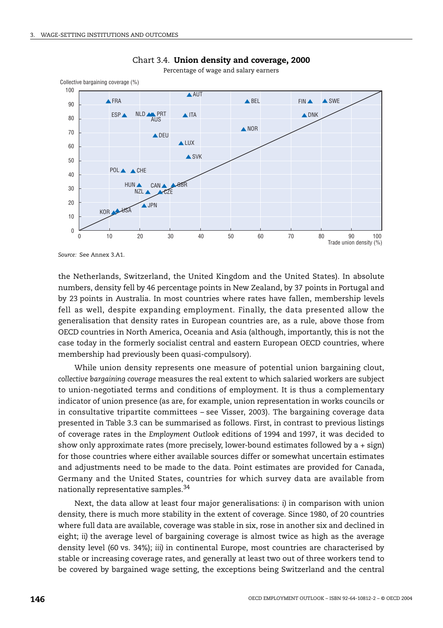

Chart 3.4. **Union density and coverage, 2000**

Percentage of wage and salary earners

*Source:* See Annex 3.A1.

the Netherlands, Switzerland, the United Kingdom and the United States). In absolute numbers, density fell by 46 percentage points in New Zealand, by 37 points in Portugal and by 23 points in Australia. In most countries where rates have fallen, membership levels fell as well, despite expanding employment. Finally, the data presented allow the generalisation that density rates in European countries are, as a rule, above those from OECD countries in North America, Oceania and Asia (although, importantly, this is not the case today in the formerly socialist central and eastern European OECD countries, where membership had previously been quasi-compulsory).

While union density represents one measure of potential union bargaining clout, *collective bargaining coverage* measures the real extent to which salaried workers are subject to union-negotiated terms and conditions of employment. It is thus a complementary indicator of union presence (as are, for example, union representation in works councils or in consultative tripartite committees – see Visser, 2003). The bargaining coverage data presented in Table 3.3 can be summarised as follows. First, in contrast to previous listings of coverage rates in the *Employment Outlook* editions of 1994 and 1997, it was decided to show only approximate rates (more precisely, lower-bound estimates followed by  $a + sign$ ) for those countries where either available sources differ or somewhat uncertain estimates and adjustments need to be made to the data. Point estimates are provided for Canada, Germany and the United States, countries for which survey data are available from nationally representative samples.<sup>34</sup>

Next, the data allow at least four major generalisations: *i)* in comparison with union density, there is much more stability in the extent of coverage. Since 1980, of 20 countries where full data are available, coverage was stable in six, rose in another six and declined in eight; *ii)* the average level of bargaining coverage is almost twice as high as the average density level (60 vs. 34%); *iii)* in continental Europe, most countries are characterised by stable or increasing coverage rates, and generally at least two out of three workers tend to be covered by bargained wage setting, the exceptions being Switzerland and the central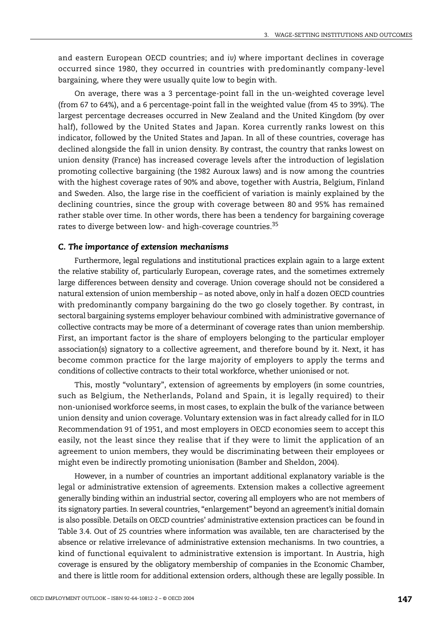and eastern European OECD countries; and *iv)* where important declines in coverage occurred since 1980, they occurred in countries with predominantly company-level bargaining, where they were usually quite low to begin with.

On average, there was a 3 percentage-point fall in the un-weighted coverage level (from 67 to 64%), and a 6 percentage-point fall in the weighted value (from 45 to 39%). The largest percentage decreases occurred in New Zealand and the United Kingdom (by over half), followed by the United States and Japan. Korea currently ranks lowest on this indicator, followed by the United States and Japan. In all of these countries, coverage has declined alongside the fall in union density. By contrast, the country that ranks lowest on union density (France) has increased coverage levels after the introduction of legislation promoting collective bargaining (the 1982 Auroux laws) and is now among the countries with the highest coverage rates of 90% and above, together with Austria, Belgium, Finland and Sweden. Also, the large rise in the coefficient of variation is mainly explained by the declining countries, since the group with coverage between 80 and 95% has remained rather stable over time. In other words, there has been a tendency for bargaining coverage rates to diverge between low- and high-coverage countries.<sup>35</sup>

### *C. The importance of extension mechanisms*

Furthermore, legal regulations and institutional practices explain again to a large extent the relative stability of, particularly European, coverage rates, and the sometimes extremely large differences between density and coverage. Union coverage should not be considered a natural extension of union membership – as noted above, only in half a dozen OECD countries with predominantly company bargaining do the two go closely together. By contrast, in sectoral bargaining systems employer behaviour combined with administrative governance of collective contracts may be more of a determinant of coverage rates than union membership. First, an important factor is the share of employers belonging to the particular employer association(s) signatory to a collective agreement, and therefore bound by it. Next, it has become common practice for the large majority of employers to apply the terms and conditions of collective contracts to their total workforce, whether unionised or not.

This, mostly "voluntary", extension of agreements by employers (in some countries, such as Belgium, the Netherlands, Poland and Spain, it is legally required) to their non-unionised workforce seems, in most cases, to explain the bulk of the variance between union density and union coverage. Voluntary extension was in fact already called for in ILO Recommendation 91 of 1951, and most employers in OECD economies seem to accept this easily, not the least since they realise that if they were to limit the application of an agreement to union members, they would be discriminating between their employees or might even be indirectly promoting unionisation (Bamber and Sheldon, 2004).

However, in a number of countries an important additional explanatory variable is the legal or administrative extension of agreements. Extension makes a collective agreement generally binding within an industrial sector, covering all employers who are not members of its signatory parties. In several countries, "enlargement" beyond an agreement's initial domain is also possible. Details on OECD countries' administrative extension practices can be found in Table 3.4. Out of 25 countries where information was available, ten are characterised by the absence or relative irrelevance of administrative extension mechanisms. In two countries, a kind of functional equivalent to administrative extension is important. In Austria, high coverage is ensured by the obligatory membership of companies in the Economic Chamber, and there is little room for additional extension orders, although these are legally possible. In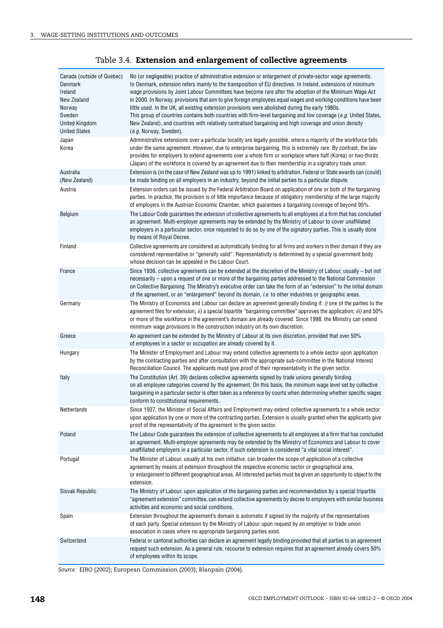# Table 3.4. **Extension and enlargement of collective agreements**

| Canada (outside of Quebec)<br>Denmark<br>Ireland<br>New Zealand<br>Norway<br>Sweden<br><b>United Kingdom</b><br><b>United States</b> | No (or negligeable) practice of administrative extension or enlargement of private-sector wage agreements.<br>In Denmark, extension refers mainly to the transposition of EU directives. In Ireland, extensions of minimum<br>wage provisions by Joint Labour Committees have become rare after the adoption of the Minimum Wage Act<br>in 2000. In Norway, provisions that aim to give foreign employees equal wages and working conditions have been<br>little used. In the UK, all existing extension provisions were abolished during the early 1980s.<br>This group of countries contains both countries with firm-level bargaining and low coverage (e.g. United States,<br>New Zealand), and countries with relatively centralised bargaining and high coverage and union density<br>(e.g. Norway, Sweden). |
|--------------------------------------------------------------------------------------------------------------------------------------|--------------------------------------------------------------------------------------------------------------------------------------------------------------------------------------------------------------------------------------------------------------------------------------------------------------------------------------------------------------------------------------------------------------------------------------------------------------------------------------------------------------------------------------------------------------------------------------------------------------------------------------------------------------------------------------------------------------------------------------------------------------------------------------------------------------------|
| Japan<br>Korea                                                                                                                       | Administrative extensions over a particular locality are legally possible, where a majority of the workforce falls<br>under the same agreement. However, due to enterprise bargaining, this is extremely rare. By contrast, the law<br>provides for employers to extend agreements over a whole firm or workplace where half (Korea) or two-thirds<br>(Japan) of the workforce is covered by an agreement due to their membership in a signatory trade union.                                                                                                                                                                                                                                                                                                                                                      |
| Australia<br>(New Zealand)                                                                                                           | Extension is (in the case of New Zealand was up to 1991) linked to arbitration. Federal or State awards can (could)<br>be made binding on all employers in an industry, beyond the initial parties to a particular dispute.                                                                                                                                                                                                                                                                                                                                                                                                                                                                                                                                                                                        |
| Austria                                                                                                                              | Extension orders can be issued by the Federal Arbitration Board on application of one or both of the bargaining<br>parties. In practice, the provision is of little importance because of obligatory membership of the large majority<br>of employers in the Austrian Economic Chamber, which guarantees a bargaining coverage of beyond 95%.                                                                                                                                                                                                                                                                                                                                                                                                                                                                      |
| Belgium                                                                                                                              | The Labour Code guarantees the extension of collective agreements to all employees at a firm that has concluded<br>an agreement. Multi-employer agreements may be extended by the Ministry of Labour to cover unaffiliated<br>employers in a particular sector, once requested to do so by one of the signatory parties. This is usually done<br>by means of Royal Decree.                                                                                                                                                                                                                                                                                                                                                                                                                                         |
| Finland                                                                                                                              | Collective agreements are considered as automatically binding for all firms and workers in their domain if they are<br>considered representative or "generally valid". Representativity is determined by a special government body<br>whose decision can be appealed in the Labour Court.                                                                                                                                                                                                                                                                                                                                                                                                                                                                                                                          |
| France                                                                                                                               | Since 1936, collective agreements can be extended at the discretion of the Ministry of Labour, usually – but not<br>necessarily – upon a request of one or more of the bargaining parties addressed to the National Commission<br>on Collective Bargaining. The Ministry's executive order can take the form of an "extension" to the initial domain<br>of the agreement, or an "enlargement" beyond its domain, <i>i.e.</i> to other industries or geographic areas.                                                                                                                                                                                                                                                                                                                                              |
| Germany                                                                                                                              | The Ministry of Economics and Labour can declare an agreement generally binding if: <i>i</i> ) one of the parties to the<br>agreement files for extension; <i>ii</i> ) a special bipartite "bargaining committee" approves the application; <i>iii</i> ) and 50%<br>or more of the workforce in the agreement's domain are already covered. Since 1998, the Ministry can extend<br>minimum wage provisions in the construction industry on its own discretion.                                                                                                                                                                                                                                                                                                                                                     |
| Greece                                                                                                                               | An agreement can be extended by the Ministry of Labour at its own discretion, provided that over 50%<br>of employees in a sector or occupation are already covered by it.                                                                                                                                                                                                                                                                                                                                                                                                                                                                                                                                                                                                                                          |
| Hungary                                                                                                                              | The Minister of Employment and Labour may extend collective agreements to a whole sector upon application<br>by the contracting parties and after consultation with the appropriate sub-committee in the National Interest<br>Reconciliation Council. The applicants must give proof of their representativity in the given sector.                                                                                                                                                                                                                                                                                                                                                                                                                                                                                |
| Italy                                                                                                                                | The Constitution (Art. 39) declares collective agreements signed by trade unions generally binding<br>on all employee categories covered by the agreement. On this basis, the minimum wage level set by collective<br>bargaining in a particular sector is often taken as a reference by courts when determining whether specific wages<br>conform to constitutional requirements.                                                                                                                                                                                                                                                                                                                                                                                                                                 |
| Netherlands                                                                                                                          | Since 1937, the Minister of Social Affairs and Employment may extend collective agreements to a whole sector<br>upon application by one or more of the contracting parties. Extension is usually granted when the applicants give<br>proof of the representativity of the agreement in the given sector.                                                                                                                                                                                                                                                                                                                                                                                                                                                                                                           |
| Poland                                                                                                                               | The Labour Code guarantees the extension of collective agreements to all employees at a firm that has concluded<br>an agreement. Multi-employer agreements may be extended by the Ministry of Economics and Labour to cover<br>unaffiliated employers in a particular sector, if such extension is considered "a vital social interest".                                                                                                                                                                                                                                                                                                                                                                                                                                                                           |
| Portugal                                                                                                                             | The Minister of Labour, usually at his own initiative, can broaden the scope of application of a collective<br>agreement by means of extension throughout the respective economic sector or geographical area,<br>or enlargement to different geographical areas. All interested parties must be given an opportunity to object to the<br>extension.                                                                                                                                                                                                                                                                                                                                                                                                                                                               |
| Slovak Republic                                                                                                                      | The Ministry of Labour, upon application of the bargaining parties and recommendation by a special tripartite<br>"agreement extension" committee, can extend collective agreements by decree to employers with similar business<br>activities and economic and social conditions.                                                                                                                                                                                                                                                                                                                                                                                                                                                                                                                                  |
| Spain                                                                                                                                | Extension throughout the agreement's domain is automatic if signed by the majority of the representatives<br>of each party. Special extension by the Ministry of Labour upon request by an employer or trade union<br>association in cases where no appropriate bargaining parties exist.                                                                                                                                                                                                                                                                                                                                                                                                                                                                                                                          |
| Switzerland                                                                                                                          | Federal or cantonal authorities can declare an agreement legally binding provided that all parties to an agreement<br>request such extension. As a general rule, recourse to extension requires that an agreement already covers 50%<br>of employees within its scope.                                                                                                                                                                                                                                                                                                                                                                                                                                                                                                                                             |

*Source:* EIRO (2002); European Commission (2003); Blanpain (2004).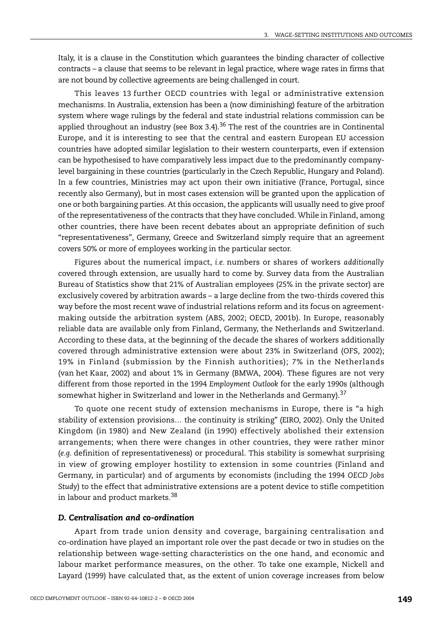Italy, it is a clause in the Constitution which guarantees the binding character of collective contracts – a clause that seems to be relevant in legal practice, where wage rates in firms that are not bound by collective agreements are being challenged in court.

This leaves 13 further OECD countries with legal or administrative extension mechanisms. In Australia, extension has been a (now diminishing) feature of the arbitration system where wage rulings by the federal and state industrial relations commission can be applied throughout an industry (see Box 3.4). $36$  The rest of the countries are in Continental Europe, and it is interesting to see that the central and eastern European EU accession countries have adopted similar legislation to their western counterparts, even if extension can be hypothesised to have comparatively less impact due to the predominantly companylevel bargaining in these countries (particularly in the Czech Republic, Hungary and Poland). In a few countries, Ministries may act upon their own initiative (France, Portugal, since recently also Germany), but in most cases extension will be granted upon the application of one or both bargaining parties. At this occasion, the applicants will usually need to give proof of the representativeness of the contracts that they have concluded. While in Finland, among other countries, there have been recent debates about an appropriate definition of such "representativeness", Germany, Greece and Switzerland simply require that an agreement covers 50% or more of employees working in the particular sector.

Figures about the numerical impact, *i.e.* numbers or shares of workers *additionally* covered through extension, are usually hard to come by. Survey data from the Australian Bureau of Statistics show that 21% of Australian employees (25% in the private sector) are exclusively covered by arbitration awards – a large decline from the two-thirds covered this way before the most recent wave of industrial relations reform and its focus on agreementmaking outside the arbitration system (ABS, 2002; OECD, 2001b). In Europe, reasonably reliable data are available only from Finland, Germany, the Netherlands and Switzerland. According to these data, at the beginning of the decade the shares of workers additionally covered through administrative extension were about 23% in Switzerland (OFS, 2002); 19% in Finland (submission by the Finnish authorities); 7% in the Netherlands (van het Kaar, 2002) and about 1% in Germany (BMWA, 2004). These figures are not very different from those reported in the 1994 *Employment Outlook* for the early 1990s (although somewhat higher in Switzerland and lower in the Netherlands and Germany).<sup>37</sup>

To quote one recent study of extension mechanisms in Europe, there is "a high stability of extension provisions… the continuity is striking" (EIRO, 2002). Only the United Kingdom (in 1980) and New Zealand (in 1990) effectively abolished their extension arrangements; when there were changes in other countries, they were rather minor (*e.g.* definition of representativeness) or procedural. This stability is somewhat surprising in view of growing employer hostility to extension in some countries (Finland and Germany, in particular) and of arguments by economists (including the 1994 *OECD Jobs Study*) to the effect that administrative extensions are a potent device to stifle competition in labour and product markets.<sup>38</sup>

# *D. Centralisation and co-ordination*

Apart from trade union density and coverage, bargaining centralisation and co-ordination have played an important role over the past decade or two in studies on the relationship between wage-setting characteristics on the one hand, and economic and labour market performance measures, on the other. To take one example, Nickell and Layard (1999) have calculated that, as the extent of union coverage increases from below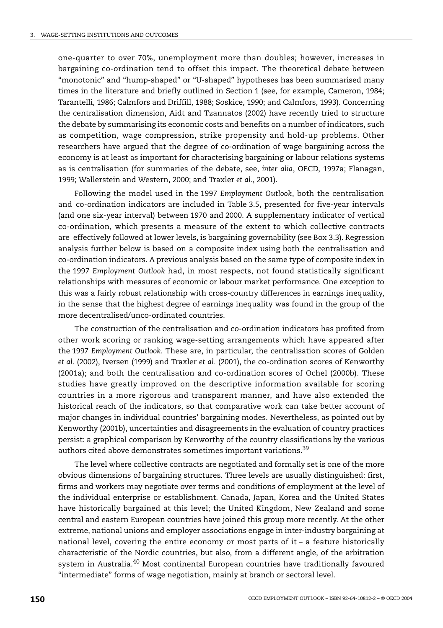one-quarter to over 70%, unemployment more than doubles; however, increases in bargaining co-ordination tend to offset this impact. The theoretical debate between "monotonic" and "hump-shaped" or "U-shaped" hypotheses has been summarised many times in the literature and briefly outlined in Section 1 (see, for example, Cameron, 1984; Tarantelli, 1986; Calmfors and Driffill, 1988; Soskice, 1990; and Calmfors, 1993). Concerning the centralisation dimension, Aidt and Tzannatos (2002) have recently tried to structure the debate by summarising its economic costs and benefits on a number of indicators, such as competition, wage compression, strike propensity and hold-up problems. Other researchers have argued that the degree of co-ordination of wage bargaining across the economy is at least as important for characterising bargaining or labour relations systems as is centralisation (for summaries of the debate, see, *inter alia*, OECD, 1997a; Flanagan, 1999; Wallerstein and Western, 2000; and Traxler *et al.*, 2001).

Following the model used in the 1997 *Employment Outlook*, both the centralisation and co-ordination indicators are included in Table 3.5, presented for five-year intervals (and one six-year interval) between 1970 and 2000. A supplementary indicator of vertical co-ordination, which presents a measure of the extent to which collective contracts are effectively followed at lower levels, is bargaining governability (see Box 3.3). Regression analysis further below is based on a composite index using both the centralisation and co-ordination indicators. A previous analysis based on the same type of composite index in the 1997 *Employment Outlook* had, in most respects, not found statistically significant relationships with measures of economic or labour market performance. One exception to this was a fairly robust relationship with cross-country differences in earnings inequality, in the sense that the highest degree of earnings inequality was found in the group of the more decentralised/unco-ordinated countries.

The construction of the centralisation and co-ordination indicators has profited from other work scoring or ranking wage-setting arrangements which have appeared after the 1997 *Employment Outlook*. These are, in particular, the centralisation scores of Golden *et al.* (2002), Iversen (1999) and Traxler *et al.* (2001), the co-ordination scores of Kenworthy (2001a); and both the centralisation and co-ordination scores of Ochel (2000b). These studies have greatly improved on the descriptive information available for scoring countries in a more rigorous and transparent manner, and have also extended the historical reach of the indicators, so that comparative work can take better account of major changes in individual countries' bargaining modes. Nevertheless, as pointed out by Kenworthy (2001b), uncertainties and disagreements in the evaluation of country practices persist: a graphical comparison by Kenworthy of the country classifications by the various authors cited above demonstrates sometimes important variations.<sup>39</sup>

The level where collective contracts are negotiated and formally set is one of the more obvious dimensions of bargaining structures. Three levels are usually distinguished: first, firms and workers may negotiate over terms and conditions of employment at the level of the individual enterprise or establishment. Canada, Japan, Korea and the United States have historically bargained at this level; the United Kingdom, New Zealand and some central and eastern European countries have joined this group more recently. At the other extreme, national unions and employer associations engage in inter-industry bargaining at national level, covering the entire economy or most parts of it – a feature historically characteristic of the Nordic countries, but also, from a different angle, of the arbitration system in Australia.<sup>40</sup> Most continental European countries have traditionally favoured "intermediate" forms of wage negotiation, mainly at branch or sectoral level.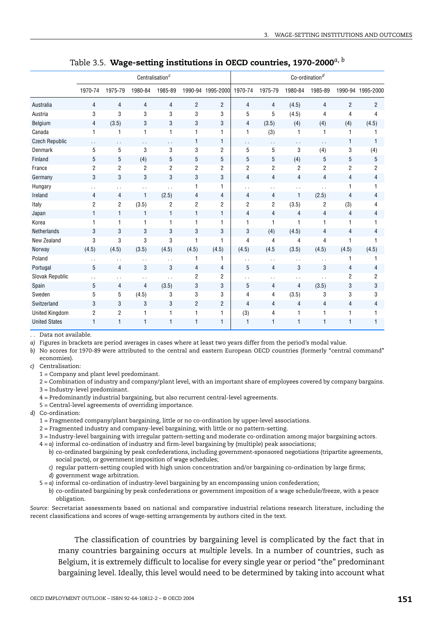|                       |                      |                        | Centralisation <sup><math>c</math></sup> |                      |                |                   |                      |                      | Co-ordination $d$    |                      |                |                   |
|-----------------------|----------------------|------------------------|------------------------------------------|----------------------|----------------|-------------------|----------------------|----------------------|----------------------|----------------------|----------------|-------------------|
|                       | 1970-74              | 1975-79                | 1980-84                                  | 1985-89              |                | 1990-94 1995-2000 | 1970-74              | 1975-79              | 1980-84              | 1985-89              |                | 1990-94 1995-2000 |
| Australia             | 4                    | $\overline{4}$         | 4                                        | 4                    | $\overline{2}$ | $\overline{2}$    | $\overline{4}$       | 4                    | (4.5)                | 4                    | $\overline{2}$ | $\overline{2}$    |
| Austria               | 3                    | 3                      | 3                                        | 3                    | 3              | 3                 | 5                    | 5                    | (4.5)                | 4                    | 4              | 4                 |
| Belgium               | $\overline{4}$       | (3.5)                  | 3                                        | 3                    | 3              | 3                 | $\overline{4}$       | (3.5)                | (4)                  | (4)                  | (4)            | (4.5)             |
| Canada                | $\mathbf{1}$         | $\mathbf{1}$           | 1                                        | 1                    | 1              | 1                 | $\mathbf{1}$         | (3)                  | $\mathbf{1}$         | 1                    | 1              | 1                 |
| <b>Czech Republic</b> | $\ddot{\phantom{0}}$ | $\ddot{\phantom{0}}$   | $\sim$                                   | $\ddotsc$            | 1              | 1                 | $\ddot{\phantom{0}}$ | $\ddotsc$            | $\sim$ $\sim$        | $\ddotsc$            | $\mathbf{1}$   | 1                 |
| Denmark               | 5                    | 5                      | 3                                        | 3                    | 3              | $\overline{2}$    | 5                    | 5                    | 3                    | (4)                  | 3              | (4)               |
| Finland               | 5                    | 5                      | (4)                                      | 5                    | 5              | 5                 | 5                    | 5                    | (4)                  | 5                    | 5              | 5                 |
| France                | $\overline{2}$       | $\overline{2}$         | $\overline{2}$                           | $\overline{2}$       | $\overline{2}$ | 2                 | $\overline{2}$       | $\overline{2}$       | $\overline{2}$       | $\overline{2}$       | $\overline{2}$ | 2                 |
| Germany               | 3                    | 3                      | 3                                        | 3                    | 3              | 3                 | 4                    | 4                    | 4                    | 4                    | $\overline{4}$ | 4                 |
| Hungary               | $\ddotsc$            | $\ddot{\phantom{0}}$   | . .                                      | $\ddotsc$            | 1              | 1                 | $\ddot{\phantom{1}}$ | . .                  | $\ddot{\phantom{0}}$ | $\ddot{\phantom{0}}$ | $\mathbf{1}$   | 1                 |
| Ireland               | 4                    | 4                      | 1                                        | (2.5)                | 4              | 4                 | 4                    | 4                    | 1                    | (2.5)                | $\overline{4}$ | 4                 |
| Italy                 | $\overline{2}$       | $\overline{2}$         | (3.5)                                    | $\overline{2}$       | $\overline{2}$ | $\overline{2}$    | $\overline{2}$       | $\overline{2}$       | (3.5)                | 2                    | (3)            | 4                 |
| Japan                 | $\mathbf{1}$         | $\mathbf{1}$           | 1                                        | 1                    | $\mathbf{1}$   | $\mathbf{1}$      | 4                    | 4                    | 4                    | 4                    | $\overline{4}$ | 4                 |
| Korea                 | 1                    | $\mathbf{1}$           | 1                                        | 1                    | 1              | 1                 | $\mathbf{1}$         | 1                    | 1                    | 1                    | $\mathbf{1}$   | 1                 |
| Netherlands           | 3                    | 3                      | 3                                        | 3                    | 3              | 3                 | 3                    | (4)                  | (4.5)                | 4                    | $\overline{4}$ | 4                 |
| New Zealand           | 3                    | 3                      | 3                                        | 3                    | 1              | 1                 | 4                    | 4                    | 4                    | 4                    | $\mathbf{1}$   | 1                 |
| Norway                | (4.5)                | (4.5)                  | (3.5)                                    | (4.5)                | (4.5)          | (4.5)             | (4.5)                | (4.5)                | (3.5)                | (4.5)                | (4.5)          | (4.5)             |
| Poland                | $\ddotsc$            | $\ddot{\phantom{1}}$ . | . .                                      | $\ddot{\phantom{0}}$ | 1              | 1                 | $\cdot$ .            | $\ddotsc$            | $\ddotsc$            | $\ddot{\phantom{1}}$ | $\mathbf{1}$   | 1                 |
| Portugal              | 5                    | $\overline{4}$         | 3                                        | 3                    | 4              | 4                 | 5                    | 4                    | 3                    | 3                    | 4              | 4                 |
| Slovak Republic       | И.                   | $\ddot{\phantom{0}}$   | . .                                      | $\ddotsc$            | 2              | $\overline{2}$    | $\ddot{\phantom{0}}$ | $\ddot{\phantom{0}}$ | $\ddotsc$            | $\ddotsc$            | $\overline{2}$ | $\overline{2}$    |
| Spain                 | 5                    | 4                      | 4                                        | (3.5)                | 3              | 3                 | 5                    | 4                    | $\overline{4}$       | (3.5)                | 3              | 3                 |
| Sweden                | 5                    | 5                      | (4.5)                                    | 3                    | 3              | 3                 | 4                    | 4                    | (3.5)                | 3                    | 3              | 3                 |
| Switzerland           | 3                    | 3                      | 3                                        | 3                    | $\overline{2}$ | $\overline{2}$    | 4                    | 4                    | $\overline{4}$       | 4                    | $\overline{4}$ | 4                 |
| <b>United Kingdom</b> | $\overline{2}$       | $\overline{2}$         | 1                                        | 1                    | 1              | 1                 | (3)                  | 4                    | 1                    | 1                    | $\mathbf{1}$   | 1                 |
| <b>United States</b>  | 1                    | $\mathbf{1}$           | 1                                        | 1                    | 1              | 1                 | $\overline{1}$       | 1                    | 1                    |                      | $\mathbf{1}$   | 1                 |

Table 3.5. **Wage-setting institutions in OECD countries, 1970-2000***a*, *<sup>b</sup>*

. . Data not available.

*a)* Figures in brackets are period averages in cases where at least two years differ from the period's modal value.

*b)* No scores for 1970-89 were attributed to the central and eastern European OECD countries (formerly "central command" economies).

*c)* Centralisation:

1 = Company and plant level predominant.

2 = Combination of industry and company/plant level, with an important share of employees covered by company bargains.

3 = Industry-level predominant.

4 = Predominantly industrial bargaining, but also recurrent central-level agreements.

5 = Central-level agreements of overriding importance.

*d)* Co-ordination:

1 = Fragmented company/plant bargaining, little or no co-ordination by upper-level associations.

2 = Fragmented industry and company-level bargaining, with little or no pattern-setting.

3 = Industry-level bargaining with irregular pattern-setting and moderate co-ordination among major bargaining actors.

4 = *a)* informal co-ordination of industry and firm-level bargaining by (multiple) peak associations;

*b)* co-ordinated bargaining by peak confederations, including government-sponsored negotiations (tripartite agreements, social pacts), or government imposition of wage schedules;

*c)* regular pattern-setting coupled with high union concentration and/or bargaining co-ordination by large firms;

*d)* government wage arbitration.

5 = *a)* informal co-ordination of industry-level bargaining by an encompassing union confederation;

*b)* co-ordinated bargaining by peak confederations or government imposition of a wage schedule/freeze, with a peace obligation.

*Source:* Secretariat assessments based on national and comparative industrial relations research literature, including the recent classifications and scores of wage-setting arrangements by authors cited in the text.

The classification of countries by bargaining level is complicated by the fact that in many countries bargaining occurs at *multiple* levels. In a number of countries, such as Belgium, it is extremely difficult to localise for every single year or period "the" predominant bargaining level. Ideally, this level would need to be determined by taking into account what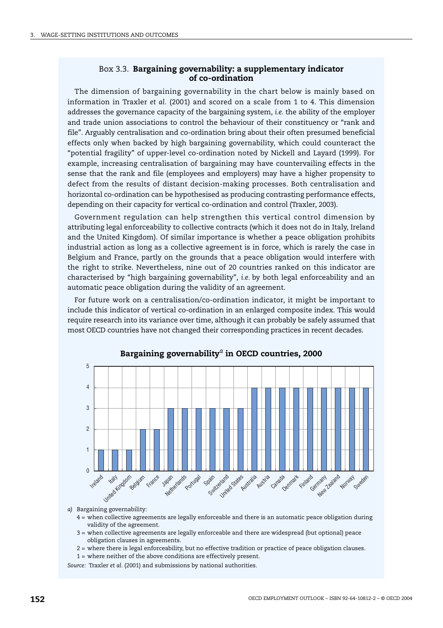### Box 3.3. **Bargaining governability: a supplementary indicator of co-ordination**

The dimension of bargaining governability in the chart below is mainly based on information in Traxler *et al.* (2001) and scored on a scale from 1 to 4. This dimension addresses the governance capacity of the bargaining system, *i.e.* the ability of the employer and trade union associations to control the behaviour of their constituency or "rank and file". Arguably centralisation and co-ordination bring about their often presumed beneficial effects only when backed by high bargaining governability, which could counteract the "potential fragility" of upper-level co-ordination noted by Nickell and Layard (1999). For example, increasing centralisation of bargaining may have countervailing effects in the sense that the rank and file (employees and employers) may have a higher propensity to defect from the results of distant decision-making processes. Both centralisation and horizontal co-ordination can be hypothesised as producing contrasting performance effects, depending on their capacity for vertical co-ordination and control (Traxler, 2003).

Government regulation can help strengthen this vertical control dimension by attributing legal enforceability to collective contracts (which it does not do in Italy, Ireland and the United Kingdom). Of similar importance is whether a peace obligation prohibits industrial action as long as a collective agreement is in force, which is rarely the case in Belgium and France, partly on the grounds that a peace obligation would interfere with the right to strike. Nevertheless, nine out of 20 countries ranked on this indicator are characterised by "high bargaining governability", *i.e.* by both legal enforceability and an automatic peace obligation during the validity of an agreement.

For future work on a centralisation/co-ordination indicator, it might be important to include this indicator of vertical co-ordination in an enlarged composite index. This would require research into its variance over time, although it can probably be safely assumed that most OECD countries have not changed their corresponding practices in recent decades.



### **Bargaining governability***a* **in OECD countries, 2000**

*a)* Bargaining governability:

4 = when collective agreements are legally enforceable and there is an automatic peace obligation during validity of the agreement.

- 3 = when collective agreements are legally enforceable and there are widespread (but optional) peace obligation clauses in agreements.
- 2 = where there is legal enforceability, but no effective tradition or practice of peace obligation clauses.
- 1 = where neither of the above conditions are effectively present.

*Source:* Traxler *et al.* (2001) and submissions by national authorities.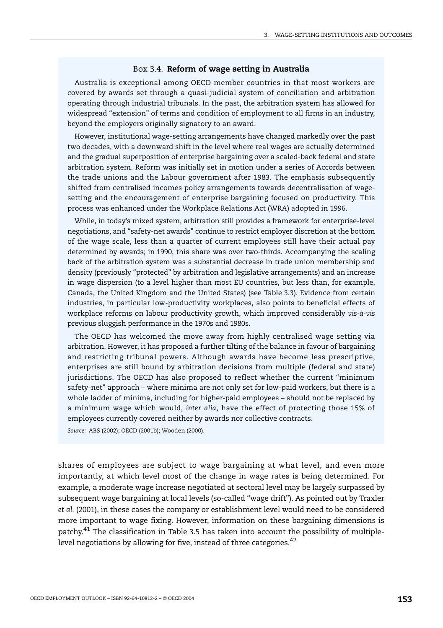### Box 3.4. **Reform of wage setting in Australia**

Australia is exceptional among OECD member countries in that most workers are covered by awards set through a quasi-judicial system of conciliation and arbitration operating through industrial tribunals. In the past, the arbitration system has allowed for widespread "extension" of terms and condition of employment to all firms in an industry, beyond the employers originally signatory to an award.

However, institutional wage-setting arrangements have changed markedly over the past two decades, with a downward shift in the level where real wages are actually determined and the gradual superposition of enterprise bargaining over a scaled-back federal and state arbitration system. Reform was initially set in motion under a series of Accords between the trade unions and the Labour government after 1983. The emphasis subsequently shifted from centralised incomes policy arrangements towards decentralisation of wagesetting and the encouragement of enterprise bargaining focused on productivity. This process was enhanced under the Workplace Relations Act (WRA) adopted in 1996.

While, in today's mixed system, arbitration still provides a framework for enterprise-level negotiations, and "safety-net awards" continue to restrict employer discretion at the bottom of the wage scale, less than a quarter of current employees still have their actual pay determined by awards; in 1990, this share was over two-thirds. Accompanying the scaling back of the arbitration system was a substantial decrease in trade union membership and density (previously "protected" by arbitration and legislative arrangements) and an increase in wage dispersion (to a level higher than most EU countries, but less than, for example, Canada, the United Kingdom and the United States) (see Table 3.3). Evidence from certain industries, in particular low-productivity workplaces, also points to beneficial effects of workplace reforms on labour productivity growth, which improved considerably *vis-à-vis* previous sluggish performance in the 1970s and 1980s.

The OECD has welcomed the move away from highly centralised wage setting via arbitration. However, it has proposed a further tilting of the balance in favour of bargaining and restricting tribunal powers. Although awards have become less prescriptive, enterprises are still bound by arbitration decisions from multiple (federal and state) jurisdictions. The OECD has also proposed to reflect whether the current "minimum safety-net" approach – where minima are not only set for low-paid workers, but there is a whole ladder of minima, including for higher-paid employees – should not be replaced by a minimum wage which would, *inter alia*, have the effect of protecting those 15% of employees currently covered neither by awards nor collective contracts.

*Source:* ABS (2002); OECD (2001b); Wooden (2000).

shares of employees are subject to wage bargaining at what level, and even more importantly, at which level most of the change in wage rates is being determined. For example, a moderate wage increase negotiated at sectoral level may be largely surpassed by subsequent wage bargaining at local levels (so-called "wage drift"). As pointed out by Traxler *et al.* (2001), in these cases the company or establishment level would need to be considered more important to wage fixing. However, information on these bargaining dimensions is patchy.41 The classification in Table 3.5 has taken into account the possibility of multiplelevel negotiations by allowing for five, instead of three categories.<sup>42</sup>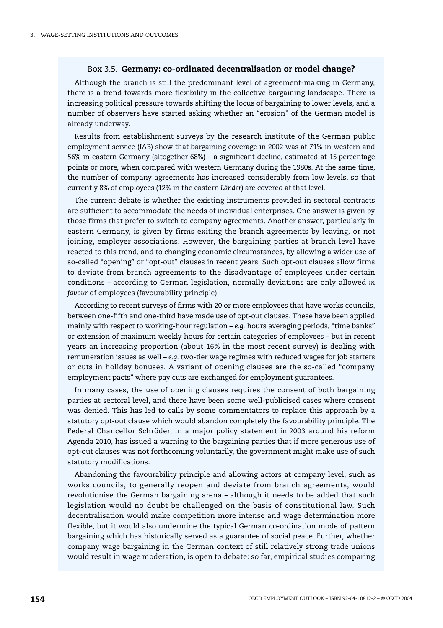### Box 3.5. **Germany: co-ordinated decentralisation or model change?**

Although the branch is still the predominant level of agreement-making in Germany, there is a trend towards more flexibility in the collective bargaining landscape. There is increasing political pressure towards shifting the locus of bargaining to lower levels, and a number of observers have started asking whether an "erosion" of the German model is already underway.

Results from establishment surveys by the research institute of the German public employment service (IAB) show that bargaining coverage in 2002 was at 71% in western and 56% in eastern Germany (altogether 68%) – a significant decline, estimated at 15 percentage points or more, when compared with western Germany during the 1980s. At the same time, the number of company agreements has increased considerably from low levels, so that currently 8% of employees (12% in the eastern *Länder*) are covered at that level.

The current debate is whether the existing instruments provided in sectoral contracts are sufficient to accommodate the needs of individual enterprises. One answer is given by those firms that prefer to switch to company agreements. Another answer, particularly in eastern Germany, is given by firms exiting the branch agreements by leaving, or not joining, employer associations. However, the bargaining parties at branch level have reacted to this trend, and to changing economic circumstances, by allowing a wider use of so-called "opening" or "opt-out" clauses in recent years. Such opt-out clauses allow firms to deviate from branch agreements to the disadvantage of employees under certain conditions – according to German legislation, normally deviations are only allowed *in favour* of employees (favourability principle).

According to recent surveys of firms with 20 or more employees that have works councils, between one-fifth and one-third have made use of opt-out clauses. These have been applied mainly with respect to working-hour regulation – *e.g.* hours averaging periods, "time banks" or extension of maximum weekly hours for certain categories of employees – but in recent years an increasing proportion (about 16% in the most recent survey) is dealing with remuneration issues as well – *e.g.* two-tier wage regimes with reduced wages for job starters or cuts in holiday bonuses. A variant of opening clauses are the so-called "company employment pacts" where pay cuts are exchanged for employment guarantees.

In many cases, the use of opening clauses requires the consent of both bargaining parties at sectoral level, and there have been some well-publicised cases where consent was denied. This has led to calls by some commentators to replace this approach by a statutory opt-out clause which would abandon completely the favourability principle. The Federal Chancellor Schröder, in a major policy statement in 2003 around his reform Agenda 2010, has issued a warning to the bargaining parties that if more generous use of opt-out clauses was not forthcoming voluntarily, the government might make use of such statutory modifications.

Abandoning the favourability principle and allowing actors at company level, such as works councils, to generally reopen and deviate from branch agreements, would revolutionise the German bargaining arena – although it needs to be added that such legislation would no doubt be challenged on the basis of constitutional law. Such decentralisation would make competition more intense and wage determination more flexible, but it would also undermine the typical German co-ordination mode of pattern bargaining which has historically served as a guarantee of social peace. Further, whether company wage bargaining in the German context of still relatively strong trade unions would result in wage moderation, is open to debate: so far, empirical studies comparing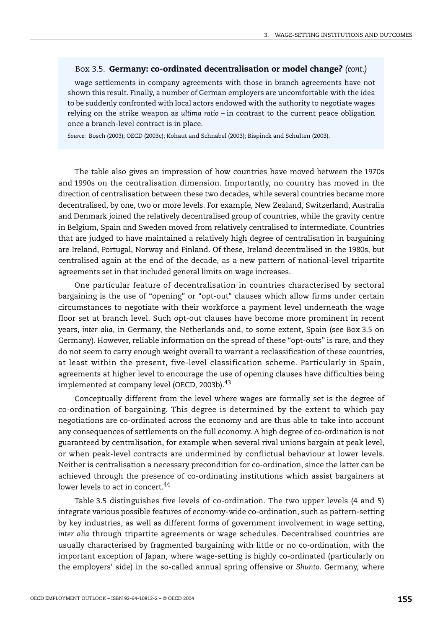### Box 3.5. **Germany: co-ordinated decentralisation or model change?** *(cont.)*

wage settlements in company agreements with those in branch agreements have not shown this result. Finally, a number of German employers are uncomfortable with the idea to be suddenly confronted with local actors endowed with the authority to negotiate wages relying on the strike weapon as *ultima ratio* – in contrast to the current peace obligation once a branch-level contract is in place.

*Source:* Bosch (2003); OECD (2003c); Kohaut and Schnabel (2003); Bispinck and Schulten (2003).

The table also gives an impression of how countries have moved between the 1970s and 1990s on the centralisation dimension. Importantly, no country has moved in the direction of centralisation between these two decades, while several countries became more decentralised, by one, two or more levels. For example, New Zealand, Switzerland, Australia and Denmark joined the relatively decentralised group of countries, while the gravity centre in Belgium, Spain and Sweden moved from relatively centralised to intermediate. Countries that are judged to have maintained a relatively high degree of centralisation in bargaining are Ireland, Portugal, Norway and Finland. Of these, Ireland decentralised in the 1980s, but centralised again at the end of the decade, as a new pattern of national-level tripartite agreements set in that included general limits on wage increases.

One particular feature of decentralisation in countries characterised by sectoral bargaining is the use of "opening" or "opt-out" clauses which allow firms under certain circumstances to negotiate with their workforce a payment level underneath the wage floor set at branch level. Such opt-out clauses have become more prominent in recent years, *inter alia*, in Germany, the Netherlands and, to some extent, Spain (see Box 3.5 on Germany). However, reliable information on the spread of these "opt-outs" is rare, and they do not seem to carry enough weight overall to warrant a reclassification of these countries, at least within the present, five-level classification scheme. Particularly in Spain, agreements at higher level to encourage the use of opening clauses have difficulties being implemented at company level (OECD, 2003b).<sup>43</sup>

Conceptually different from the level where wages are formally set is the degree of co-ordination of bargaining. This degree is determined by the extent to which pay negotiations are co-ordinated across the economy and are thus able to take into account any consequences of settlements on the full economy. A high degree of co-ordination is not guaranteed by centralisation, for example when several rival unions bargain at peak level, or when peak-level contracts are undermined by conflictual behaviour at lower levels. Neither is centralisation a necessary precondition for co-ordination, since the latter can be achieved through the presence of co-ordinating institutions which assist bargainers at lower levels to act in concert.<sup>44</sup>

Table 3.5 distinguishes five levels of co-ordination. The two upper levels (4 and 5) integrate various possible features of economy-wide co-ordination, such as pattern-setting by key industries, as well as different forms of government involvement in wage setting, *inter alia* through tripartite agreements or wage schedules. Decentralised countries are usually characterised by fragmented bargaining with little or no co-ordination, with the important exception of Japan, where wage-setting is highly co-ordinated (particularly on the employers' side) in the so-called annual spring offensive or *Shunto*. Germany, where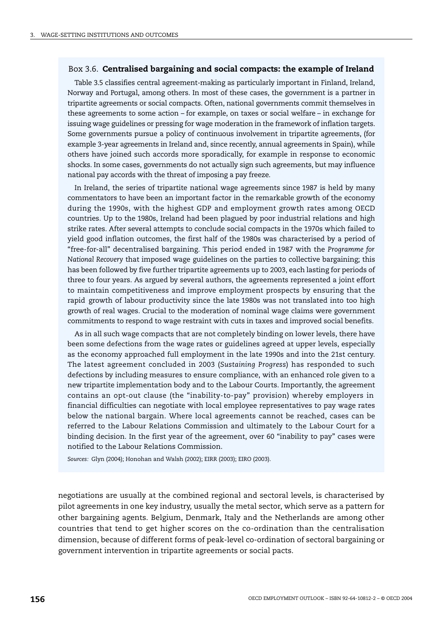### Box 3.6. **Centralised bargaining and social compacts: the example of Ireland**

Table 3.5 classifies central agreement-making as particularly important in Finland, Ireland, Norway and Portugal, among others. In most of these cases, the government is a partner in tripartite agreements or social compacts. Often, national governments commit themselves in these agreements to some action – for example, on taxes or social welfare – in exchange for issuing wage guidelines or pressing for wage moderation in the framework of inflation targets. Some governments pursue a policy of continuous involvement in tripartite agreements, (for example 3-year agreements in Ireland and, since recently, annual agreements in Spain), while others have joined such accords more sporadically, for example in response to economic shocks. In some cases, governments do not actually sign such agreements, but may influence national pay accords with the threat of imposing a pay freeze.

In Ireland, the series of tripartite national wage agreements since 1987 is held by many commentators to have been an important factor in the remarkable growth of the economy during the 1990s, with the highest GDP and employment growth rates among OECD countries. Up to the 1980s, Ireland had been plagued by poor industrial relations and high strike rates. After several attempts to conclude social compacts in the 1970s which failed to yield good inflation outcomes, the first half of the 1980s was characterised by a period of "free-for-all" decentralised bargaining. This period ended in 1987 with the *Programme for National Recovery* that imposed wage guidelines on the parties to collective bargaining; this has been followed by five further tripartite agreements up to 2003, each lasting for periods of three to four years. As argued by several authors, the agreements represented a joint effort to maintain competitiveness and improve employment prospects by ensuring that the rapid growth of labour productivity since the late 1980s was not translated into too high growth of real wages. Crucial to the moderation of nominal wage claims were government commitments to respond to wage restraint with cuts in taxes and improved social benefits.

As in all such wage compacts that are not completely binding on lower levels, there have been some defections from the wage rates or guidelines agreed at upper levels, especially as the economy approached full employment in the late 1990s and into the 21st century. The latest agreement concluded in 2003 (*Sustaining Progress*) has responded to such defections by including measures to ensure compliance, with an enhanced role given to a new tripartite implementation body and to the Labour Courts. Importantly, the agreement contains an opt-out clause (the "inability-to-pay" provision) whereby employers in financial difficulties can negotiate with local employee representatives to pay wage rates below the national bargain. Where local agreements cannot be reached, cases can be referred to the Labour Relations Commission and ultimately to the Labour Court for a binding decision. In the first year of the agreement, over 60 "inability to pay" cases were notified to the Labour Relations Commission.

*Sources:* Glyn (2004); Honohan and Walsh (2002); EIRR (2003); EIRO (2003).

negotiations are usually at the combined regional and sectoral levels, is characterised by pilot agreements in one key industry, usually the metal sector, which serve as a pattern for other bargaining agents. Belgium, Denmark, Italy and the Netherlands are among other countries that tend to get higher scores on the co-ordination than the centralisation dimension, because of different forms of peak-level co-ordination of sectoral bargaining or government intervention in tripartite agreements or social pacts.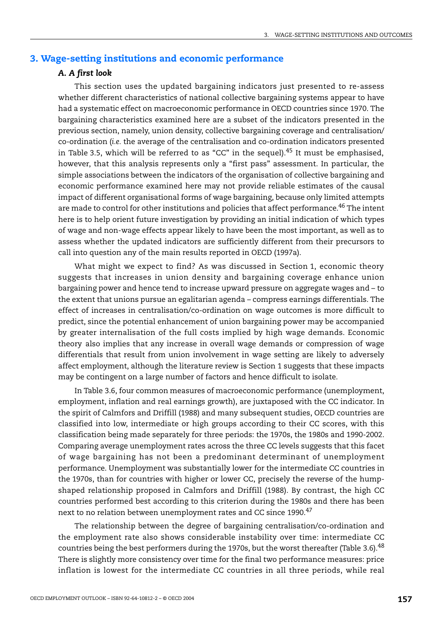# **3. Wage-setting institutions and economic performance**

### *A. A first look*

This section uses the updated bargaining indicators just presented to re-assess whether different characteristics of national collective bargaining systems appear to have had a systematic effect on macroeconomic performance in OECD countries since 1970. The bargaining characteristics examined here are a subset of the indicators presented in the previous section, namely, union density, collective bargaining coverage and centralisation/ co-ordination (*i.e.* the average of the centralisation and co-ordination indicators presented in Table 3.5, which will be referred to as "CC" in the sequel).<sup>45</sup> It must be emphasised, however, that this analysis represents only a "first pass" assessment. In particular, the simple associations between the indicators of the organisation of collective bargaining and economic performance examined here may not provide reliable estimates of the causal impact of different organisational forms of wage bargaining, because only limited attempts are made to control for other institutions and policies that affect performance.<sup>46</sup> The intent here is to help orient future investigation by providing an initial indication of which types of wage and non-wage effects appear likely to have been the most important, as well as to assess whether the updated indicators are sufficiently different from their precursors to call into question any of the main results reported in OECD (1997a).

What might we expect to find? As was discussed in Section 1, economic theory suggests that increases in union density and bargaining coverage enhance union bargaining power and hence tend to increase upward pressure on aggregate wages and – to the extent that unions pursue an egalitarian agenda – compress earnings differentials. The effect of increases in centralisation/co-ordination on wage outcomes is more difficult to predict, since the potential enhancement of union bargaining power may be accompanied by greater internalisation of the full costs implied by high wage demands. Economic theory also implies that any increase in overall wage demands or compression of wage differentials that result from union involvement in wage setting are likely to adversely affect employment, although the literature review is Section 1 suggests that these impacts may be contingent on a large number of factors and hence difficult to isolate.

In Table 3.6, four common measures of macroeconomic performance (unemployment, employment, inflation and real earnings growth), are juxtaposed with the CC indicator. In the spirit of Calmfors and Driffill (1988) and many subsequent studies, OECD countries are classified into low, intermediate or high groups according to their CC scores, with this classification being made separately for three periods: the 1970s, the 1980s and 1990-2002. Comparing average unemployment rates across the three CC levels suggests that this facet of wage bargaining has not been a predominant determinant of unemployment performance. Unemployment was substantially lower for the intermediate CC countries in the 1970s, than for countries with higher or lower CC, precisely the reverse of the humpshaped relationship proposed in Calmfors and Driffill (1988). By contrast, the high CC countries performed best according to this criterion during the 1980s and there has been next to no relation between unemployment rates and CC since 1990.<sup>4/</sup>

The relationship between the degree of bargaining centralisation/co-ordination and the employment rate also shows considerable instability over time: intermediate CC countries being the best performers during the 1970s, but the worst thereafter (Table 3.6).<sup>48</sup> There is slightly more consistency over time for the final two performance measures: price inflation is lowest for the intermediate CC countries in all three periods, while real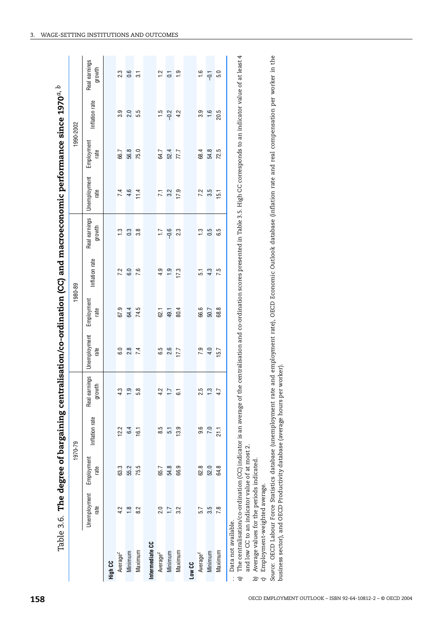| Average <sup>c</sup><br>High CC                      |                                                                                                                                                                                                                                                                                                                                                                                                                                  |                    | 1970-79           |                         |                      |                    | 1980-89        |                         |                                                                                                                                        |                    | 1990-2002      |                         |
|------------------------------------------------------|----------------------------------------------------------------------------------------------------------------------------------------------------------------------------------------------------------------------------------------------------------------------------------------------------------------------------------------------------------------------------------------------------------------------------------|--------------------|-------------------|-------------------------|----------------------|--------------------|----------------|-------------------------|----------------------------------------------------------------------------------------------------------------------------------------|--------------------|----------------|-------------------------|
|                                                      | Unemployment<br>rate                                                                                                                                                                                                                                                                                                                                                                                                             | Employment<br>rate | rate<br>Inflation | Real earnings<br>growth | Unemployment<br>rate | Employment<br>rate | Inflation rate | Real earnings<br>growth | Unemployment<br>rate                                                                                                                   | Employment<br>rate | Inflation rate | Real earnings<br>growth |
|                                                      |                                                                                                                                                                                                                                                                                                                                                                                                                                  |                    |                   |                         |                      |                    |                |                         |                                                                                                                                        |                    |                |                         |
|                                                      | 4.2                                                                                                                                                                                                                                                                                                                                                                                                                              | 63.3               | 12.2              | 4.3                     | 6.0                  | 67.9               | 7.2            | $\frac{3}{2}$           | 7.4                                                                                                                                    | 66.7               | 3.9            | 2.3                     |
| Minimum                                              | $\frac{8}{1}$                                                                                                                                                                                                                                                                                                                                                                                                                    | 55.2               | 6.4               | $\ddot{ }$ .            | 2.8                  | 64.4               | 6.0            | $\frac{3}{2}$           | 4.6                                                                                                                                    | 56.8               | 2.0            | 0.6                     |
| Maximum                                              | 8.2                                                                                                                                                                                                                                                                                                                                                                                                                              | 75.5               | 16.1              | 5.8                     | $\overline{74}$      | 74.5               | 7.6            | $\frac{8}{3}$           | 11.4                                                                                                                                   | 75.0               | 5.5            | $\overline{3.1}$        |
| Intermediate CC                                      |                                                                                                                                                                                                                                                                                                                                                                                                                                  |                    |                   |                         |                      |                    |                |                         |                                                                                                                                        |                    |                |                         |
| Average <sup>c</sup>                                 | 2.0                                                                                                                                                                                                                                                                                                                                                                                                                              | 65.7               | 8.5               | 4.2                     | 6.5                  | 62.1               | 4.9            | $\overline{1}$ :        | 7.1                                                                                                                                    | 64.7               | 1.5            | $\frac{1}{2}$           |
| Minimum                                              | $\overline{1}$                                                                                                                                                                                                                                                                                                                                                                                                                   | 54.8               | $\overline{51}$   | $\overline{1}$ .        | 2.6                  | 49.1               | $\frac{1}{2}$  | $-0.6$                  | 3.2                                                                                                                                    | 52.4               | $-0.2$         | $\overline{\omega}$     |
| Maximum                                              | 3.2                                                                                                                                                                                                                                                                                                                                                                                                                              | 66.9               | 13.9              | $\overline{61}$         | 17.7                 | 80.4               | 17.3           | 2.3                     | 17.9                                                                                                                                   | $\overline{77}$    | 4.2            | $\frac{1}{2}$           |
| Low CC                                               |                                                                                                                                                                                                                                                                                                                                                                                                                                  |                    |                   |                         |                      |                    |                |                         |                                                                                                                                        |                    |                |                         |
| Average $^c$                                         | 5.7                                                                                                                                                                                                                                                                                                                                                                                                                              | 62.8               | 9.6               | 2.5                     | 7.9                  | 66.6               | 5.1            | 1.3                     | 7.2                                                                                                                                    | 68.4               | 3.9            | $\frac{6}{1}$           |
| Minimum                                              | 3.5                                                                                                                                                                                                                                                                                                                                                                                                                              | 52.0               | 7.0               | 1.3                     | 4.0                  | 50.7               | 4.3            | 0.5                     | 3.5                                                                                                                                    | 54.8               | 1.6            | $\overline{q}$          |
| Maximum                                              | $\overline{7.8}$                                                                                                                                                                                                                                                                                                                                                                                                                 | 64.8               | 21.1              | 4.7                     | 15.7                 | 68.8               | $\frac{1}{5}$  | ြ<br>6                  | 15.1                                                                                                                                   | 72.5               | 20.5           | 5.0                     |
| Data not available.<br>$\circ$<br>$\vdots$<br>a<br>ය | Source: OECD Labour Force Statistics database (unemployment rate and employment rate), OECD Economic Outlook database (inflation rate and real compensation per worker in the<br>business sector), and OECD Productivity database (avera<br>The centralisation/co-ordination (CC) indicator is an<br>and low CC to an indicator value of at most 2.<br>Average values for the periods indicated.<br>Employment-weighted average. |                    |                   | ge hours per worker).   |                      |                    |                |                         | average of the centralisation and co-ordination scores presented in Table 3.5. High CC corresponds to an indicator value of at least 4 |                    |                |                         |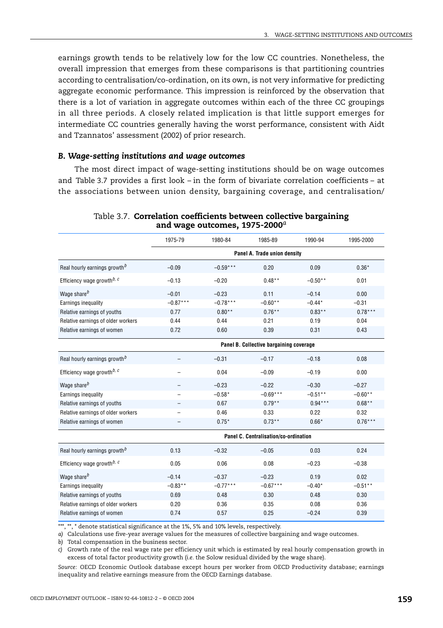earnings growth tends to be relatively low for the low CC countries. Nonetheless, the overall impression that emerges from these comparisons is that partitioning countries according to centralisation/co-ordination, on its own, is not very informative for predicting aggregate economic performance. This impression is reinforced by the observation that there is a lot of variation in aggregate outcomes within each of the three CC groupings in all three periods. A closely related implication is that little support emerges for intermediate CC countries generally having the worst performance, consistent with Aidt and Tzannatos' assessment (2002) of prior research.

### *B. Wage-setting institutions and wage outcomes*

The most direct impact of wage-setting institutions should be on wage outcomes and Table 3.7 provides a first look – in the form of bivariate correlation coefficients – at the associations between union density, bargaining coverage, and centralisation/

|                                                     | 1975-79                  | 1980-84    | 1985-89                                 | 1990-94   | 1995-2000 |
|-----------------------------------------------------|--------------------------|------------|-----------------------------------------|-----------|-----------|
|                                                     |                          |            | Panel A. Trade union density            |           |           |
| Real hourly earnings growth <sup>b</sup>            | $-0.09$                  | $-0.59***$ | 0.20                                    | 0.09      | $0.36*$   |
| Efficiency wage growth <sup>b, c</sup>              | $-0.13$                  | $-0.20$    | $0.48**$                                | $-0.50**$ | 0.01      |
| Wage share <sup>b</sup>                             | $-0.01$                  | $-0.23$    | 0.11                                    | $-0.14$   | 0.00      |
| Earnings inequality                                 | $-0.87***$               | $-0.78***$ | $-0.60**$                               | $-0.44*$  | $-0.31$   |
| Relative earnings of youths                         | 0.77                     | $0.80**$   | $0.76***$                               | $0.83**$  | $0.78***$ |
| Relative earnings of older workers                  | 0.44                     | 0.44       | 0.21                                    | 0.19      | 0.04      |
| Relative earnings of women                          | 0.72                     | 0.60       | 0.39                                    | 0.31      | 0.43      |
|                                                     |                          |            | Panel B. Collective bargaining coverage |           |           |
| Real hourly earnings growth <sup>b</sup>            |                          | $-0.31$    | $-0.17$                                 | $-0.18$   | 0.08      |
| Efficiency wage growth <sup>b, c</sup>              | $\overline{\phantom{0}}$ | 0.04       | $-0.09$                                 | $-0.19$   | 0.00      |
| Wage share <sup>b</sup>                             |                          | $-0.23$    | $-0.22$                                 | $-0.30$   | $-0.27$   |
| Earnings inequality                                 | $\overline{\phantom{0}}$ | $-0.58*$   | $-0.69***$                              | $-0.51**$ | $-0.60**$ |
| Relative earnings of youths                         |                          | 0.67       | $0.79**$                                | $0.94***$ | $0.68**$  |
| Relative earnings of older workers                  |                          | 0.46       | 0.33                                    | 0.22      | 0.32      |
| Relative earnings of women                          |                          | $0.75*$    | $0.73**$                                | $0.66*$   | $0.76***$ |
|                                                     |                          |            | Panel C. Centralisation/co-ordination   |           |           |
| Real hourly earnings growth <sup>b</sup>            | 0.13                     | $-0.32$    | $-0.05$                                 | 0.03      | 0.24      |
| Efficiency wage growth <sup>b, <math>c</math></sup> | 0.05                     | 0.06       | 0.08                                    | $-0.23$   | $-0.38$   |
| Wage share <sup>b</sup>                             | $-0.14$                  | $-0.37$    | $-0.23$                                 | 0.19      | 0.02      |
| Earnings inequality                                 | $-0.83**$                | $-0.77***$ | $-0.67***$                              | $-0.40*$  | $-0.51**$ |
| Relative earnings of youths                         | 0.69                     | 0.48       | 0.30                                    | 0.48      | 0.30      |
| Relative earnings of older workers                  | 0.20                     | 0.36       | 0.35                                    | 0.08      | 0.36      |
| Relative earnings of women                          | 0.74                     | 0.57       | 0.25                                    | $-0.24$   | 0.39      |

### Table 3.7. **Correlation coefficients between collective bargaining and wage outcomes, 1975-2000***<sup>a</sup>*

\*\*\*, \*\*, \* denote statistical significance at the 1%, 5% and 10% levels, respectively.

*a)* Calculations use five-year average values for the measures of collective bargaining and wage outcomes.

*b)* Total compensation in the business sector.

*c)* Growth rate of the real wage rate per efficiency unit which is estimated by real hourly compensation growth in excess of total factor productivity growth (*i.e.* the Solow residual divided by the wage share).

*Source:* OECD Economic Outlook database except hours per worker from OECD Productivity database; earnings inequality and relative earnings measure from the OECD Earnings database.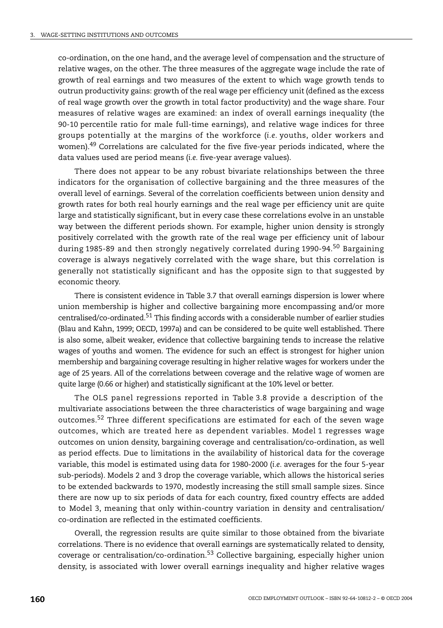co-ordination, on the one hand, and the average level of compensation and the structure of relative wages, on the other. The three measures of the aggregate wage include the rate of growth of real earnings and two measures of the extent to which wage growth tends to outrun productivity gains: growth of the real wage per efficiency unit (defined as the excess of real wage growth over the growth in total factor productivity) and the wage share. Four measures of relative wages are examined: an index of overall earnings inequality (the 90-10 percentile ratio for male full-time earnings), and relative wage indices for three groups potentially at the margins of the workforce (*i.e.* youths, older workers and women).<sup>49</sup> Correlations are calculated for the five-year periods indicated, where the data values used are period means (*i.e.* five-year average values).

There does not appear to be any robust bivariate relationships between the three indicators for the organisation of collective bargaining and the three measures of the overall level of earnings. Several of the correlation coefficients between union density and growth rates for both real hourly earnings and the real wage per efficiency unit are quite large and statistically significant, but in every case these correlations evolve in an unstable way between the different periods shown. For example, higher union density is strongly positively correlated with the growth rate of the real wage per efficiency unit of labour during 1985-89 and then strongly negatively correlated during 1990-94.<sup>50</sup> Bargaining coverage is always negatively correlated with the wage share, but this correlation is generally not statistically significant and has the opposite sign to that suggested by economic theory.

There is consistent evidence in Table 3.7 that overall earnings dispersion is lower where union membership is higher and collective bargaining more encompassing and/or more centralised/co-ordinated.51 This finding accords with a considerable number of earlier studies (Blau and Kahn, 1999; OECD, 1997a) and can be considered to be quite well established. There is also some, albeit weaker, evidence that collective bargaining tends to increase the relative wages of youths and women. The evidence for such an effect is strongest for higher union membership and bargaining coverage resulting in higher relative wages for workers under the age of 25 years. All of the correlations between coverage and the relative wage of women are quite large (0.66 or higher) and statistically significant at the 10% level or better.

The OLS panel regressions reported in Table 3.8 provide a description of the multivariate associations between the three characteristics of wage bargaining and wage outcomes.52 Three different specifications are estimated for each of the seven wage outcomes, which are treated here as dependent variables. Model 1 regresses wage outcomes on union density, bargaining coverage and centralisation/co-ordination, as well as period effects. Due to limitations in the availability of historical data for the coverage variable, this model is estimated using data for 1980-2000 (*i.e.* averages for the four 5-year sub-periods). Models 2 and 3 drop the coverage variable, which allows the historical series to be extended backwards to 1970, modestly increasing the still small sample sizes. Since there are now up to six periods of data for each country, fixed country effects are added to Model 3, meaning that only within-country variation in density and centralisation/ co-ordination are reflected in the estimated coefficients.

Overall, the regression results are quite similar to those obtained from the bivariate correlations. There is no evidence that overall earnings are systematically related to density, coverage or centralisation/co-ordination.53 Collective bargaining, especially higher union density, is associated with lower overall earnings inequality and higher relative wages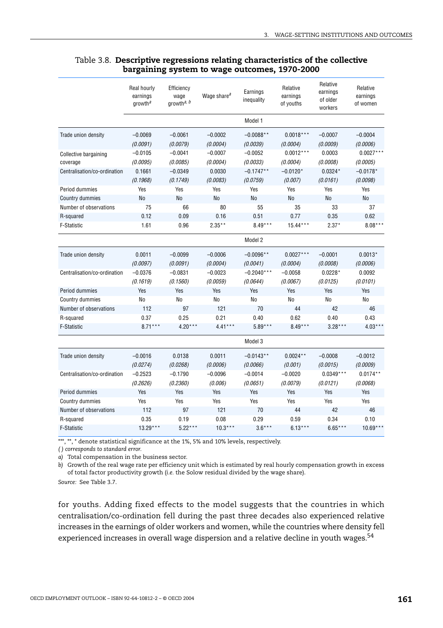|                              | Real hourly<br>earnings<br>$q$ rowth <sup>a</sup> | Efficiency<br>wage<br>arowth <sup>a, b</sup> | Wage share <sup>a</sup> | Earnings<br>inequality | Relative<br>earnings<br>of youths | Relative<br>earnings<br>of older<br>workers | Relative<br>earnings<br>of women |
|------------------------------|---------------------------------------------------|----------------------------------------------|-------------------------|------------------------|-----------------------------------|---------------------------------------------|----------------------------------|
|                              |                                                   |                                              |                         | Model 1                |                                   |                                             |                                  |
| Trade union density          | $-0.0069$                                         | $-0.0061$                                    | $-0.0002$               | $-0.0088**$            | $0.0018***$                       | $-0.0007$                                   | $-0.0004$                        |
|                              | (0.0091)                                          | (0.0079)                                     | (0.0004)                | (0.0039)               | (0.0004)                          | (0.0009)                                    | (0.0006)                         |
| Collective bargaining        | $-0.0105$                                         | $-0.0041$                                    | $-0.0007$               | $-0.0052$              | $0.0012***$                       | 0.0003                                      | $0.0027***$                      |
| coverage                     | (0.0095)                                          | (0.0085)                                     | (0.0004)                | (0.0033)               | (0.0004)                          | (0.0008)                                    | (0.0005)                         |
| Centralisation/co-ordination | 0.1661                                            | $-0.0349$                                    | 0.0030                  | $-0.1747**$            | $-0.0120*$                        | $0.0324*$                                   | $-0.0178*$                       |
|                              | (0.1968)                                          | (0.1749)                                     | (0.0083)                | (0.0759)               | (0.007)                           | (0.0161)                                    | (0.0098)                         |
| Period dummies               | Yes                                               | Yes                                          | Yes                     | Yes                    | Yes                               | Yes                                         | Yes                              |
| Country dummies              | N <sub>0</sub>                                    | <b>No</b>                                    | <b>No</b>               | <b>No</b>              | <b>No</b>                         | N <sub>o</sub>                              | No                               |
| Number of observations       | 75                                                | 66                                           | 80                      | 55                     | 35                                | 33                                          | 37                               |
| R-squared                    | 0.12                                              | 0.09                                         | 0.16                    | 0.51                   | 0.77                              | 0.35                                        | 0.62                             |
| F-Statistic                  | 1.61                                              | 0.96                                         | $2.35**$                | $8.49***$              | $15.44***$                        | $2.37*$                                     | $8.08***$                        |
|                              |                                                   |                                              |                         | Model 2                |                                   |                                             |                                  |
| Trade union density          | 0.0011                                            | $-0.0099$                                    | $-0.0006$               | $-0.0096**$            | $0.0027***$                       | $-0.0001$                                   | $0.0013*$                        |
|                              | (0.0097)                                          | (0.0091)                                     | (0.0004)                | (0.0041)               | (0.0004)                          | (0.0008)                                    | (0.0006)                         |
| Centralisation/co-ordination | $-0.0376$                                         | $-0.0831$                                    | $-0.0023$               | $-0.2040***$           | $-0.0058$                         | $0.0228*$                                   | 0.0092                           |
|                              | (0.1619)                                          | (0.1560)                                     | (0.0059)                | (0.0644)               | (0.0067)                          | (0.0125)                                    | (0.0101)                         |
| Period dummies               | Yes                                               | Yes                                          | Yes                     | Yes                    | Yes                               | Yes                                         | Yes                              |
| Country dummies              | No                                                | No                                           | N <sub>0</sub>          | No                     | No                                | <b>No</b>                                   | <b>No</b>                        |
| Number of observations       | 112                                               | 97                                           | 121                     | 70                     | 44                                | 42                                          | 46                               |
| R-squared                    | 0.37                                              | 0.25                                         | 0.21                    | 0.40                   | 0.62                              | 0.40                                        | 0.43                             |
| <b>F-Statistic</b>           | $8.71***$                                         | $4.20***$                                    | $4.41***$               | $5.89***$              | $8.49***$                         | $3.28***$                                   | $4.03***$                        |
|                              |                                                   |                                              |                         | Model 3                |                                   |                                             |                                  |
| Trade union density          | $-0.0016$                                         | 0.0138                                       | 0.0011                  | $-0.0143**$            | $0.0024**$                        | $-0.0008$                                   | $-0.0012$                        |
|                              | (0.0274)                                          | (0.0268)                                     | (0.0006)                | (0.0066)               | (0.001)                           | (0.0015)                                    | (0.0009)                         |
| Centralisation/co-ordination | $-0.2523$                                         | $-0.1790$                                    | $-0.0096$               | $-0.0014$              | $-0.0020$                         | $0.0349***$                                 | $0.0174**$                       |
|                              | (0.2626)                                          | (0.2360)                                     | (0.006)                 | (0.0651)               | (0.0079)                          | (0.0121)                                    | (0.0068)                         |
| Period dummies               | Yes                                               | Yes                                          | Yes                     | Yes                    | Yes                               | Yes                                         | Yes                              |
| Country dummies              | Yes                                               | Yes                                          | Yes                     | Yes                    | Yes                               | Yes                                         | Yes                              |
| Number of observations       | 112                                               | 97                                           | 121                     | 70                     | 44                                | 42                                          | 46                               |
| R-squared                    | 0.35                                              | 0.19                                         | 0.08                    | 0.29                   | 0.59                              | 0.34                                        | 0.10                             |
| <b>F-Statistic</b>           | $13.29***$                                        | $5.22***$                                    | $10.3***$               | $3.6***$               | $6.13***$                         | $6.65***$                                   | $10.69***$                       |

### Table 3.8. **Descriptive regressions relating characteristics of the collective bargaining system to wage outcomes, 1970-2000**

\*\*\*, \*\*, \* denote statistical significance at the 1%, 5% and 10% levels, respectively.

*( ) corresponds to standard error.*

*a)* Total compensation in the business sector.

*b)* Growth of the real wage rate per efficiency unit which is estimated by real hourly compensation growth in excess of total factor productivity growth (*i.e.* the Solow residual divided by the wage share).

*Source:* See Table 3.7.

for youths. Adding fixed effects to the model suggests that the countries in which centralisation/co-ordination fell during the past three decades also experienced relative increases in the earnings of older workers and women, while the countries where density fell experienced increases in overall wage dispersion and a relative decline in youth wages.<sup>54</sup>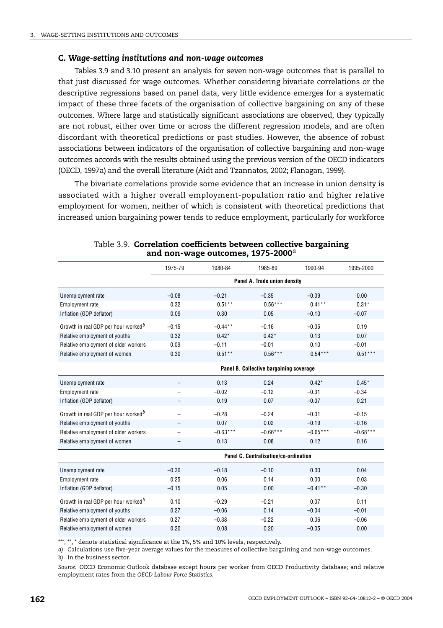### *C. Wage-setting institutions and non-wage outcomes*

Tables 3.9 and 3.10 present an analysis for seven non-wage outcomes that is parallel to that just discussed for wage outcomes. Whether considering bivariate correlations or the descriptive regressions based on panel data, very little evidence emerges for a systematic impact of these three facets of the organisation of collective bargaining on any of these outcomes. Where large and statistically significant associations are observed, they typically are not robust, either over time or across the different regression models, and are often discordant with theoretical predictions or past studies. However, the absence of robust associations between indicators of the organisation of collective bargaining and non-wage outcomes accords with the results obtained using the previous version of the OECD indicators (OECD, 1997a) and the overall literature (Aidt and Tzannatos, 2002; Flanagan, 1999).

The bivariate correlations provide some evidence that an increase in union density is associated with a higher overall employment-population ratio and higher relative employment for women, neither of which is consistent with theoretical predictions that increased union bargaining power tends to reduce employment, particularly for workforce

|                                                 | 1975-79 | 1980-84    | 1985-89                                 | 1990-94    | 1995-2000  |
|-------------------------------------------------|---------|------------|-----------------------------------------|------------|------------|
|                                                 |         |            | Panel A. Trade union density            |            |            |
| Unemployment rate                               | $-0.08$ | $-0.21$    | $-0.35$                                 | $-0.09$    | 0.00       |
| <b>Employment</b> rate                          | 0.32    | $0.51**$   | $0.56***$                               | $0.41**$   | $0.31*$    |
| Inflation (GDP deflator)                        | 0.09    | 0.30       | 0.05                                    | $-0.10$    | $-0.07$    |
| Growth in real GDP per hour worked <sup>b</sup> | $-0.15$ | $-0.44**$  | $-0.16$                                 | $-0.05$    | 0.19       |
| Relative employment of youths                   | 0.32    | $0.42*$    | $0.42*$                                 | 0.13       | 0.07       |
| Relative employment of older workers            | 0.09    | $-0.11$    | $-0.01$                                 | 0.10       | $-0.01$    |
| Relative employment of women                    | 0.30    | $0.51**$   | $0.56***$                               | $0.54***$  | $0.51***$  |
|                                                 |         |            | Panel B. Collective bargaining coverage |            |            |
| Unemployment rate                               |         | 0.13       | 0.24                                    | $0.42*$    | $0.45*$    |
| <b>Employment</b> rate                          |         | $-0.02$    | $-0.12$                                 | $-0.31$    | $-0.34$    |
| Inflation (GDP deflator)                        |         | 0.19       | 0.07                                    | $-0.07$    | 0.21       |
| Growth in real GDP per hour worked <sup>b</sup> |         | $-0.28$    | $-0.24$                                 | $-0.01$    | $-0.15$    |
| Relative employment of youths                   |         | 0.07       | 0.02                                    | $-0.19$    | $-0.16$    |
| Relative employment of older workers            |         | $-0.63***$ | $-0.66***$                              | $-0.65***$ | $-0.68***$ |
| Relative employment of women                    |         | 0.13       | 0.08                                    | 0.12       | 0.16       |
|                                                 |         |            | Panel C. Centralisation/co-ordination   |            |            |
| Unemployment rate                               | $-0.30$ | $-0.18$    | $-0.10$                                 | 0.00       | 0.04       |
| <b>Employment</b> rate                          | 0.25    | 0.06       | 0.14                                    | 0.00       | 0.03       |
| Inflation (GDP deflator)                        | $-0.15$ | 0.05       | 0.00                                    | $-0.41**$  | $-0.30$    |
| Growth in real GDP per hour worked <sup>b</sup> | 0.10    | $-0.29$    | $-0.21$                                 | 0.07       | 0.11       |
| Relative employment of youths                   | 0.27    | $-0.06$    | 0.14                                    | $-0.04$    | $-0.01$    |
| Relative employment of older workers            | 0.27    | $-0.38$    | $-0.22$                                 | 0.06       | $-0.06$    |
| Relative employment of women                    | 0.20    | 0.08       | 0.20                                    | $-0.05$    | 0.00       |

### Table 3.9. **Correlation coefficients between collective bargaining and non-wage outcomes, 1975-2000***<sup>a</sup>*

\*\*\*, \*\*, \* denote statistical significance at the 1%, 5% and 10% levels, respectively.

*a)* Calculations use five-year average values for the measures of collective bargaining and non-wage outcomes.

*b)* In the business sector.

*Source:* OECD Economic Outlook database except hours per worker from OECD Productivity database; and relative employment rates from the *OECD Labour Force Statistics*.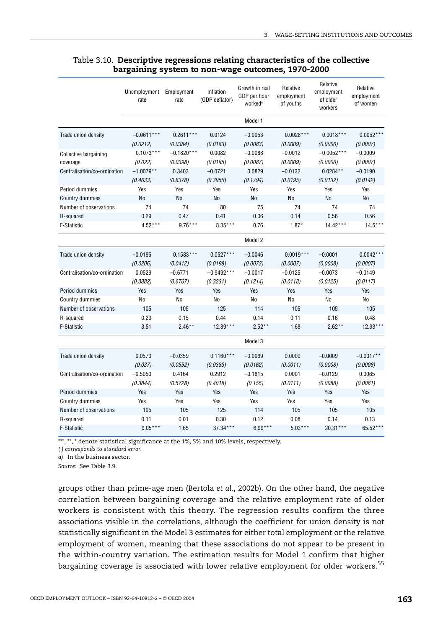|                              | Unemployment<br>rate | Employment<br>rate | Inflation<br>(GDP deflator) | Growth in real<br>GDP per hour<br>worked <sup>a</sup> | Relative<br>employment<br>of youths | Relative<br>employment<br>of older<br>workers | Relative<br>employment<br>of women |
|------------------------------|----------------------|--------------------|-----------------------------|-------------------------------------------------------|-------------------------------------|-----------------------------------------------|------------------------------------|
|                              |                      |                    |                             | Model 1                                               |                                     |                                               |                                    |
| Trade union density          | $-0.0611***$         | $0.2611***$        | 0.0124                      | $-0.0053$                                             | $0.0028***$                         | $0.0018***$                                   | $0.0052***$                        |
|                              | (0.0212)             | (0.0384)           | (0.0183)                    | (0.0083)                                              | (0.0009)                            | (0.0006)                                      | (0.0007)                           |
| Collective bargaining        | $0.1073***$          | $-0.1820***$       | 0.0082                      | $-0.0088$                                             | $-0.0012$                           | $-0.0052***$                                  | $-0.0009$                          |
| coverage                     | (0.022)              | (0.0398)           | (0.0185)                    | (0.0087)                                              | (0.0009)                            | (0.0006)                                      | (0.0007)                           |
| Centralisation/co-ordination | $-1.0079**$          | 0.3403             | $-0.0721$                   | 0.0829                                                | $-0.0132$                           | $0.0284**$                                    | $-0.0190$                          |
|                              | (0.4633)             | (0.8378)           | (0.3956)                    | (0.1794)                                              | (0.0195)                            | (0.0132)                                      | (0.0142)                           |
| Period dummies               | Yes                  | Yes                | Yes                         | Yes                                                   | Yes                                 | Yes                                           | Yes                                |
| <b>Country dummies</b>       | <b>No</b>            | <b>No</b>          | No                          | <b>No</b>                                             | <b>No</b>                           | <b>No</b>                                     | No                                 |
| Number of observations       | 74                   | 74                 | 80                          | 75                                                    | 74                                  | 74                                            | 74                                 |
| R-squared                    | 0.29                 | 0.47               | 0.41                        | 0.06                                                  | 0.14                                | 0.56                                          | 0.56                               |
| F-Statistic                  | $4.52***$            | $9.76***$          | $8.35***$                   | 0.76                                                  | $1.87*$                             | $14.42***$                                    | $14.5***$                          |
|                              |                      |                    |                             | Model 2                                               |                                     |                                               |                                    |
| Trade union density          | $-0.0195$            | $0.1583***$        | $0.0527***$                 | $-0.0046$                                             | $0.0019***$                         | $-0.0001$                                     | $0.0042***$                        |
|                              | (0.0206)             | (0.0412)           | (0.0198)                    | (0.0073)                                              | (0.0007)                            | (0.0008)                                      | (0.0007)                           |
| Centralisation/co-ordination | 0.0529               | $-0.6771$          | $-0.9492***$                | $-0.0017$                                             | $-0.0125$                           | $-0.0073$                                     | $-0.0149$                          |
|                              | (0.3382)             | (0.6767)           | (0.3231)                    | (0.1214)                                              | (0.0118)                            | (0.0125)                                      | (0.0117)                           |
| Period dummies               | Yes                  | Yes                | Yes                         | Yes                                                   | Yes                                 | Yes                                           | Yes                                |
| Country dummies              | No                   | No                 | No                          | No                                                    | No                                  | No                                            | No                                 |
| Number of observations       | 105                  | 105                | 125                         | 114                                                   | 105                                 | 105                                           | 105                                |
| R-squared                    | 0.20                 | 0.15               | 0.44                        | 0.14                                                  | 0.11                                | 0.16                                          | 0.48                               |
| <b>F-Statistic</b>           | 3.51                 | $2.46**$           | $12.89***$                  | $2.52**$                                              | 1.68                                | $2.62**$                                      | 12.93***                           |
|                              |                      |                    |                             | Model 3                                               |                                     |                                               |                                    |
| Trade union density          | 0.0570               | $-0.0359$          | $0.1160***$                 | $-0.0069$                                             | 0.0009                              | $-0.0009$                                     | $-0.0017**$                        |
|                              | (0.037)              | (0.0552)           | (0.0383)                    | (0.0162)                                              | (0.0011)                            | (0.0008)                                      | (0.0008)                           |
| Centralisation/co-ordination | $-0.5050$            | 0.4164             | 0.2912                      | $-0.1815$                                             | 0.0001                              | $-0.0129$                                     | 0.0065                             |
|                              | (0.3844)             | (0.5728)           | (0.4018)                    | (0.155)                                               | (0.0111)                            | (0.0088)                                      | (0.0081)                           |
| Period dummies               | Yes                  | Yes                | Yes                         | Yes                                                   | Yes                                 | Yes                                           | Yes                                |
| <b>Country dummies</b>       | Yes                  | Yes                | Yes                         | Yes                                                   | Yes                                 | Yes                                           | Yes                                |
| Number of observations       | 105                  | 105                | 125                         | 114                                                   | 105                                 | 105                                           | 105                                |
| R-squared                    | 0.11                 | 0.01               | 0.30                        | 0.12                                                  | 0.08                                | 0.14                                          | 0.13                               |
| <b>F-Statistic</b>           | $9.05***$            | 1.65               | 37.34***                    | $6.99***$                                             | $5.03***$                           | $20.31***$                                    | 65.52***                           |

### Table 3.10. **Descriptive regressions relating characteristics of the collective bargaining system to non-wage outcomes, 1970-2000**

\*\*\*, \*\*, \* denote statistical significance at the 1%, 5% and 10% levels, respectively.

*( ) corresponds to standard error.*

*a)* In the business sector.

*Source:* See Table 3.9.

groups other than prime-age men (Bertola *et al.*, 2002b). On the other hand, the negative correlation between bargaining coverage and the relative employment rate of older workers is consistent with this theory. The regression results confirm the three associations visible in the correlations, although the coefficient for union density is not statistically significant in the Model 3 estimates for either total employment or the relative employment of women, meaning that these associations do not appear to be present in the within-country variation. The estimation results for Model 1 confirm that higher bargaining coverage is associated with lower relative employment for older workers.<sup>55</sup>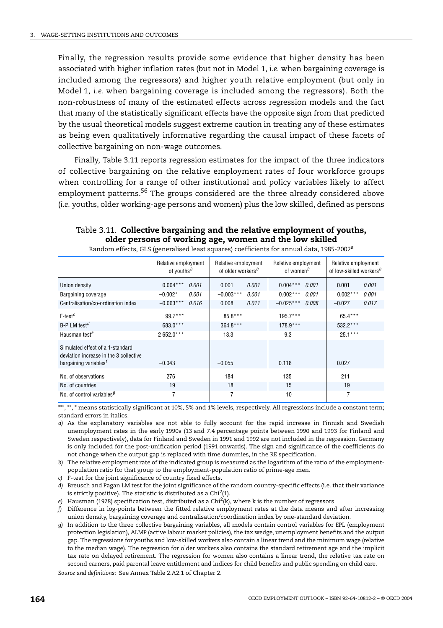Finally, the regression results provide some evidence that higher density has been associated with higher inflation rates (but not in Model 1, *i.e.* when bargaining coverage is included among the regressors) and higher youth relative employment (but only in Model 1, *i.e.* when bargaining coverage is included among the regressors). Both the non-robustness of many of the estimated effects across regression models and the fact that many of the statistically significant effects have the opposite sign from that predicted by the usual theoretical models suggest extreme caution in treating any of these estimates as being even qualitatively informative regarding the causal impact of these facets of collective bargaining on non-wage outcomes.

Finally, Table 3.11 reports regression estimates for the impact of the three indicators of collective bargaining on the relative employment rates of four workforce groups when controlling for a range of other institutional and policy variables likely to affect employment patterns.<sup>56</sup> The groups considered are the three already considered above (*i.e.* youths, older working-age persons and women) plus the low skilled, defined as persons

# Table 3.11. **Collective bargaining and the relative employment of youths, older persons of working age, women and the low skilled**

|                                                                                                                 | Relative employment<br>of youths <sup>b</sup> | Relative employment<br>of older workers <sup>b</sup> | Relative employment<br>of women <sup>b</sup> | Relative employment<br>of low-skilled workers <sup>b</sup> |  |
|-----------------------------------------------------------------------------------------------------------------|-----------------------------------------------|------------------------------------------------------|----------------------------------------------|------------------------------------------------------------|--|
| Union density                                                                                                   | $0.004***$<br>0.001                           | 0.001<br>0.001                                       | $0.004***$<br>0.001                          | 0.001<br>0.001                                             |  |
| Bargaining coverage                                                                                             | $-0.002*$<br>0.001                            | $-0.003***$<br>0.001                                 | $0.002***$<br>0.001                          | $0.002***$<br>0.001                                        |  |
| Centralisation/co-ordination index                                                                              | $-0.063***$<br>0.016                          | 0.008<br>0.011                                       | $-0.025***$<br>0.008                         | $-0.027$<br>0.017                                          |  |
| $F$ -test <sup>c</sup>                                                                                          | $99.7***$                                     | $85.8***$                                            | $195.7***$                                   | $65.4***$                                                  |  |
| B-P LM test <sup>d</sup>                                                                                        | $683.0***$                                    | $364.8***$                                           | $178.9***$                                   | $532.2***$                                                 |  |
| Hausman test <sup>e</sup>                                                                                       | $2652.0***$                                   | 13.3                                                 | 9.3                                          | $25.1***$                                                  |  |
| Simulated effect of a 1-standard<br>deviation increase in the 3 collective<br>bargaining variables <sup>t</sup> | $-0.043$                                      | $-0.055$                                             | 0.118                                        | 0.027                                                      |  |
| No. of observations                                                                                             | 276                                           | 184                                                  | 135                                          | 211                                                        |  |
| No. of countries                                                                                                | 19                                            | 18                                                   | 15                                           | 19                                                         |  |
| No. of control variables <sup>g</sup>                                                                           | $\overline{7}$                                | 7                                                    | 10                                           | 7                                                          |  |

Random effects, GLS (generalised least squares) coefficients for annual data, 1985-2002*<sup>a</sup>*

\*\*\*, \*\*, \* means statistically significant at 10%, 5% and 1% levels, respectively. All regressions include a constant term; standard errors in italics.

*a)* As the explanatory variables are not able to fully account for the rapid increase in Finnish and Swedish unemployment rates in the early 1990s (13 and 7.4 percentage points between 1990 and 1993 for Finland and Sweden respectively), data for Finland and Sweden in 1991 and 1992 are not included in the regression. Germany is only included for the post-unification period (1991 onwards). The sign and significance of the coefficients do not change when the output gap is replaced with time dummies, in the RE specification.

*b)* The relative employment rate of the indicated group is measured as the logarithm of the ratio of the employmentpopulation ratio for that group to the employment-population ratio of prime-age men.

*c)* F-test for the joint significance of country fixed effects.

*d)* Breusch and Pagan LM test for the joint significance of the random country-specific effects (i.e. that their variance is strictly positive). The statistic is distributed as a  $Chi<sup>2</sup>(1)$ .

*e)* Hausman (1978) specification test, distributed as a Chi2(k), where k is the number of regressors.

*f)* Difference in log-points between the fitted relative employment rates at the data means and after increasing union density, bargaining coverage and centralisation/coordination index by one-standard deviation.

*g)* In addition to the three collective bargaining variables, all models contain control variables for EPL (employment protection legislation), ALMP (active labour market policies), the tax wedge, unemployment benefits and the output gap. The regressions for youths and low-skilled workers also contain a linear trend and the minimum wage (relative to the median wage). The regression for older workers also contains the standard retirement age and the implicit tax rate on delayed retirement. The regression for women also contains a linear trend, the relative tax rate on second earners, paid parental leave entitlement and indices for child benefits and public spending on child care.

*Source and definitions:* See Annex Table 2.A2.1 of Chapter 2.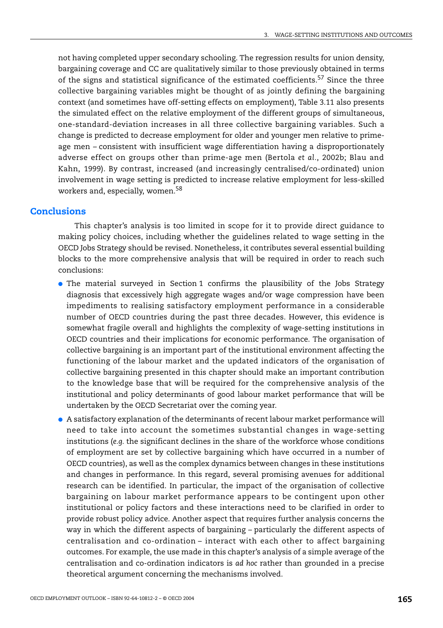not having completed upper secondary schooling. The regression results for union density, bargaining coverage and CC are qualitatively similar to those previously obtained in terms of the signs and statistical significance of the estimated coefficients.<sup>57</sup> Since the three collective bargaining variables might be thought of as jointly defining the bargaining context (and sometimes have off-setting effects on employment), Table 3.11 also presents the simulated effect on the relative employment of the different groups of simultaneous, one-standard-deviation increases in all three collective bargaining variables. Such a change is predicted to decrease employment for older and younger men relative to primeage men – consistent with insufficient wage differentiation having a disproportionately adverse effect on groups other than prime-age men (Bertola *et al.*, 2002b; Blau and Kahn, 1999). By contrast, increased (and increasingly centralised/co-ordinated) union involvement in wage setting is predicted to increase relative employment for less-skilled workers and, especially, women.<sup>58</sup>

# **Conclusions**

This chapter's analysis is too limited in scope for it to provide direct guidance to making policy choices, including whether the guidelines related to wage setting in the OECD Jobs Strategy should be revised. Nonetheless, it contributes several essential building blocks to the more comprehensive analysis that will be required in order to reach such conclusions:

- The material surveyed in Section 1 confirms the plausibility of the Jobs Strategy diagnosis that excessively high aggregate wages and/or wage compression have been impediments to realising satisfactory employment performance in a considerable number of OECD countries during the past three decades. However, this evidence is somewhat fragile overall and highlights the complexity of wage-setting institutions in OECD countries and their implications for economic performance. The organisation of collective bargaining is an important part of the institutional environment affecting the functioning of the labour market and the updated indicators of the organisation of collective bargaining presented in this chapter should make an important contribution to the knowledge base that will be required for the comprehensive analysis of the institutional and policy determinants of good labour market performance that will be undertaken by the OECD Secretariat over the coming year.
- A satisfactory explanation of the determinants of recent labour market performance will need to take into account the sometimes substantial changes in wage-setting institutions (*e.g.* the significant declines in the share of the workforce whose conditions of employment are set by collective bargaining which have occurred in a number of OECD countries), as well as the complex dynamics between changes in these institutions and changes in performance. In this regard, several promising avenues for additional research can be identified. In particular, the impact of the organisation of collective bargaining on labour market performance appears to be contingent upon other institutional or policy factors and these interactions need to be clarified in order to provide robust policy advice. Another aspect that requires further analysis concerns the way in which the different aspects of bargaining – particularly the different aspects of centralisation and co-ordination – interact with each other to affect bargaining outcomes. For example, the use made in this chapter's analysis of a simple average of the centralisation and co-ordination indicators is *ad hoc* rather than grounded in a precise theoretical argument concerning the mechanisms involved.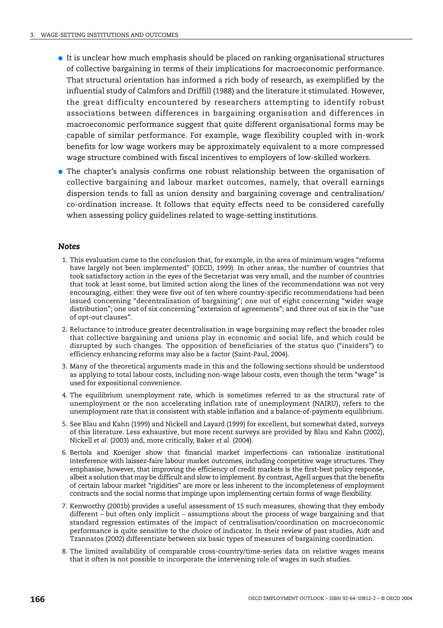- It is unclear how much emphasis should be placed on ranking organisational structures of collective bargaining in terms of their implications for macroeconomic performance. That structural orientation has informed a rich body of research, as exemplified by the influential study of Calmfors and Driffill (1988) and the literature it stimulated. However, the great difficulty encountered by researchers attempting to identify robust associations between differences in bargaining organisation and differences in macroeconomic performance suggest that quite different organisational forms may be capable of similar performance. For example, wage flexibility coupled with in-work benefits for low wage workers may be approximately equivalent to a more compressed wage structure combined with fiscal incentives to employers of low-skilled workers.
- The chapter's analysis confirms one robust relationship between the organisation of collective bargaining and labour market outcomes, namely, that overall earnings dispersion tends to fall as union density and bargaining coverage and centralisation/ co-ordination increase. It follows that equity effects need to be considered carefully when assessing policy guidelines related to wage-setting institutions.

### *Notes*

- 1. This evaluation came to the conclusion that, for example, in the area of minimum wages "reforms have largely not been implemented" (OECD, 1999). In other areas, the number of countries that took satisfactory action in the eyes of the Secretariat was very small, and the number of countries that took at least some, but limited action along the lines of the recommendations was not very encouraging, either: they were five out of ten where country-specific recommendations had been issued concerning "decentralisation of bargaining"; one out of eight concerning "wider wage distribution"; one out of six concerning "extension of agreements"; and three out of six in the "use of opt-out clauses".
- 2. Reluctance to introduce greater decentralisation in wage bargaining may reflect the broader roles that collective bargaining and unions play in economic and social life, and which could be disrupted by such changes. The opposition of beneficiaries of the status quo ("insiders") to efficiency enhancing reforms may also be a factor (Saint-Paul, 2004).
- 3. Many of the theoretical arguments made in this and the following sections should be understood as applying to total labour costs, including non-wage labour costs, even though the term "wage" is used for expositional convenience.
- 4. The equilibrium unemployment rate, which is sometimes referred to as the structural rate of unemployment or the non accelerating inflation rate of unemployment (NAIRU), refers to the unemployment rate that is consistent with stable inflation and a balance-of-payments equilibrium.
- 5. See Blau and Kahn (1999) and Nickell and Layard (1999) for excellent, but somewhat dated, surveys of this literature. Less exhaustive, but more recent surveys are provided by Blau and Kahn (2002), Nickell *et al.* (2003) and, more critically, Baker *et al.* (2004).
- 6. Bertola and Koeniger show that financial market imperfections can rationalize institutional interference with laissez-faire labour market outcomes, including competitive wage structures. They emphasise, however, that improving the efficiency of credit markets is the first-best policy response, albeit a solution that may be difficult and slow to implement. By contrast, Agell argues that the benefits of certain labour market "rigidities" are more or less inherent to the incompleteness of employment contracts and the social norms that impinge upon implementing certain forms of wage flexibility.
- 7. Kenworthy (2001b) provides a useful assessment of 15 such measures, showing that they embody different – but often only implicit – assumptions about the process of wage bargaining and that standard regression estimates of the impact of centralisation/coordination on macroeconomic performance is quite sensitive to the choice of indicator. In their review of past studies, Aidt and Tzannatos (2002) differentiate between six basic types of measures of bargaining coordination.
- 8. The limited availability of comparable cross-country/time-series data on relative wages means that it often is not possible to incorporate the intervening role of wages in such studies.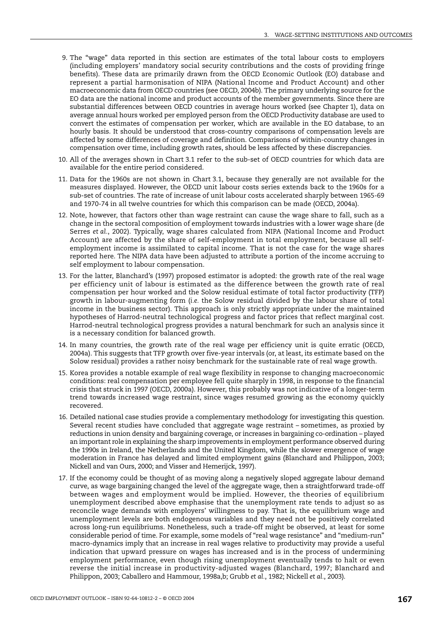- 9. The "wage" data reported in this section are estimates of the total labour costs to employers (including employers' mandatory social security contributions and the costs of providing fringe benefits). These data are primarily drawn from the OECD Economic Outlook (EO) database and represent a partial harmonisation of NIPA (National Income and Product Account) and other macroeconomic data from OECD countries (see OECD, 2004b). The primary underlying source for the EO data are the national income and product accounts of the member governments. Since there are substantial differences between OECD countries in average hours worked (see Chapter 1), data on average annual hours worked per employed person from the OECD Productivity database are used to convert the estimates of compensation per worker, which are available in the EO database, to an hourly basis. It should be understood that cross-country comparisons of compensation levels are affected by some differences of coverage and definition. Comparisons of within-country changes in compensation over time, including growth rates, should be less affected by these discrepancies.
- 10. All of the averages shown in Chart 3.1 refer to the sub-set of OECD countries for which data are available for the entire period considered.
- 11. Data for the 1960s are not shown in Chart 3.1, because they generally are not available for the measures displayed. However, the OECD unit labour costs series extends back to the 1960s for a sub-set of countries. The rate of increase of unit labour costs accelerated sharply between 1965-69 and 1970-74 in all twelve countries for which this comparison can be made (OECD, 2004a).
- 12. Note, however, that factors other than wage restraint can cause the wage share to fall, such as a change in the sectoral composition of employment towards industries with a lower wage share (de Serres *et al.*, 2002). Typically, wage shares calculated from NIPA (National Income and Product Account) are affected by the share of self-employment in total employment, because all selfemployment income is assimilated to capital income. That is not the case for the wage shares reported here. The NIPA data have been adjusted to attribute a portion of the income accruing to self employment to labour compensation.
- 13. For the latter, Blanchard's (1997) proposed estimator is adopted: the growth rate of the real wage per efficiency unit of labour is estimated as the difference between the growth rate of real compensation per hour worked and the Solow residual estimate of total factor productivity (TFP) growth in labour-augmenting form (*i.e.* the Solow residual divided by the labour share of total income in the business sector). This approach is only strictly appropriate under the maintained hypotheses of Harrod-neutral technological progress and factor prices that reflect marginal cost. Harrod-neutral technological progress provides a natural benchmark for such an analysis since it is a necessary condition for balanced growth.
- 14. In many countries, the growth rate of the real wage per efficiency unit is quite erratic (OECD, 2004a). This suggests that TFP growth over five-year intervals (or, at least, its estimate based on the Solow residual) provides a rather noisy benchmark for the sustainable rate of real wage growth.
- 15. Korea provides a notable example of real wage flexibility in response to changing macroeconomic conditions: real compensation per employee fell quite sharply in 1998, in response to the financial crisis that struck in 1997 (OECD, 2000a). However, this probably was not indicative of a longer-term trend towards increased wage restraint, since wages resumed growing as the economy quickly recovered.
- 16. Detailed national case studies provide a complementary methodology for investigating this question. Several recent studies have concluded that aggregate wage restraint – sometimes, as proxied by reductions in union density and bargaining coverage, or increases in bargaining co-ordination – played an important role in explaining the sharp improvements in employment performance observed during the 1990s in Ireland, the Netherlands and the United Kingdom, while the slower emergence of wage moderation in France has delayed and limited employment gains (Blanchard and Philippon, 2003; Nickell and van Ours, 2000; and Visser and Hemerijck, 1997).
- 17. If the economy could be thought of as moving along a negatively sloped aggregate labour demand curve, as wage bargaining changed the level of the aggregate wage, then a straightforward trade-off between wages and employment would be implied. However, the theories of equilibrium unemployment described above emphasise that the unemployment rate tends to adjust so as reconcile wage demands with employers' willingness to pay. That is, the equilibrium wage and unemployment levels are both endogenous variables and they need not be positively correlated across long-run equilibriums. Nonetheless, such a trade-off might be observed, at least for some considerable period of time. For example, some models of "real wage resistance" and "medium-run" macro-dynamics imply that an increase in real wages relative to productivity may provide a useful indication that upward pressure on wages has increased and is in the process of undermining employment performance, even though rising unemployment eventually tends to halt or even reverse the initial increase in productivity-adjusted wages (Blanchard, 1997; Blanchard and Philippon, 2003; Caballero and Hammour, 1998a,b; Grubb *et al.*, 1982; Nickell *et al.*, 2003).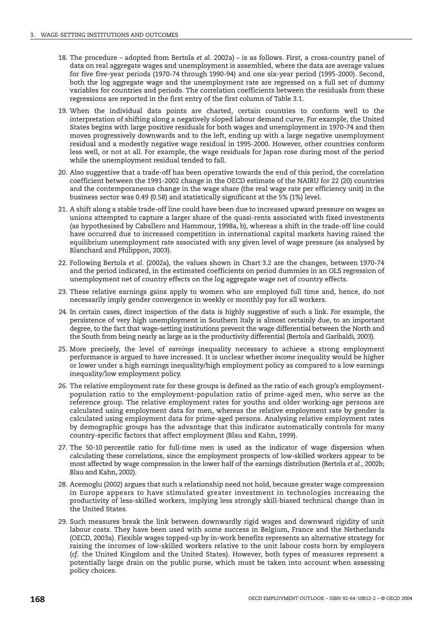- 18. The procedure adopted from Bertola *et al.* 2002a) is as follows. First, a cross-country panel of data on real aggregate wages and unemployment is assembled, where the data are average values for five five-year periods (1970-74 through 1990-94) and one six-year period (1995-2000). Second, both the log aggregate wage and the unemployment rate are regressed on a full set of dummy variables for countries and periods. The correlation coefficients between the residuals from these regressions are reported in the first entry of the first column of Table 3.1.
- 19. When the individual data points are charted, certain countries to conform well to the interpretation of shifting along a negatively sloped labour demand curve. For example, the United States begins with large positive residuals for both wages and unemployment in 1970-74 and then moves progressively downwards and to the left, ending up with a large negative unemployment residual and a modestly negative wage residual in 1995-2000. However, other countries conform less well, or not at all. For example, the wage residuals for Japan rose during most of the period while the unemployment residual tended to fall.
- 20. Also suggestive that a trade-off has been operative towards the end of this period, the correlation coefficient between the 1991-2002 change in the OECD estimate of the NAIRU for 22 (20) countries and the contemporaneous change in the wage share (the real wage rate per efficiency unit) in the business sector was 0.49 (0.58) and statistically significant at the 5% (1%) level.
- 21. A shift along a stable trade-off line could have been due to increased upward pressure on wages as unions attempted to capture a larger share of the quasi-rents associated with fixed investments (as hypothesised by Caballero and Hammour, 1998a, b), whereas a shift in the trade-off line could have occurred due to increased competition in international capital markets having raised the equilibrium unemployment rate associated with any given level of wage pressure (as analysed by Blanchard and Philippon, 2003).
- 22. Following Bertola *et al.* (2002a), the values shown in Chart 3.2 are the changes, between 1970-74 and the period indicated, in the estimated coefficients on period dummies in an OLS regression of unemployment net of country effects on the log aggregate wage net of country effects.
- 23. These relative earnings gains apply to women who are employed full time and, hence, do not necessarily imply gender convergence in weekly or monthly pay for all workers.
- 24. In certain cases, direct inspection of the data is highly suggestive of such a link. For example, the persistence of very high unemployment in Southern Italy is almost certainly due, to an important degree, to the fact that wage-setting institutions prevent the wage differential between the North and the South from being nearly as large as is the productivity differential (Bertola and Garibaldi, 2003).
- 25. More precisely, the level of *earnings* inequality necessary to achieve a strong employment performance is argued to have increased. It is unclear whether *income* inequality would be higher or lower under a high earnings inequality/high employment policy as compared to a low earnings inequality/low employment policy.
- 26. The relative employment rate for these groups is defined as the ratio of each group's employmentpopulation ratio to the employment-population ratio of prime-aged men, who serve as the reference group. The relative employment rates for youths and older working-age persons are calculated using employment data for men, whereas the relative employment rate by gender is calculated using employment data for prime-aged persons. Analysing relative employment rates by demographic groups has the advantage that this indicator automatically controls for many country-specific factors that affect employment (Blau and Kahn, 1999).
- 27. The 50-10 percentile ratio for full-time men is used as the indicator of wage dispersion when calculating these correlations, since the employment prospects of low-skilled workers appear to be most affected by wage compression in the lower half of the earnings distribution (Bertola *et al.*, 2002b; Blau and Kahn, 2002).
- 28. Acemoglu (2002) argues that such a relationship need not hold, because greater wage compression in Europe appears to have stimulated greater investment in technologies increasing the productivity of less-skilled workers, implying less strongly skill-biased technical change than in the United States.
- 29. Such measures break the link between downwardly rigid wages and downward rigidity of unit labour costs. They have been used with some success in Belgium, France and the Netherlands (OECD, 2003a). Flexible wages topped-up by in-work benefits represents an alternative strategy for raising the incomes of low-skilled workers relative to the unit labour costs born by employers (*cf.* the United Kingdom and the United States). However, both types of measures represent a potentially large drain on the public purse, which must be taken into account when assessing policy choices.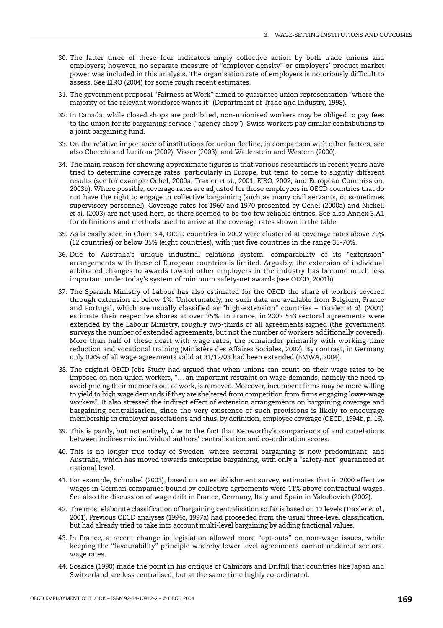- 30. The latter three of these four indicators imply collective action by both trade unions and employers; however, no separate measure of "employer density" or employers' product market power was included in this analysis. The organisation rate of employers is notoriously difficult to assess. See EIRO (2004) for some rough recent estimates.
- 31. The government proposal "Fairness at Work" aimed to guarantee union representation "where the majority of the relevant workforce wants it" (Department of Trade and Industry, 1998).
- 32. In Canada, while closed shops are prohibited, non-unionised workers may be obliged to pay fees to the union for its bargaining service ("agency shop"). Swiss workers pay similar contributions to a joint bargaining fund.
- 33. On the relative importance of institutions for union decline, in comparison with other factors, see also Checchi and Lucifora (2002); Visser (2003); and Wallerstein and Western (2000).
- 34. The main reason for showing approximate figures is that various researchers in recent years have tried to determine coverage rates, particularly in Europe, but tend to come to slightly different results (see for example Ochel, 2000a; Traxler *et al.*, 2001; EIRO, 2002; and European Commission, 2003b). Where possible, coverage rates are adjusted for those employees in OECD countries that do not have the right to engage in collective bargaining (such as many civil servants, or sometimes supervisory personnel). Coverage rates for 1960 and 1970 presented by Ochel (2000a) and Nickell *et al.* (2003) are not used here, as there seemed to be too few reliable entries. See also Annex 3.A1 for definitions and methods used to arrive at the coverage rates shown in the table.
- 35. As is easily seen in Chart 3.4, OECD countries in 2002 were clustered at coverage rates above 70% (12 countries) or below 35% (eight countries), with just five countries in the range 35-70%.
- 36. Due to Australia's unique industrial relations system, comparability of its "extension" arrangements with those of European countries is limited. Arguably, the extension of individual arbitrated changes to awards toward other employers in the industry has become much less important under today's system of minimum safety-net awards (see OECD, 2001b).
- 37. The Spanish Ministry of Labour has also estimated for the OECD the share of workers covered through extension at below 1%. Unfortunately, no such data are available from Belgium, France and Portugal, which are usually classified as "high-extension" countries – Traxler *et al.* (2001) estimate their respective shares at over 25%. In France, in 2002 553 sectoral agreements were extended by the Labour Ministry, roughly two-thirds of all agreements signed (the government surveys the number of extended agreements, but not the number of workers additionally covered). More than half of these dealt with wage rates, the remainder primarily with working-time reduction and vocational training (Ministère des Affaires Sociales, 2002). By contrast, in Germany only 0.8% of all wage agreements valid at 31/12/03 had been extended (BMWA, 2004).
- 38. The original OECD Jobs Study had argued that when unions can count on their wage rates to be imposed on non-union workers, "… an important restraint on wage demands, namely the need to avoid pricing their members out of work, is removed. Moreover, incumbent firms may be more willing to yield to high wage demands if they are sheltered from competition from firms engaging lower-wage workers". It also stressed the indirect effect of extension arrangements on bargaining coverage and bargaining centralisation, since the very existence of such provisions is likely to encourage membership in employer associations and thus, by definition, employee coverage (OECD, 1994b, p. 16).
- 39. This is partly, but not entirely, due to the fact that Kenworthy's comparisons of and correlations between indices mix individual authors' centralisation and co-ordination scores.
- 40. This is no longer true today of Sweden, where sectoral bargaining is now predominant, and Australia, which has moved towards enterprise bargaining, with only a "safety-net" guaranteed at national level.
- 41. For example, Schnabel (2003), based on an establishment survey, estimates that in 2000 effective wages in German companies bound by collective agreements were 11% above contractual wages. See also the discussion of wage drift in France, Germany, Italy and Spain in Yakubovich (2002).
- 42. The most elaborate classification of bargaining centralisation so far is based on 12 levels (Traxler *et al.*, 2001). Previous OECD analyses (1994c, 1997a) had proceeded from the usual three-level classification, but had already tried to take into account multi-level bargaining by adding fractional values.
- 43. In France, a recent change in legislation allowed more "opt-outs" on non-wage issues, while keeping the "favourability" principle whereby lower level agreements cannot undercut sectoral wage rates.
- 44. Soskice (1990) made the point in his critique of Calmfors and Driffill that countries like Japan and Switzerland are less centralised, but at the same time highly co-ordinated.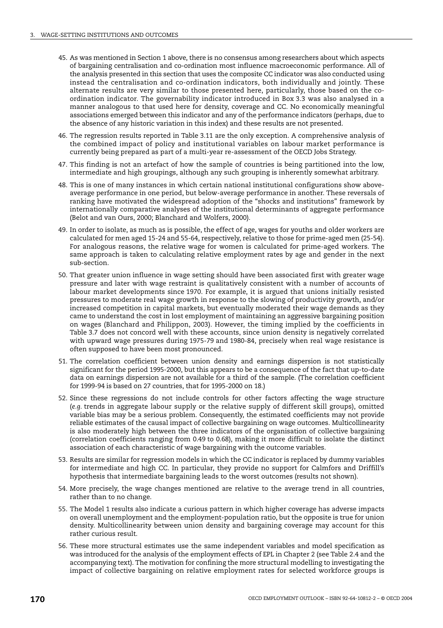- 45. As was mentioned in Section 1 above, there is no consensus among researchers about which aspects of bargaining centralisation and co-ordination most influence macroeconomic performance. All of the analysis presented in this section that uses the composite CC indicator was also conducted using instead the centralisation and co-ordination indicators, both individually and jointly. These alternate results are very similar to those presented here, particularly, those based on the coordination indicator. The governability indicator introduced in Box 3.3 was also analysed in a manner analogous to that used here for density, coverage and CC. No economically meaningful associations emerged between this indicator and any of the performance indicators (perhaps, due to the absence of any historic variation in this index) and these results are not presented.
- 46. The regression results reported in Table 3.11 are the only exception. A comprehensive analysis of the combined impact of policy and institutional variables on labour market performance is currently being prepared as part of a multi-year re-assessment of the OECD Jobs Strategy.
- 47. This finding is not an artefact of how the sample of countries is being partitioned into the low, intermediate and high groupings, although any such grouping is inherently somewhat arbitrary.
- 48. This is one of many instances in which certain national institutional configurations show aboveaverage performance in one period, but below-average performance in another. These reversals of ranking have motivated the widespread adoption of the "shocks and institutions" framework by internationally comparative analyses of the institutional determinants of aggregate performance (Belot and van Ours, 2000; Blanchard and Wolfers, 2000).
- 49. In order to isolate, as much as is possible, the effect of age, wages for youths and older workers are calculated for men aged 15-24 and 55-64, respectively, relative to those for prime-aged men (25-54). For analogous reasons, the relative wage for women is calculated for prime-aged workers. The same approach is taken to calculating relative employment rates by age and gender in the next sub-section.
- 50. That greater union influence in wage setting should have been associated first with greater wage pressure and later with wage restraint is qualitatively consistent with a number of accounts of labour market developments since 1970. For example, it is argued that unions initially resisted pressures to moderate real wage growth in response to the slowing of productivity growth, and/or increased competition in capital markets, but eventually moderated their wage demands as they came to understand the cost in lost employment of maintaining an aggressive bargaining position on wages (Blanchard and Philippon, 2003). However, the timing implied by the coefficients in Table 3.7 does not concord well with these accounts, since union density is negatively correlated with upward wage pressures during 1975-79 and 1980-84, precisely when real wage resistance is often supposed to have been most pronounced.
- 51. The correlation coefficient between union density and earnings dispersion is not statistically significant for the period 1995-2000, but this appears to be a consequence of the fact that up-to-date data on earnings dispersion are not available for a third of the sample. (The correlation coefficient for 1999-94 is based on 27 countries, that for 1995-2000 on 18.)
- 52. Since these regressions do not include controls for other factors affecting the wage structure (*e.g.* trends in aggregate labour supply or the relative supply of different skill groups), omitted variable bias may be a serious problem. Consequently, the estimated coefficients may not provide reliable estimates of the causal impact of collective bargaining on wage outcomes. Multicollinearity is also moderately high between the three indicators of the organisation of collective bargaining (correlation coefficients ranging from 0.49 to 0.68), making it more difficult to isolate the distinct association of each characteristic of wage bargaining with the outcome variables.
- 53. Results are similar for regression models in which the CC indicator is replaced by dummy variables for intermediate and high CC. In particular, they provide no support for Calmfors and Driffill's hypothesis that intermediate bargaining leads to the worst outcomes (results not shown).
- 54. More precisely, the wage changes mentioned are relative to the average trend in all countries, rather than to no change.
- 55. The Model 1 results also indicate a curious pattern in which higher coverage has adverse impacts on overall unemployment and the employment-population ratio, but the opposite is true for union density. Multicollinearity between union density and bargaining coverage may account for this rather curious result.
- 56. These more structural estimates use the same independent variables and model specification as was introduced for the analysis of the employment effects of EPL in Chapter 2 (see Table 2.4 and the accompanying text). The motivation for confining the more structural modelling to investigating the impact of collective bargaining on relative employment rates for selected workforce groups is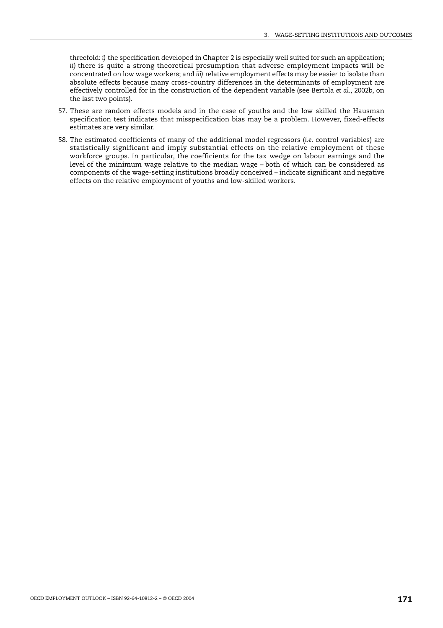threefold: *i)* the specification developed in Chapter 2 is especially well suited for such an application; *ii)* there is quite a strong theoretical presumption that adverse employment impacts will be concentrated on low wage workers; and *iii)* relative employment effects may be easier to isolate than absolute effects because many cross-country differences in the determinants of employment are effectively controlled for in the construction of the dependent variable (see Bertola *et al.*, 2002b, on the last two points).

- 57. These are random effects models and in the case of youths and the low skilled the Hausman specification test indicates that misspecification bias may be a problem. However, fixed-effects estimates are very similar.
- 58. The estimated coefficients of many of the additional model regressors (*i.e.* control variables) are statistically significant and imply substantial effects on the relative employment of these workforce groups. In particular, the coefficients for the tax wedge on labour earnings and the level of the minimum wage relative to the median wage – both of which can be considered as components of the wage-setting institutions broadly conceived – indicate significant and negative effects on the relative employment of youths and low-skilled workers.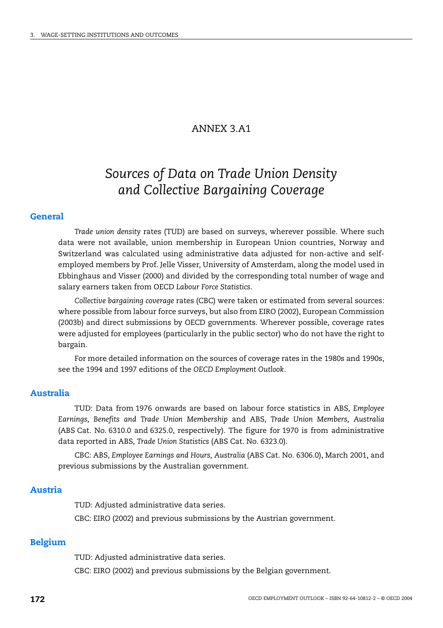# ANNEX 3.A1

# *Sources of Data on Trade Union Density and Collective Bargaining Coverage*

### **General**

*Trade union density* rates (TUD) are based on surveys, wherever possible. Where such data were not available, union membership in European Union countries, Norway and Switzerland was calculated using administrative data adjusted for non-active and selfemployed members by Prof. Jelle Visser, University of Amsterdam, along the model used in Ebbinghaus and Visser (2000) and divided by the corresponding total number of wage and salary earners taken from OECD *Labour Force Statistics*.

*Collective bargaining coverage* rates (CBC) were taken or estimated from several sources: where possible from labour force surveys, but also from EIRO (2002), European Commission (2003b) and direct submissions by OECD governments. Wherever possible, coverage rates were adjusted for employees (particularly in the public sector) who do not have the right to bargain.

For more detailed information on the sources of coverage rates in the 1980s and 1990s, see the 1994 and 1997 editions of the *OECD Employment Outlook*.

# **Australia**

TUD: Data from 1976 onwards are based on labour force statistics in ABS, *Employee Earnings, Benefits and Trade Union Membership* and ABS, *Trade Union Members, Australia* (ABS Cat. No. 6310.0 and 6325.0, respectively). The figure for 1970 is from administrative data reported in ABS, *Trade Union Statistics* (ABS Cat. No. 6323.0).

CBC: ABS, *Employee Earnings and Hours, Australia* (ABS Cat. No. 6306.0), March 2001, and previous submissions by the Australian government.

# **Austria**

TUD: Adjusted administrative data series. CBC: EIRO (2002) and previous submissions by the Austrian government.

### **Belgium**

TUD: Adjusted administrative data series.

CBC: EIRO (2002) and previous submissions by the Belgian government.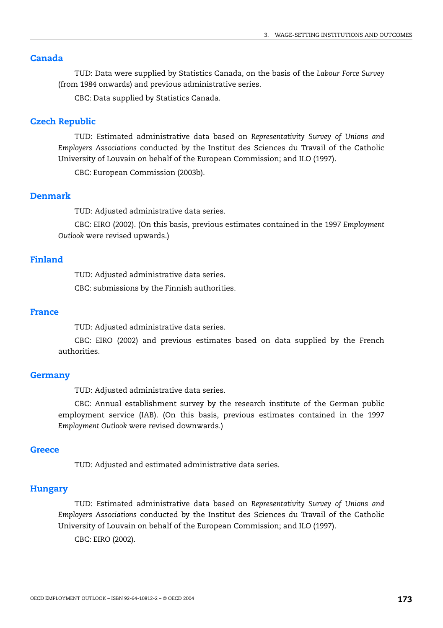# **Canada**

TUD: Data were supplied by Statistics Canada, on the basis of the *Labour Force Survey* (from 1984 onwards) and previous administrative series.

CBC: Data supplied by Statistics Canada.

### **Czech Republic**

TUD: Estimated administrative data based on *Representativity Survey of Unions and Employers Associations* conducted by the Institut des Sciences du Travail of the Catholic University of Louvain on behalf of the European Commission; and ILO (1997).

CBC: European Commission (2003b).

# **Denmark**

TUD: Adjusted administrative data series.

CBC: EIRO (2002). (On this basis, previous estimates contained in the 1997 *Employment Outlook* were revised upwards.)

# **Finland**

TUD: Adjusted administrative data series.

CBC: submissions by the Finnish authorities.

# **France**

TUD: Adjusted administrative data series.

CBC: EIRO (2002) and previous estimates based on data supplied by the French authorities.

### **Germany**

TUD: Adjusted administrative data series.

CBC: Annual establishment survey by the research institute of the German public employment service (IAB). (On this basis, previous estimates contained in the 1997 *Employment Outlook* were revised downwards.)

### **Greece**

TUD: Adjusted and estimated administrative data series.

### **Hungary**

TUD: Estimated administrative data based on *Representativity Survey of Unions and Employers Associations* conducted by the Institut des Sciences du Travail of the Catholic University of Louvain on behalf of the European Commission; and ILO (1997).

CBC: EIRO (2002).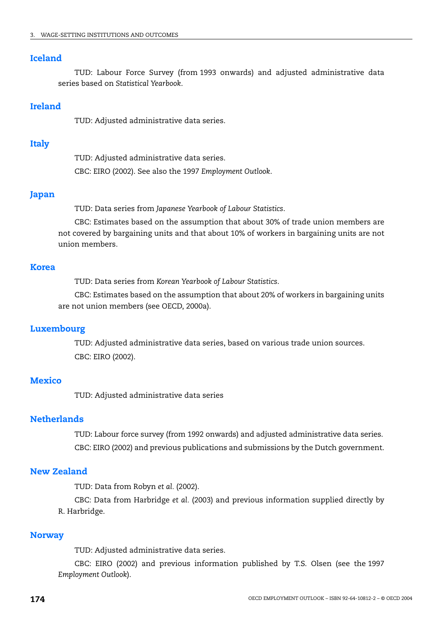# **Iceland**

TUD: Labour Force Survey (from 1993 onwards) and adjusted administrative data series based on *Statistical Yearbook*.

# **Ireland**

TUD: Adjusted administrative data series.

# **Italy**

TUD: Adjusted administrative data series. CBC: EIRO (2002). See also the 1997 *Employment Outlook*.

### **Japan**

TUD: Data series from *Japanese Yearbook of Labour Statistics*.

CBC: Estimates based on the assumption that about 30% of trade union members are not covered by bargaining units and that about 10% of workers in bargaining units are not union members.

### **Korea**

TUD: Data series from *Korean Yearbook of Labour Statistics*.

CBC: Estimates based on the assumption that about 20% of workers in bargaining units are not union members (see OECD, 2000a).

### **Luxembourg**

TUD: Adjusted administrative data series, based on various trade union sources. CBC: EIRO (2002).

# **Mexico**

TUD: Adjusted administrative data series

# **Netherlands**

TUD: Labour force survey (from 1992 onwards) and adjusted administrative data series. CBC: EIRO (2002) and previous publications and submissions by the Dutch government.

# **New Zealand**

TUD: Data from Robyn *et al.* (2002).

CBC: Data from Harbridge *et al.* (2003) and previous information supplied directly by R. Harbridge.

### **Norway**

TUD: Adjusted administrative data series.

CBC: EIRO (2002) and previous information published by T.S. Olsen (see the 1997 *Employment Outlook*).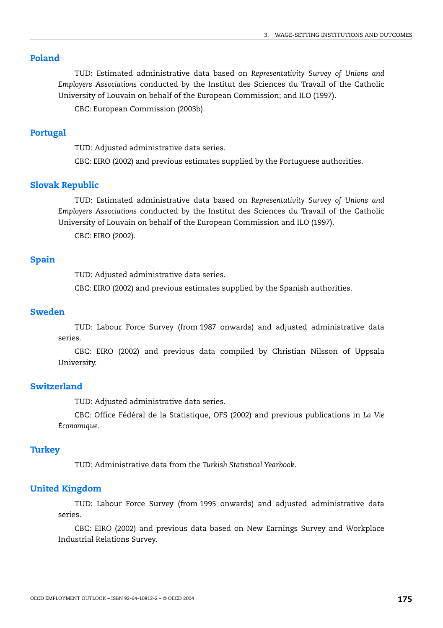### **Poland**

TUD: Estimated administrative data based on *Representativity Survey of Unions and Employers Associations* conducted by the Institut des Sciences du Travail of the Catholic University of Louvain on behalf of the European Commission; and ILO (1997).

CBC: European Commission (2003b).

# **Portugal**

TUD: Adjusted administrative data series.

CBC: EIRO (2002) and previous estimates supplied by the Portuguese authorities.

### **Slovak Republic**

TUD: Estimated administrative data based on *Representativity Survey of Unions and Employers Associations* conducted by the Institut des Sciences du Travail of the Catholic University of Louvain on behalf of the European Commission and ILO (1997).

CBC: EIRO (2002).

# **Spain**

TUD: Adjusted administrative data series.

CBC: EIRO (2002) and previous estimates supplied by the Spanish authorities.

### **Sweden**

TUD: Labour Force Survey (from 1987 onwards) and adjusted administrative data series.

CBC: EIRO (2002) and previous data compiled by Christian Nilsson of Uppsala University.

# **Switzerland**

TUD: Adjusted administrative data series.

CBC: Office Fédéral de la Statistique, OFS (2002) and previous publications in *La Vie Économique*.

### **Turkey**

TUD: Administrative data from the *Turkish Statistical Yearbook*.

# **United Kingdom**

TUD: Labour Force Survey (from 1995 onwards) and adjusted administrative data series.

CBC: EIRO (2002) and previous data based on New Earnings Survey and Workplace Industrial Relations Survey.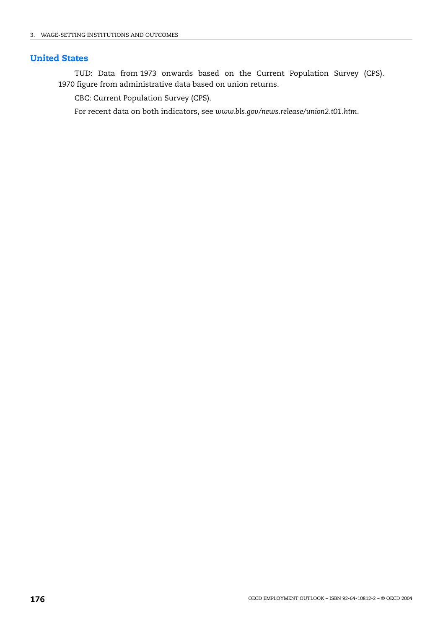# **United States**

TUD: Data from 1973 onwards based on the Current Population Survey (CPS). 1970 figure from administrative data based on union returns.

CBC: Current Population Survey (CPS).

For recent data on both indicators, see *www.bls.gov/news.release/union2.t01.htm*.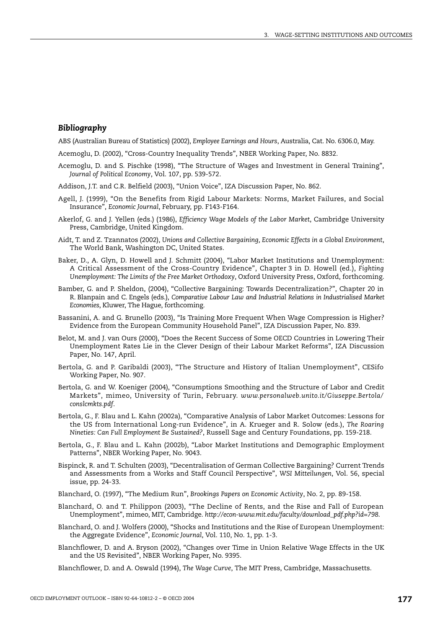### *Bibliography*

ABS (Australian Bureau of Statistics) (2002), *Employee Earnings and Hours*, Australia, Cat. No. 6306.0, May.

Acemoglu, D. (2002), "Cross-Country Inequality Trends", NBER Working Paper, No. 8832.

- Acemoglu, D. and S. Pischke (1998), "The Structure of Wages and Investment in General Training", *Journal of Political Economy*, Vol. 107, pp. 539-572.
- Addison, J.T. and C.R. Belfield (2003), "Union Voice", IZA Discussion Paper, No. 862.
- Agell, J. (1999), "On the Benefits from Rigid Labour Markets: Norms, Market Failures, and Social Insurance", *Economic Journal*, February, pp. F143-F164.
- Akerlof, G. and J. Yellen (eds.) (1986), *Efficiency Wage Models of the Labor Market*, Cambridge University Press, Cambridge, United Kingdom.
- Aidt, T. and Z. Tzannatos (2002), *Unions and Collective Bargaining, Economic Effects in a Global Environment*, The World Bank, Washington DC, United States.
- Baker, D., A. Glyn, D. Howell and J. Schmitt (2004), "Labor Market Institutions and Unemployment: A Critical Assessment of the Cross-Country Evidence", Chapter 3 in D. Howell (ed.), *Fighting Unemployment: The Limits of the Free Market Orthodoxy*, Oxford University Press, Oxford, forthcoming.
- Bamber, G. and P. Sheldon, (2004), "Collective Bargaining: Towards Decentralization?", Chapter 20 in R. Blanpain and C. Engels (eds.), *Comparative Labour Law and Industrial Relations in Industrialised Market Economies*, Kluwer, The Hague, forthcoming.
- Bassanini, A. and G. Brunello (2003), "Is Training More Frequent When Wage Compression is Higher? Evidence from the European Community Household Panel", IZA Discussion Paper, No. 839.
- Belot, M. and J. van Ours (2000), "Does the Recent Success of Some OECD Countries in Lowering Their Unemployment Rates Lie in the Clever Design of their Labour Market Reforms", IZA Discussion Paper, No. 147, April.
- Bertola, G. and P. Garibaldi (2003), "The Structure and History of Italian Unemployment", CESifo Working Paper, No. 907.
- Bertola, G. and W. Koeniger (2004), "Consumptions Smoothing and the Structure of Labor and Credit Markets", mimeo, University of Turin, February. *www.personalweb.unito.it/Giuseppe.Bertola/ conslcmkts.pdf*.
- Bertola, G., F. Blau and L. Kahn (2002a), "Comparative Analysis of Labor Market Outcomes: Lessons for the US from International Long-run Evidence", in A. Krueger and R. Solow (eds.), *The Roaring Nineties: Can Full Employment Be Sustained?*, Russell Sage and Century Foundations, pp. 159-218.
- Bertola, G., F. Blau and L. Kahn (2002b), "Labor Market Institutions and Demographic Employment Patterns", NBER Working Paper, No. 9043.
- Bispinck, R. and T. Schulten (2003), "Decentralisation of German Collective Bargaining? Current Trends and Assessments from a Works and Staff Council Perspective", *WSI Mitteilungen*, Vol. 56, special issue, pp. 24-33.
- Blanchard, O. (1997), "The Medium Run", *Brookings Papers on Economic Activity*, No. 2, pp. 89-158.
- Blanchard, O. and T. Philippon (2003), "The Decline of Rents, and the Rise and Fall of European Unemployment", mimeo, MIT, Cambridge. *http://econ-www.mit.edu/faculty/download\_pdf.php?id=798*.
- Blanchard, O. and J. Wolfers (2000), "Shocks and Institutions and the Rise of European Unemployment: the Aggregate Evidence", *Economic Journal*, Vol. 110, No. 1, pp. 1-3.
- Blanchflower, D. and A. Bryson (2002), "Changes over Time in Union Relative Wage Effects in the UK and the US Revisited", NBER Working Paper, No. 9395.

Blanchflower, D. and A. Oswald (1994), *The Wage Curve*, The MIT Press, Cambridge, Massachusetts.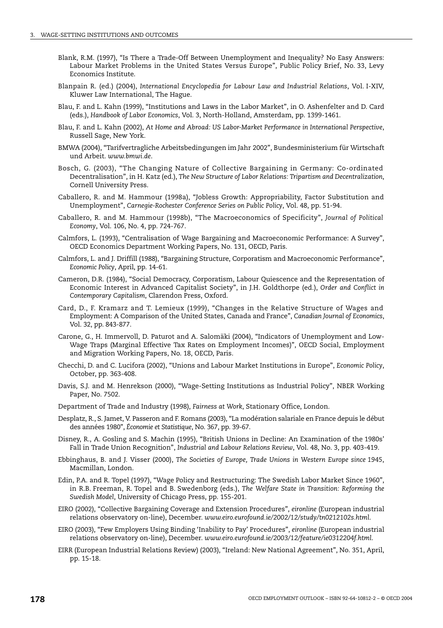- Blank, R.M. (1997), "Is There a Trade-Off Between Unemployment and Inequality? No Easy Answers: Labour Market Problems in the United States Versus Europe", Public Policy Brief, No. 33, Levy Economics Institute.
- Blanpain R. (ed.) (2004), *International Encyclopedia for Labour Law and Industrial Relations*, Vol. I-XIV, Kluwer Law International, The Hague.
- Blau, F. and L. Kahn (1999), "Institutions and Laws in the Labor Market", in O. Ashenfelter and D. Card (eds.), *Handbook of Labor Economics*, Vol. 3, North-Holland, Amsterdam, pp. 1399-1461.
- Blau, F. and L. Kahn (2002), *At Home and Abroad: US Labor-Market Performance in International Perspective*, Russell Sage, New York.
- BMWA (2004), "Tarifvertragliche Arbeitsbedingungen im Jahr 2002", Bundesministerium für Wirtschaft und Arbeit. *www.bmwi.de*.
- Bosch, G. (2003), "The Changing Nature of Collective Bargaining in Germany: Co-ordinated Decentralisation", in H. Katz (ed.), *The New Structure of Labor Relations: Tripartism and Decentralization*, Cornell University Press.
- Caballero, R. and M. Hammour (1998a), "Jobless Growth: Appropriability, Factor Substitution and Unemployment", *Carnegie-Rochester Conference Series on Public Policy*, Vol. 48, pp. 51-94.
- Caballero, R. and M. Hammour (1998b), "The Macroeconomics of Specificity", *Journal of Political Economy*, Vol. 106, No. 4, pp. 724-767.
- Calmfors, L. (1993), "Centralisation of Wage Bargaining and Macroeconomic Performance: A Survey", OECD Economics Department Working Papers, No. 131, OECD, Paris.
- Calmfors, L. and J. Driffill (1988), "Bargaining Structure, Corporatism and Macroeconomic Performance", *Economic Policy*, April, pp. 14-61.
- Cameron, D.R. (1984), "Social Democracy, Corporatism, Labour Quiescence and the Representation of Economic Interest in Advanced Capitalist Society", in J.H. Goldthorpe (ed.), *Order and Conflict in Contemporary Capitalism*, Clarendon Press, Oxford.
- Card, D., F. Kramarz and T. Lemieux (1999), "Changes in the Relative Structure of Wages and Employment: A Comparison of the United States, Canada and France", *Canadian Journal of Economics*, Vol. 32, pp. 843-877.
- Carone, G., H. Immervoll, D. Paturot and A. Salomäki (2004), "Indicators of Unemployment and Low-Wage Traps (Marginal Effective Tax Rates on Employment Incomes)", OECD Social, Employment and Migration Working Papers, No. 18, OECD, Paris.
- Checchi, D. and C. Lucifora (2002), "Unions and Labour Market Institutions in Europe", *Economic Policy*, October, pp. 363-408.
- Davis, S.J. and M. Henrekson (2000), "Wage-Setting Institutions as Industrial Policy", NBER Working Paper, No. 7502.
- Department of Trade and Industry (1998), *Fairness at Work*, Stationary Office, London.
- Desplatz, R., S. Jamet, V. Passeron and F. Romans (2003), "La modération salariale en France depuis le début des années 1980", *Économie et Statistique*, No. 367, pp. 39-67.
- Disney, R., A. Gosling and S. Machin (1995), "British Unions in Decline: An Examination of the 1980s' Fall in Trade Union Recognition", *Industrial and Labour Relations Review*, Vol. 48, No. 3, pp. 403-419.
- Ebbinghaus, B. and J. Visser (2000), *The Societies of Europe, Trade Unions in Western Europe since 1945*, Macmillan, London.
- Edin, P.A. and R. Topel (1997), "Wage Policy and Restructuring: The Swedish Labor Market Since 1960", in R.B. Freeman, R. Topel and B. Swedenborg (eds.), *The Welfare State in Transition: Reforming the Swedish Model*, University of Chicago Press, pp. 155-201.
- EIRO (2002), "Collective Bargaining Coverage and Extension Procedures", *eironline* (European industrial relations observatory on-line), December. *www.eiro.eurofound.ie/2002/12/study/tn0212102s.html*.
- EIRO (2003), "Few Employers Using Binding 'Inability to Pay' Procedures", *eironline* (European industrial relations observatory on-line), December. *www.eiro.eurofound.ie/2003/12/feature/ie0312204f.html*.
- EIRR (European Industrial Relations Review) (2003), "Ireland: New National Agreement", No. 351, April, pp. 15-18.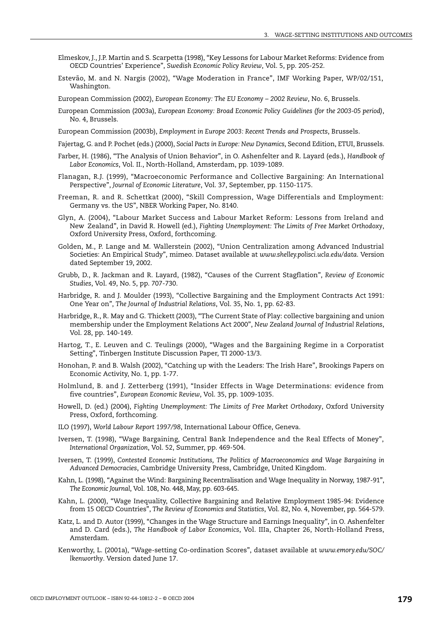- Elmeskov, J., J.P. Martin and S. Scarpetta (1998), "Key Lessons for Labour Market Reforms: Evidence from OECD Countries' Experience", *Swedish Economic Policy Review*, Vol. 5, pp. 205-252.
- Estevão, M. and N. Nargis (2002), "Wage Moderation in France", IMF Working Paper, WP/02/151, Washington.
- European Commission (2002), *European Economy: The EU Economy 2002 Review*, No. 6, Brussels.
- European Commission (2003a), *European Economy: Broad Economic Policy Guidelines (for the 2003-05 period)*, No. 4, Brussels.
- European Commission (2003b), *Employment in Europe 2003: Recent Trends and Prospects*, Brussels.
- Fajertag, G. and P. Pochet (eds.) (2000), *Social Pacts in Europe: New Dynamics*, Second Edition, ETUI, Brussels.
- Farber, H. (1986), "The Analysis of Union Behavior", in O. Ashenfelter and R. Layard (eds.), *Handbook of Labor Economics*, Vol. II., North-Holland, Amsterdam, pp. 1039-1089.
- Flanagan, R.J. (1999), "Macroeconomic Performance and Collective Bargaining: An International Perspective", *Journal of Economic Literature*, Vol. 37, September, pp. 1150-1175.
- Freeman, R. and R. Schettkat (2000), "Skill Compression, Wage Differentials and Employment: Germany vs. the US", NBER Working Paper, No. 8140.
- Glyn, A. (2004), "Labour Market Success and Labour Market Reform: Lessons from Ireland and New Zealand", in David R. Howell (ed.), *Fighting Unemployment: The Limits of Free Market Orthodoxy*, Oxford University Press, Oxford, forthcoming.
- Golden, M., P. Lange and M. Wallerstein (2002), "Union Centralization among Advanced Industrial Societies: An Empirical Study", mimeo. Dataset available at *www.shelley.polisci.ucla.edu/data*. Version dated September 19, 2002.
- Grubb, D., R. Jackman and R. Layard, (1982), "Causes of the Current Stagflation", *Review of Economic Studies*, Vol. 49, No. 5, pp. 707-730.
- Harbridge, R. and J. Moulder (1993), "Collective Bargaining and the Employment Contracts Act 1991: One Year on", *The Journal of Industrial Relations*, Vol. 35, No. 1, pp. 62-83.
- Harbridge, R., R. May and G. Thickett (2003), "The Current State of Play: collective bargaining and union membership under the Employment Relations Act 2000", *New Zealand Journal of Industrial Relations*, Vol. 28, pp. 140-149.
- Hartog, T., E. Leuven and C. Teulings (2000), "Wages and the Bargaining Regime in a Corporatist Setting", Tinbergen Institute Discussion Paper, TI 2000-13/3.
- Honohan, P. and B. Walsh (2002), "Catching up with the Leaders: The Irish Hare", Brookings Papers on Economic Activity, No. 1, pp. 1-77.
- Holmlund, B. and J. Zetterberg (1991), "Insider Effects in Wage Determinations: evidence from five countries", *European Economic Review*, Vol. 35, pp. 1009-1035.
- Howell, D. (ed.) (2004), *Fighting Unemployment: The Limits of Free Market Orthodoxy*, Oxford University Press, Oxford, forthcoming.
- ILO (1997), *World Labour Report 1997/98*, International Labour Office, Geneva.
- Iversen, T. (1998), "Wage Bargaining, Central Bank Independence and the Real Effects of Money", *International Organization*, Vol. 52, Summer, pp. 469-504.
- Iversen, T. (1999), *Contested Economic Institutions, The Politics of Macroeconomics and Wage Bargaining in Advanced Democracies*, Cambridge University Press, Cambridge, United Kingdom.
- Kahn, L. (1998), "Against the Wind: Bargaining Recentralisation and Wage Inequality in Norway, 1987-91", *The Economic Journal*, Vol. 108, No. 448, May, pp. 603-645.
- Kahn, L. (2000), "Wage Inequality, Collective Bargaining and Relative Employment 1985-94: Evidence from 15 OECD Countries", *The Review of Economics and Statistics*, Vol. 82, No. 4, November, pp. 564-579.
- Katz, L. and D. Autor (1999), "Changes in the Wage Structure and Earnings Inequality", in O. Ashenfelter and D. Card (eds.), *The Handbook of Labor Economics*, Vol. IIIa, Chapter 26, North-Holland Press, Amsterdam.
- Kenworthy, L. (2001a), "Wage-setting Co-ordination Scores", dataset available at *www.emory.edu/SOC/ lkenworthy*. Version dated June 17.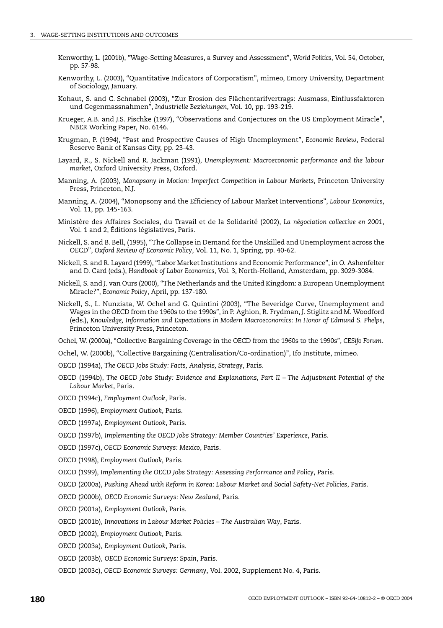- Kenworthy, L. (2001b), "Wage-Setting Measures, a Survey and Assessment", *World Politics*, Vol. 54, October, pp. 57-98.
- Kenworthy, L. (2003), "Quantitative Indicators of Corporatism", mimeo, Emory University, Department of Sociology, January.
- Kohaut, S. and C. Schnabel (2003), "Zur Erosion des Flächentarifvertrags: Ausmass, Einflussfaktoren und Gegenmassnahmen", *Industrielle Beziehungen*, Vol. 10, pp. 193-219.
- Krueger, A.B. and J.S. Pischke (1997), "Observations and Conjectures on the US Employment Miracle", NBER Working Paper, No. 6146.
- Krugman, P. (1994), "Past and Prospective Causes of High Unemployment", *Economic Review*, Federal Reserve Bank of Kansas City, pp. 23-43.
- Layard, R., S. Nickell and R. Jackman (1991), *Unemployment: Macroeconomic performance and the labour market*, Oxford University Press, Oxford.
- Manning, A. (2003), *Monopsony in Motion: Imperfect Competition in Labour Markets*, Princeton University Press, Princeton, N.J.
- Manning, A. (2004), "Monopsony and the Efficiency of Labour Market Interventions", *Labour Economics*, Vol. 11, pp. 145-163.
- Ministère des Affaires Sociales, du Travail et de la Solidarité (2002), *La négociation collective en 2001*, Vol. 1 and 2, Éditions législatives, Paris.
- Nickell, S. and B. Bell, (1995), "The Collapse in Demand for the Unskilled and Unemployment across the OECD", *Oxford Review of Economic Policy*, Vol. 11, No. 1, Spring, pp. 40-62.
- Nickell, S. and R. Layard (1999), "Labor Market Institutions and Economic Performance", in O. Ashenfelter and D. Card (eds.), *Handbook of Labor Economics*, Vol. 3, North-Holland, Amsterdam, pp. 3029-3084.
- Nickell, S. and J. van Ours (2000), "The Netherlands and the United Kingdom: a European Unemployment Miracle?", *Economic Policy*, April, pp. 137-180.
- Nickell, S., L. Nunziata, W. Ochel and G. Quintini (2003), "The Beveridge Curve, Unemployment and Wages in the OECD from the 1960s to the 1990s", in P. Aghion, R. Frydman, J. Stiglitz and M. Woodford (eds.), *Knowledge, Information and Expectations in Modern Macroeconomics: In Honor of Edmund S. Phelps*, Princeton University Press, Princeton.
- Ochel, W. (2000a), "Collective Bargaining Coverage in the OECD from the 1960s to the 1990s", *CESifo Forum*.
- Ochel, W. (2000b), "Collective Bargaining (Centralisation/Co-ordination)", Ifo Institute, mimeo.
- OECD (1994a), *The OECD Jobs Study: Facts, Analysis, Strategy*, Paris.
- OECD (1994b), *The OECD Jobs Study: Evidence and Explanations, Part II The Adjustment Potential of the Labour Market*, Paris.
- OECD (1994c), *Employment Outlook*, Paris.
- OECD (1996), *Employment Outlook*, Paris.
- OECD (1997a), *Employment Outlook*, Paris.
- OECD (1997b), *Implementing the OECD Jobs Strategy: Member Countries' Experience*, Paris.
- OECD (1997c), *OECD Economic Surveys: Mexico*, Paris.
- OECD (1998), *Employment Outlook*, Paris.
- OECD (1999), *Implementing the OECD Jobs Strategy: Assessing Performance and Policy*, Paris.
- OECD (2000a), *Pushing Ahead with Reform in Korea: Labour Market and Social Safety-Net Policies*, Paris.
- OECD (2000b), *OECD Economic Surveys: New Zealand*, Paris.
- OECD (2001a), *Employment Outlook*, Paris.
- OECD (2001b), *Innovations in Labour Market Policies The Australian Way*, Paris.
- OECD (2002), *Employment Outlook*, Paris.
- OECD (2003a), *Employment Outlook*, Paris.
- OECD (2003b), *OECD Economic Surveys: Spain*, Paris.
- OECD (2003c), *OECD Economic Surveys: Germany*, Vol. 2002, Supplement No. 4, Paris.